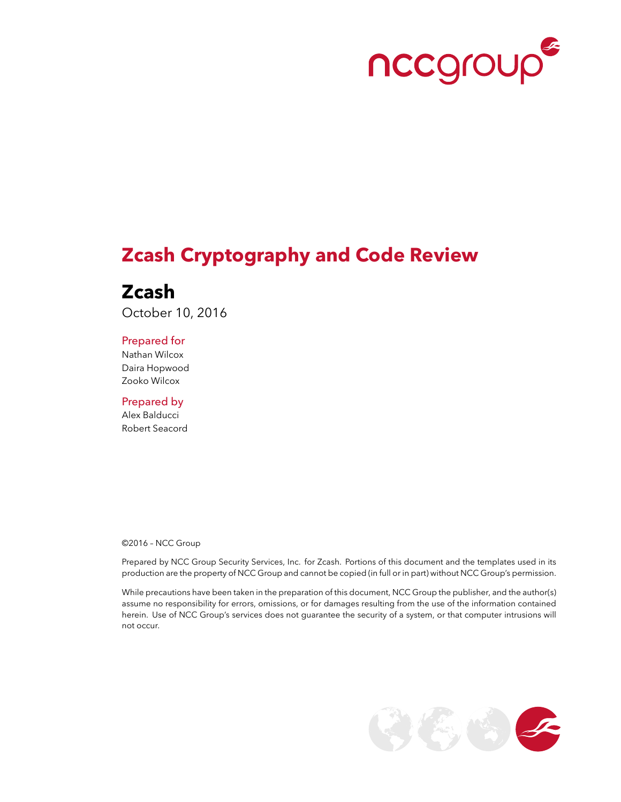

# **Zcash Cryptography and Code Review**

## **Zcash**

October 10, 2016

### Prepared for

Nathan Wilcox Daira Hopwood Zooko Wilcox

Prepared by Alex Balducci Robert Seacord

#### ©2016 – NCC Group

Prepared by NCC Group Security Services, Inc. for Zcash. Portions of this document and the templates used in its production are the property of NCC Group and cannot be copied (in full or in part) without NCC Group's permission.

While precautions have been taken in the preparation of this document, NCC Group the publisher, and the author(s) assume no responsibility for errors, omissions, or for damages resulting from the use of the information contained herein. Use of NCC Group's services does not guarantee the security of a system, or that computer intrusions will not occur.

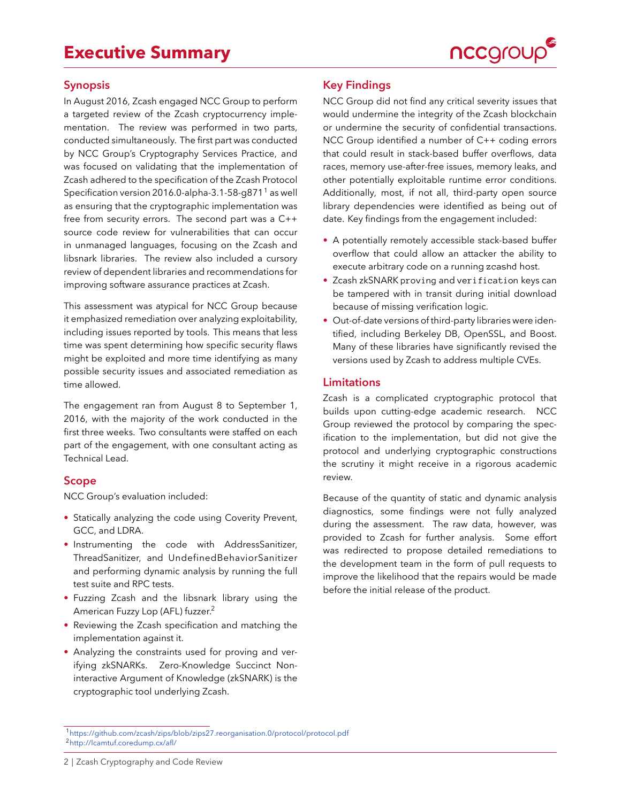## **Executive Summary**



## **Synopsis**

In August 2016, Zcash engaged NCC Group to perform a targeted review of the Zcash cryptocurrency implementation. The review was performed in two parts, conducted simultaneously. The first part was conducted by NCC Group's Cryptography Services Practice, and was focused on validating that the implementation of Zcash adhered to the specification of the Zcash Protocol Specification version 20[1](#page-1-0)6.0-alpha-3.1-58-g871<sup>1</sup> as well as ensuring that the cryptographic implementation was free from security errors. The second part was a C++ source code review for vulnerabilities that can occur in unmanaged languages, focusing on the Zcash and libsnark libraries. The review also included a cursory review of dependent libraries and recommendations for improving software assurance practices at Zcash.

This assessment was atypical for NCC Group because it emphasized remediation over analyzing exploitability, including issues reported by tools. This means that less time was spent determining how specific security flaws might be exploited and more time identifying as many possible security issues and associated remediation as time allowed.

The engagement ran from August 8 to September 1, 2016, with the majority of the work conducted in the first three weeks. Two consultants were staffed on each part of the engagement, with one consultant acting as Technical Lead.

### **Scope**

NCC Group's evaluation included:

- Statically analyzing the code using Coverity Prevent, GCC, and LDRA.
- Instrumenting the code with AddressSanitizer, ThreadSanitizer, and UndefinedBehaviorSanitizer and performing dynamic analysis by running the full test suite and RPC tests.
- Fuzzing Zcash and the libsnark library using the American Fuzzy Lop (AFL) fuzzer.<sup>[2](#page-1-1)</sup>
- Reviewing the Zcash specification and matching the implementation against it.
- Analyzing the constraints used for proving and verifying zkSNARKs. Zero-Knowledge Succinct Noninteractive Argument of Knowledge (zkSNARK) is the cryptographic tool underlying Zcash.

## **Key Findings**

NCC Group did not find any critical severity issues that would undermine the integrity of the Zcash blockchain or undermine the security of confidential transactions. NCC Group identified a number of C++ coding errors that could result in stack-based buffer overflows, data races, memory use-after-free issues, memory leaks, and other potentially exploitable runtime error conditions. Additionally, most, if not all, third-party open source library dependencies were identified as being out of date. Key findings from the engagement included:

- A potentially remotely accessible stack-based buffer overflow that could allow an attacker the ability to execute arbitrary code on a running zcashd host.
- Zcash zkSNARK proving and verification keys can be tampered with in transit during initial download because of missing verification logic.
- Out-of-date versions of third-party libraries were identified, including Berkeley DB, OpenSSL, and Boost. Many of these libraries have significantly revised the versions used by Zcash to address multiple CVEs.

## **Limitations**

Zcash is a complicated cryptographic protocol that builds upon cutting-edge academic research. NCC Group reviewed the protocol by comparing the specification to the implementation, but did not give the protocol and underlying cryptographic constructions the scrutiny it might receive in a rigorous academic review.

Because of the quantity of static and dynamic analysis diagnostics, some findings were not fully analyzed during the assessment. The raw data, however, was provided to Zcash for further analysis. Some effort was redirected to propose detailed remediations to the development team in the form of pull requests to improve the likelihood that the repairs would be made before the initial release of the product.

<span id="page-1-1"></span><span id="page-1-0"></span><sup>1</sup><https://github.com/zcash/zips/blob/zips27.reorganisation.0/protocol/protocol.pdf> <sup>2</sup><http://lcamtuf.coredump.cx/afl/>

<sup>2 |</sup> Zcash Cryptography and Code Review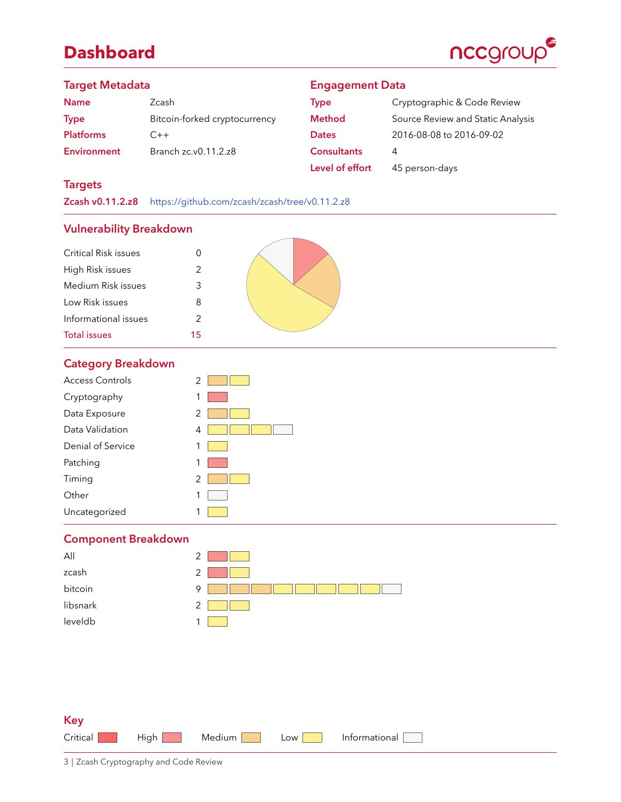# **Dashboard**



## **Target Metadata**

| Target Metadata    |                               |                    | <b>Engagement Data</b>            |  |  |
|--------------------|-------------------------------|--------------------|-----------------------------------|--|--|
| <b>Name</b>        | Zcash                         | Type               | Cryptographic & Code Review       |  |  |
| <b>Type</b>        | Bitcoin-forked cryptocurrency | <b>Method</b>      | Source Review and Static Analysis |  |  |
| <b>Platforms</b>   | $C++$                         | <b>Dates</b>       | 2016-08-08 to 2016-09-02          |  |  |
| <b>Environment</b> | Branch zc.v0.11.2.z8          | <b>Consultants</b> | 4                                 |  |  |
|                    |                               | Level of effort    | 45 person-days                    |  |  |

## **Targets**

**Zcash v0.11.2.z8** <https://github.com/zcash/zcash/tree/v0.11.2.z8>

## **[Vulnerability Breakdown](#page-38-0)**

| Critical Risk issues | O  |  |
|----------------------|----|--|
| High Risk issues     | 2  |  |
| Medium Risk issues   | 3  |  |
| Low Risk issues      | 8  |  |
| Informational issues | 2  |  |
| <b>Total issues</b>  | 15 |  |

## **[Category Breakdown](#page-38-0)**



## **Component Breakdown**



| Key |  |                                        |
|-----|--|----------------------------------------|
|     |  | Critical High Medium Low Informational |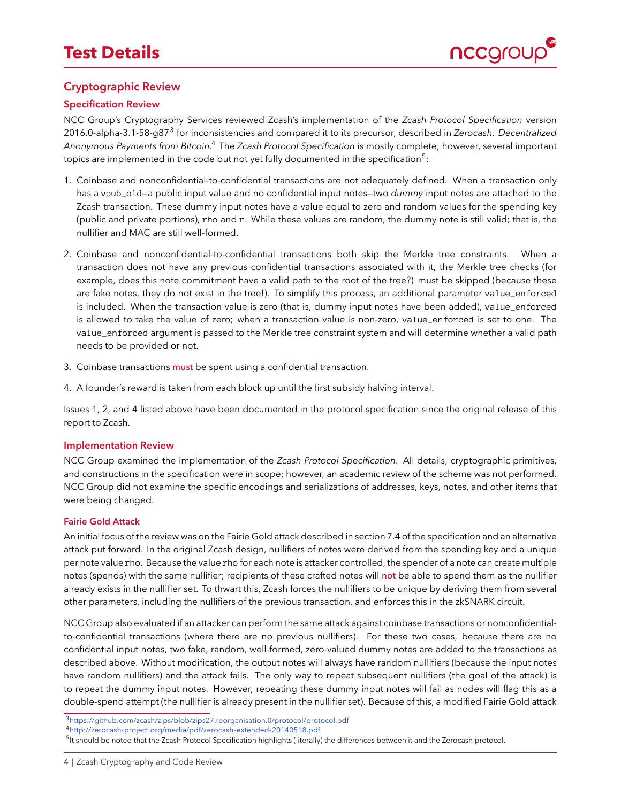

## <span id="page-3-3"></span>**Cryptographic Review**

### **Specification Review**

NCC Group's Cryptography Services reviewed Zcash's implementation of the *Zcash Protocol Specification* version 2016.0-alpha-3.1-58-g87[3](#page-3-0) for inconsistencies and compared it to its precursor, described in *Zerocash: Decentralized Anonymous Payments from Bitcoin*. [4](#page-3-1) The *Zcash Protocol Specification* is mostly complete; however, several important topics are implemented in the code but not yet fully documented in the specification $^5\!$  $^5\!$  $^5\!$ :

- 1. Coinbase and nonconfidential-to-confidential transactions are not adequately defined. When a transaction only has a vpub\_old—a public input value and no confidential input notes—two *dummy* input notes are attached to the Zcash transaction. These dummy input notes have a value equal to zero and random values for the spending key (public and private portions), rho and r. While these values are random, the dummy note is still valid; that is, the nullifier and MAC are still well-formed.
- 2. Coinbase and nonconfidential-to-confidential transactions both skip the Merkle tree constraints. When a transaction does not have any previous confidential transactions associated with it, the Merkle tree checks (for example, does this note commitment have a valid path to the root of the tree?) must be skipped (because these are fake notes, they do not exist in the tree!). To simplify this process, an additional parameter value\_enforced is included. When the transaction value is zero (that is, dummy input notes have been added), value\_enforced is allowed to take the value of zero; when a transaction value is non-zero, value\_enforced is set to one. The value\_enforced argument is passed to the Merkle tree constraint system and will determine whether a valid path needs to be provided or not.
- 3. Coinbase transactions must be spent using a confidential transaction.
- 4. A founder's reward is taken from each block up until the first subsidy halving interval.

Issues 1, 2, and 4 listed above have been documented in the protocol specification since the original release of this report to Zcash.

### **Implementation Review**

NCC Group examined the implementation of the *Zcash Protocol Specification*. All details, cryptographic primitives, and constructions in the specification were in scope; however, an academic review of the scheme was not performed. NCC Group did not examine the specific encodings and serializations of addresses, keys, notes, and other items that were being changed.

### **Fairie Gold Attack**

An initial focus of the review was on the Fairie Gold attack described in section 7.4 of the specification and an alternative attack put forward. In the original Zcash design, nullifiers of notes were derived from the spending key and a unique per note value rho. Because the value rho for each note is attacker controlled, the spender of a note can create multiple notes (spends) with the same nullifier; recipients of these crafted notes will not be able to spend them as the nullifier already exists in the nullifier set. To thwart this, Zcash forces the nullifiers to be unique by deriving them from several other parameters, including the nullifiers of the previous transaction, and enforces this in the zkSNARK circuit.

NCC Group also evaluated if an attacker can perform the same attack against coinbase transactions or nonconfidentialto-confidential transactions (where there are no previous nullifiers). For these two cases, because there are no confidential input notes, two fake, random, well-formed, zero-valued dummy notes are added to the transactions as described above. Without modification, the output notes will always have random nullifiers (because the input notes have random nullifiers) and the attack fails. The only way to repeat subsequent nullifiers (the goal of the attack) is to repeat the dummy input notes. However, repeating these dummy input notes will fail as nodes will flag this as a double-spend attempt (the nullifier is already present in the nullifier set). Because of this, a modified Fairie Gold attack

<span id="page-3-0"></span><sup>3</sup><https://github.com/zcash/zips/blob/zips27.reorganisation.0/protocol/protocol.pdf>

<span id="page-3-1"></span><sup>4</sup><http://zerocash-project.org/media/pdf/zerocash-extended-20140518.pdf>

<span id="page-3-2"></span><sup>&</sup>lt;sup>5</sup>It should be noted that the Zcash Protocol Specification highlights (literally) the differences between it and the Zerocash protocol.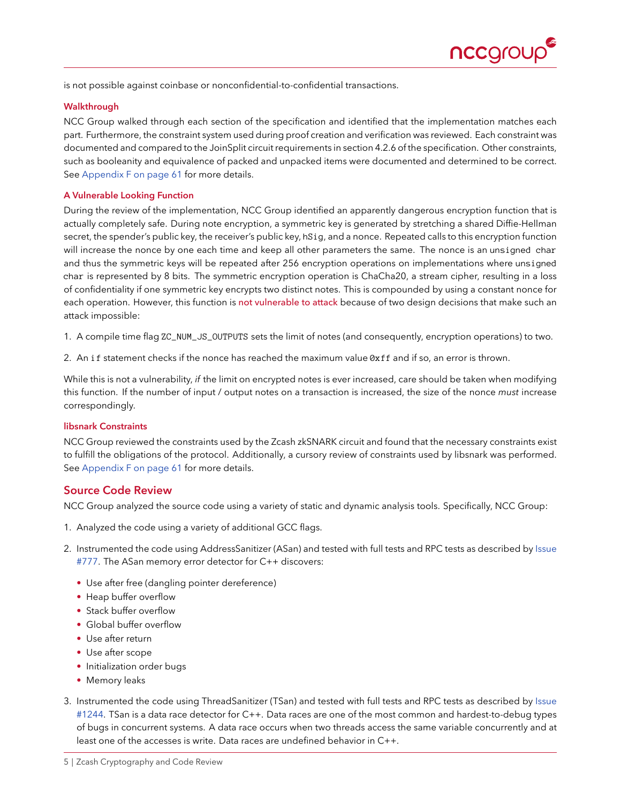

is not possible against coinbase or nonconfidential-to-confidential transactions.

#### **Walkthrough**

NCC Group walked through each section of the specification and identified that the implementation matches each part. Furthermore, the constraint system used during proof creation and verification was reviewed. Each constraint was documented and compared to the JoinSplit circuit requirements in section 4.2.6 of the specification. Other constraints, such as booleanity and equivalence of packed and unpacked items were documented and determined to be correct. See [Appendix F on page 61](#page-60-0) for more details.

#### **A Vulnerable Looking Function**

During the review of the implementation, NCC Group identified an apparently dangerous encryption function that is actually completely safe. During note encryption, a symmetric key is generated by stretching a shared Diffie-Hellman secret, the spender's public key, the receiver's public key, hSig, and a nonce. Repeated calls to this encryption function will increase the nonce by one each time and keep all other parameters the same. The nonce is an unsigned char and thus the symmetric keys will be repeated after 256 encryption operations on implementations where unsigned char is represented by 8 bits. The symmetric encryption operation is ChaCha20, a stream cipher, resulting in a loss of confidentiality if one symmetric key encrypts two distinct notes. This is compounded by using a constant nonce for each operation. However, this function is not vulnerable to attack because of two design decisions that make such an attack impossible:

- 1. A compile time flag ZC\_NUM\_JS\_OUTPUTS sets the limit of notes (and consequently, encryption operations) to two.
- 2. An if statement checks if the nonce has reached the maximum value 0xff and if so, an error is thrown.

While this is not a vulnerability, *if* the limit on encrypted notes is ever increased, care should be taken when modifying this function. If the number of input / output notes on a transaction is increased, the size of the nonce *must* increase correspondingly.

#### **libsnark Constraints**

NCC Group reviewed the constraints used by the Zcash zkSNARK circuit and found that the necessary constraints exist to fulfill the obligations of the protocol. Additionally, a cursory review of constraints used by libsnark was performed. See [Appendix F on page 61](#page-60-0) for more details.

### **Source Code Review**

NCC Group analyzed the source code using a variety of static and dynamic analysis tools. Specifically, NCC Group:

- 1. Analyzed the code using a variety of additional GCC flags.
- 2. Instrumented the code using AddressSanitizer (ASan) and tested with full tests and RPC tests as described by [Issue](https://github.com/zcash/zcash/issues/777) [#777.](https://github.com/zcash/zcash/issues/777) The ASan memory error detector for C++ discovers:
	- Use after free (dangling pointer dereference)
	- Heap buffer overflow
	- Stack buffer overflow
	- Global buffer overflow
	- Use after return
	- Use after scope
	- Initialization order bugs
	- Memory leaks
- 3. Instrumented the code using ThreadSanitizer (TSan) and tested with full tests and RPC tests as described by [Issue](https://github.com/zcash/zcash/issues/1244) [#1244.](https://github.com/zcash/zcash/issues/1244) TSan is a data race detector for C++. Data races are one of the most common and hardest-to-debug types of bugs in concurrent systems. A data race occurs when two threads access the same variable concurrently and at least one of the accesses is write. Data races are undefined behavior in C++.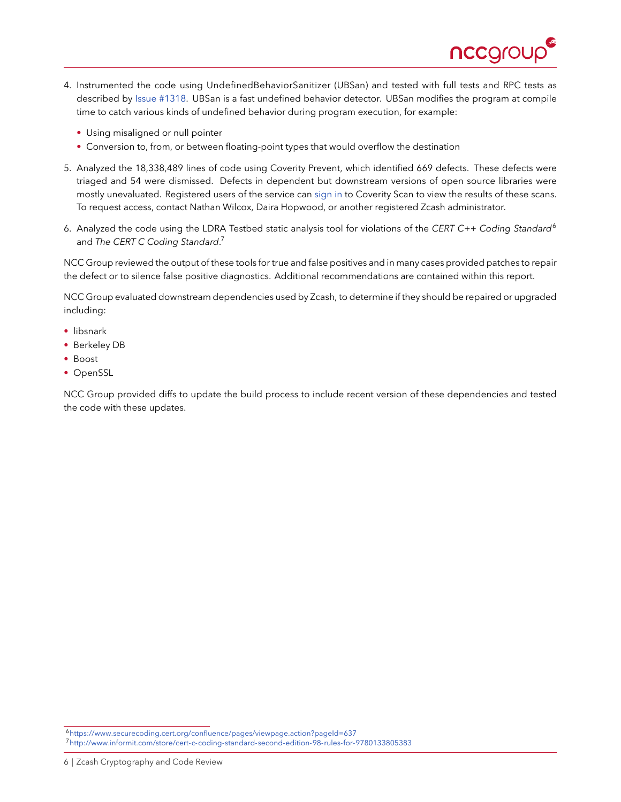

- 4. Instrumented the code using UndefinedBehaviorSanitizer (UBSan) and tested with full tests and RPC tests as described by [Issue #1318](https://github.com/zcash/zcash/issues/1318). UBSan is a fast undefined behavior detector. UBSan modifies the program at compile time to catch various kinds of undefined behavior during program execution, for example:
	- Using misaligned or null pointer
	- Conversion to, from, or between floating-point types that would overflow the destination
- 5. Analyzed the 18,338,489 lines of code using Coverity Prevent, which identified 669 defects. These defects were triaged and 54 were dismissed. Defects in dependent but downstream versions of open source libraries were mostly unevaluated. Registered users of the service can [sign in](https://scan.coverity.com/users/sign_in) to Coverity Scan to view the results of these scans. To request access, contact Nathan Wilcox, Daira Hopwood, or another registered Zcash administrator.
- 6. Analyzed the code using the LDRA Testbed static analysis tool for violations of the *CERT C++ Coding Standard*[6](#page-5-0) and *The CERT C Coding Standard*. [7](#page-5-1)

NCC Group reviewed the output of these tools for true and false positives and in many cases provided patches to repair the defect or to silence false positive diagnostics. Additional recommendations are contained within this report.

NCC Group evaluated downstream dependencies used by Zcash, to determine if they should be repaired or upgraded including:

- libsnark
- Berkeley DB
- Boost
- OpenSSL

NCC Group provided diffs to update the build process to include recent version of these dependencies and tested the code with these updates.

<span id="page-5-0"></span><sup>6</sup><https://www.securecoding.cert.org/confluence/pages/viewpage.action?pageId=637>

<span id="page-5-1"></span><sup>7</sup><http://www.informit.com/store/cert-c-coding-standard-second-edition-98-rules-for-9780133805383>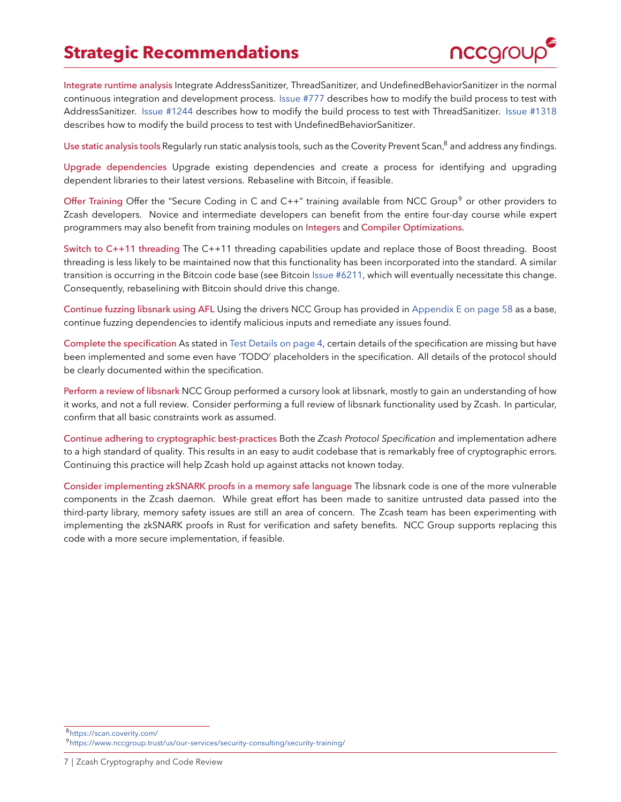## **Strategic Recommendations**



Integrate runtime analysis Integrate AddressSanitizer, ThreadSanitizer, and UndefinedBehaviorSanitizer in the normal continuous integration and development process. [Issue #777](https://github.com/zcash/zcash/issues/777) describes how to modify the build process to test with AddressSanitizer. [Issue #1244](https://github.com/zcash/zcash/issues/1244) describes how to modify the build process to test with ThreadSanitizer. [Issue #1318](https://github.com/zcash/zcash/issues/1318) describes how to modify the build process to test with UndefinedBehaviorSanitizer.

Use static analysis tools Regularly run static analysis tools, such as the Coverity Prevent Scan, $8$  and address any findings.

Upgrade dependencies Upgrade existing dependencies and create a process for identifying and upgrading dependent libraries to their latest versions. Rebaseline with Bitcoin, if feasible.

Offer Training Offer the "Secure Coding in C and  $C++''$  training available from NCC Group<sup>[9](#page-6-1)</sup> or other providers to Zcash developers. Novice and intermediate developers can benefit from the entire four-day course while expert programmers may also benefit from training modules on Integers and Compiler Optimizations.

Switch to C++11 threading The C++11 threading capabilities update and replace those of Boost threading. Boost threading is less likely to be maintained now that this functionality has been incorporated into the standard. A similar transition is occurring in the Bitcoin code base (see Bitcoin [Issue #6211,](https://github.com/bitcoin/bitcoin/issues/6211) which will eventually necessitate this change. Consequently, rebaselining with Bitcoin should drive this change.

Continue fuzzing libsnark using AFL Using the drivers NCC Group has provided in [Appendix E on page 58](#page-57-0) as a base, continue fuzzing dependencies to identify malicious inputs and remediate any issues found.

Complete the specification As stated in [Test Details on page 4](#page-3-3), certain details of the specification are missing but have been implemented and some even have 'TODO' placeholders in the specification. All details of the protocol should be clearly documented within the specification.

Perform a review of libsnark NCC Group performed a cursory look at libsnark, mostly to gain an understanding of how it works, and not a full review. Consider performing a full review of libsnark functionality used by Zcash. In particular, confirm that all basic constraints work as assumed.

Continue adhering to cryptographic best-practices Both the *Zcash Protocol Specification* and implementation adhere to a high standard of quality. This results in an easy to audit codebase that is remarkably free of cryptographic errors. Continuing this practice will help Zcash hold up against attacks not known today.

Consider implementing zkSNARK proofs in a memory safe language The libsnark code is one of the more vulnerable components in the Zcash daemon. While great effort has been made to sanitize untrusted data passed into the third-party library, memory safety issues are still an area of concern. The Zcash team has been experimenting with implementing the zkSNARK proofs in Rust for verification and safety benefits. NCC Group supports replacing this code with a more secure implementation, if feasible.

<span id="page-6-0"></span><sup>8</sup><https://scan.coverity.com/>

<span id="page-6-1"></span><sup>9</sup><https://www.nccgroup.trust/us/our-services/security-consulting/security-training/>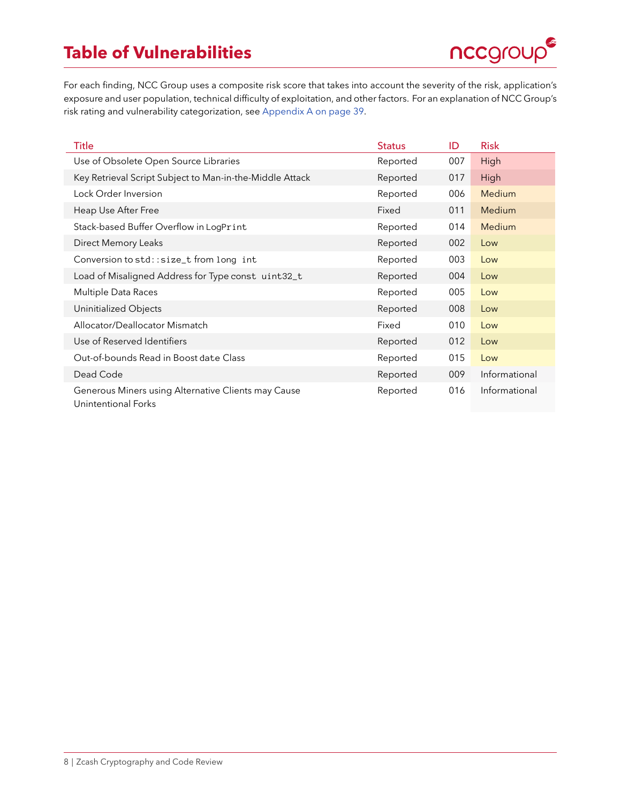# **Table of Vulnerabilities**



For each finding, NCC Group uses a composite risk score that takes into account the severity of the risk, application's exposure and user population, technical difficulty of exploitation, and other factors. For an explanation of NCC Group's risk rating and vulnerability categorization, see [Appendix A on page 39](#page-38-0).

| <b>Title</b>                                                               | <b>Status</b> | ID  | <b>Risk</b>   |
|----------------------------------------------------------------------------|---------------|-----|---------------|
| Use of Obsolete Open Source Libraries                                      | Reported      | 007 | High          |
| Key Retrieval Script Subject to Man-in-the-Middle Attack                   | Reported      | 017 | High          |
| Lock Order Inversion                                                       | Reported      | 006 | Medium        |
| Heap Use After Free                                                        | Fixed         | 011 | Medium        |
| Stack-based Buffer Overflow in LogPrint                                    | Reported      | 014 | Medium        |
| <b>Direct Memory Leaks</b>                                                 | Reported      | 002 | Low           |
| Conversion to std: : size_t from long int                                  | Reported      | 003 | Low           |
| Load of Misaligned Address for Type const uint32_t                         | Reported      | 004 | Low           |
| Multiple Data Races                                                        | Reported      | 005 | Low           |
| Uninitialized Objects                                                      | Reported      | 008 | Low           |
| Allocator/Deallocator Mismatch                                             | Fixed         | 010 | Low           |
| Use of Reserved Identifiers                                                | Reported      | 012 | Low           |
| Out-of-bounds Read in Boost date Class                                     | Reported      | 015 | Low           |
| Dead Code                                                                  | Reported      | 009 | Informational |
| Generous Miners using Alternative Clients may Cause<br>Unintentional Forks | Reported      | 016 | Informational |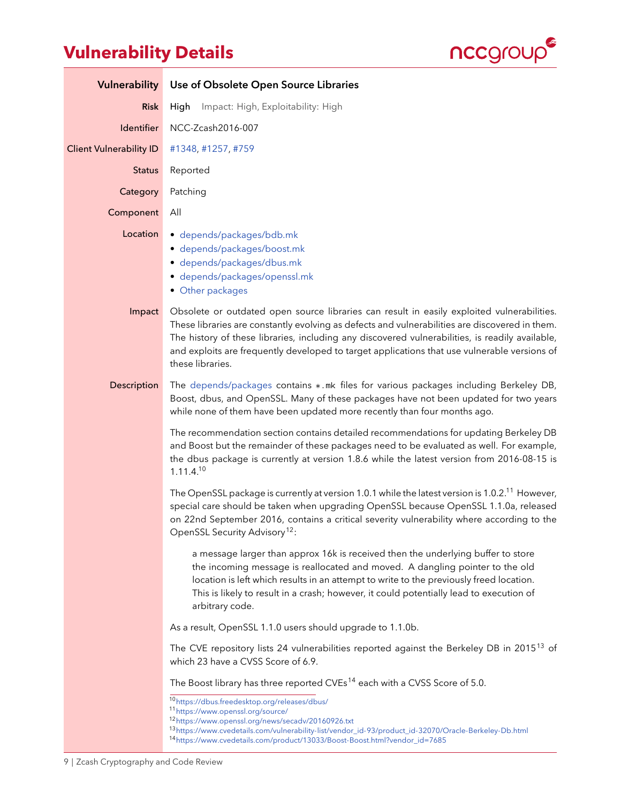# **Vulnerability Details**



<span id="page-8-0"></span>

| <b>Vulnerability</b>           | Use of Obsolete Open Source Libraries                                                                                                                                                                                                                                                                                                                                                                               |
|--------------------------------|---------------------------------------------------------------------------------------------------------------------------------------------------------------------------------------------------------------------------------------------------------------------------------------------------------------------------------------------------------------------------------------------------------------------|
| <b>Risk</b>                    | Impact: High, Exploitability: High<br>High                                                                                                                                                                                                                                                                                                                                                                          |
| Identifier                     | NCC-Zcash2016-007                                                                                                                                                                                                                                                                                                                                                                                                   |
| <b>Client Vulnerability ID</b> | #1348, #1257, #759                                                                                                                                                                                                                                                                                                                                                                                                  |
| <b>Status</b>                  | Reported                                                                                                                                                                                                                                                                                                                                                                                                            |
| Category                       | Patching                                                                                                                                                                                                                                                                                                                                                                                                            |
| Component                      | All                                                                                                                                                                                                                                                                                                                                                                                                                 |
| Location                       | · depends/packages/bdb.mk<br>· depends/packages/boost.mk<br>· depends/packages/dbus.mk<br>· depends/packages/openssl.mk<br>• Other packages                                                                                                                                                                                                                                                                         |
| Impact                         | Obsolete or outdated open source libraries can result in easily exploited vulnerabilities.<br>These libraries are constantly evolving as defects and vulnerabilities are discovered in them.<br>The history of these libraries, including any discovered vulnerabilities, is readily available,<br>and exploits are frequently developed to target applications that use vulnerable versions of<br>these libraries. |
| Description                    | The depends/packages contains *.mk files for various packages including Berkeley DB,<br>Boost, dbus, and OpenSSL. Many of these packages have not been updated for two years<br>while none of them have been updated more recently than four months ago.                                                                                                                                                            |
|                                | The recommendation section contains detailed recommendations for updating Berkeley DB<br>and Boost but the remainder of these packages need to be evaluated as well. For example,<br>the dbus package is currently at version 1.8.6 while the latest version from 2016-08-15 is<br>1.11.4 <sup>10</sup>                                                                                                             |
|                                | The OpenSSL package is currently at version 1.0.1 while the latest version is 1.0.2. <sup>11</sup> However,<br>special care should be taken when upgrading OpenSSL because OpenSSL 1.1.0a, released<br>on 22nd September 2016, contains a critical severity vulnerability where according to the<br>OpenSSL Security Advisory <sup>12</sup> :                                                                       |
|                                | a message larger than approx 16k is received then the underlying buffer to store<br>the incoming message is reallocated and moved. A dangling pointer to the old<br>location is left which results in an attempt to write to the previously freed location.<br>This is likely to result in a crash; however, it could potentially lead to execution of<br>arbitrary code.                                           |
|                                | As a result, OpenSSL 1.1.0 users should upgrade to 1.1.0b.                                                                                                                                                                                                                                                                                                                                                          |
|                                | The CVE repository lists 24 vulnerabilities reported against the Berkeley DB in 2015 <sup>13</sup> of<br>which 23 have a CVSS Score of 6.9.                                                                                                                                                                                                                                                                         |
|                                | The Boost library has three reported CVEs <sup>14</sup> each with a CVSS Score of 5.0.                                                                                                                                                                                                                                                                                                                              |
|                                | 10https://dbus.freedesktop.org/releases/dbus/<br><sup>11</sup> https://www.openssl.org/source/<br><sup>12</sup> https://www.openssl.org/news/secadv/20160926.txt<br><sup>13</sup> https://www.cvedetails.com/vulnerability-list/vendor_id-93/product_id-32070/Oracle-Berkeley-Db.html                                                                                                                               |

<span id="page-8-5"></span><span id="page-8-4"></span><span id="page-8-3"></span><span id="page-8-2"></span><span id="page-8-1"></span><sup>14</sup>[https://www.cvedetails.com/product/13033/Boost-Boost.html?vendor\\_id=7685](https://www.cvedetails.com/product/13033/Boost-Boost.html?vendor_id=7685)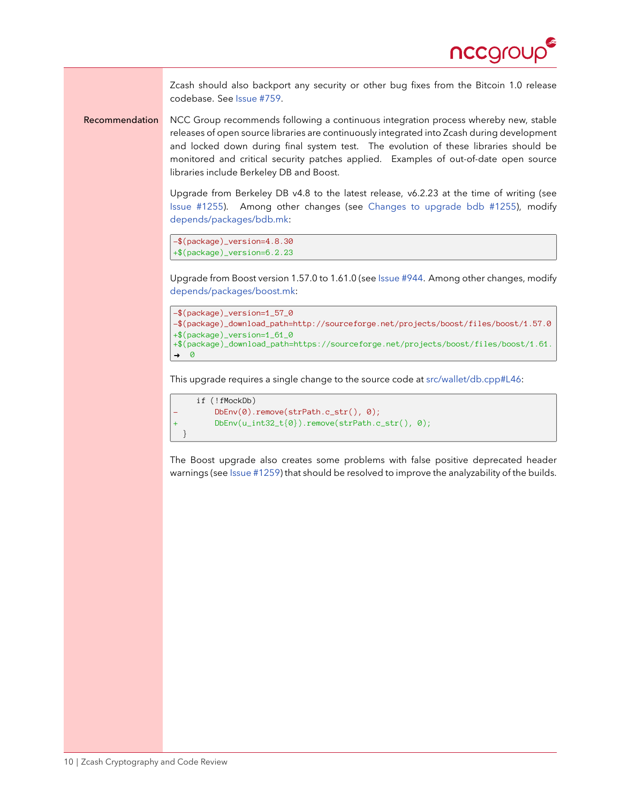

Zcash should also backport any security or other bug fixes from the Bitcoin 1.0 release codebase. See [Issue #759.](https://github.com/zcash/zcash/issues/759)

Recommendation NCC Group recommends following a continuous integration process whereby new, stable releases of open source libraries are continuously integrated into Zcash during development and locked down during final system test. The evolution of these libraries should be monitored and critical security patches applied. Examples of out-of-date open source libraries include Berkeley DB and Boost.

> Upgrade from Berkeley DB v4.8 to the latest release, v6.2.23 at the time of writing (see [Issue #1255](https://github.com/zcash/zcash/issues/1255)). Among other changes (see [Changes to upgrade bdb #1255](https://github.com/rcseacord/zcash/commit/edc4f0ba0614bf48a3e856898a8b26c91ec56735)), modify [depends/packages/bdb.mk:](https://github.com/rcseacord/zcash/blob/zc.v0.11.2.latest/depends/packages/bdb.mk)

```
-$(package)_version=4.8.30
+$(package)_version=6.2.23
```
Upgrade from Boost version 1.57.0 to 1.61.0 (see [Issue #944](https://github.com/zcash/zcash/issues/944). Among other changes, modify [depends/packages/boost.mk](https://github.com/rcseacord/zcash/commit/f855a43ae8459a0a3ad2bb0b5c846304befe9fe6):

```
-$(package)_version=1_57_0
-$(package)_download_path=http://sourceforge.net/projects/boost/files/boost/1.57.0
+$(package)_version=1_61_0
+$(package)_download_path=https://sourceforge.net/projects/boost/files/boost/1.61.
\rightarrow 0
```
This upgrade requires a single change to the source code at [src/wallet/db.cpp#L46](https://github.com/rcseacord/zcash/commit/f855a43ae8459a0a3ad2bb0b5c846304befe9fe6):

```
if (!fMockDb)
        DbEnv(0).remove(strPath.c_str(), 0);
+ DbEnv(u_int32_t{0}).remove(strPath.c_str(), 0);
 }
```
The Boost upgrade also creates some problems with false positive deprecated header warnings (see [Issue #1259](https://github.com/zcash/zcash/issues/1259)) that should be resolved to improve the analyzability of the builds.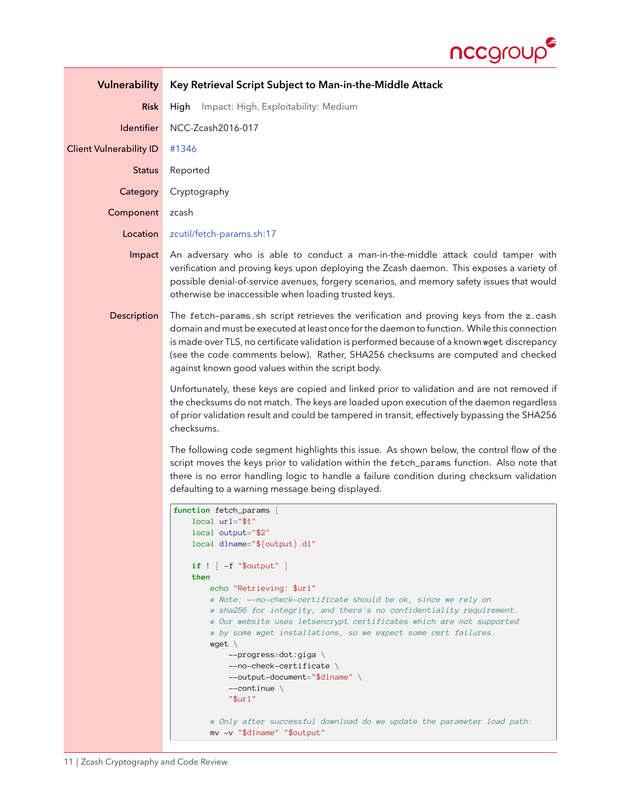

<span id="page-10-0"></span>

| <b>Vulnerability</b>           | Key Retrieval Script Subject to Man-in-the-Middle Attack                                                                                                                                                                                                                                                                                                                                                                                                                                                                                                                                                                                                                                    |
|--------------------------------|---------------------------------------------------------------------------------------------------------------------------------------------------------------------------------------------------------------------------------------------------------------------------------------------------------------------------------------------------------------------------------------------------------------------------------------------------------------------------------------------------------------------------------------------------------------------------------------------------------------------------------------------------------------------------------------------|
| <b>Risk</b>                    | Impact: High, Exploitability: Medium<br>High                                                                                                                                                                                                                                                                                                                                                                                                                                                                                                                                                                                                                                                |
| Identifier                     | NCC-Zcash2016-017                                                                                                                                                                                                                                                                                                                                                                                                                                                                                                                                                                                                                                                                           |
| <b>Client Vulnerability ID</b> | #1346                                                                                                                                                                                                                                                                                                                                                                                                                                                                                                                                                                                                                                                                                       |
| <b>Status</b>                  | Reported                                                                                                                                                                                                                                                                                                                                                                                                                                                                                                                                                                                                                                                                                    |
| Category                       | Cryptography                                                                                                                                                                                                                                                                                                                                                                                                                                                                                                                                                                                                                                                                                |
| Component                      | zcash                                                                                                                                                                                                                                                                                                                                                                                                                                                                                                                                                                                                                                                                                       |
| Location                       | zcutil/fetch-params.sh:17                                                                                                                                                                                                                                                                                                                                                                                                                                                                                                                                                                                                                                                                   |
| Impact                         | An adversary who is able to conduct a man-in-the-middle attack could tamper with<br>verification and proving keys upon deploying the Zcash daemon. This exposes a variety of<br>possible denial-of-service avenues, forgery scenarios, and memory safety issues that would<br>otherwise be inaccessible when loading trusted keys.                                                                                                                                                                                                                                                                                                                                                          |
| Description                    | The fetch-params sh script retrieves the verification and proving keys from the z.cash<br>domain and must be executed at least once for the daemon to function. While this connection<br>is made over TLS, no certificate validation is performed because of a known wget discrepancy<br>(see the code comments below). Rather, SHA256 checksums are computed and checked<br>against known good values within the script body.                                                                                                                                                                                                                                                              |
|                                | Unfortunately, these keys are copied and linked prior to validation and are not removed if<br>the checksums do not match. The keys are loaded upon execution of the daemon regardless<br>of prior validation result and could be tampered in transit, effectively bypassing the SHA256<br>checksums.                                                                                                                                                                                                                                                                                                                                                                                        |
|                                | The following code segment highlights this issue. As shown below, the control flow of the<br>script moves the keys prior to validation within the fetch_params function. Also note that<br>there is no error handling logic to handle a failure condition during checksum validation<br>defaulting to a warning message being displayed.                                                                                                                                                                                                                                                                                                                                                    |
|                                | function fetch_params {<br>local url="\$1"<br>local output="\$2"<br>local dlname="\${output}.dl"<br>$if \mid [-f "$output" ]$<br>then<br>echo "Retrieving: \$url"<br># Note: --no-check-certificate should be ok, since we rely on<br># sha256 for integrity, and there's no confidentiality requirement.<br># Our website uses letsencrypt certificates which are not supported<br># by some wget installations, so we expect some cert failures.<br>wget $\sqrt$<br>--progress=dot:giga<br>--no-check-certificate \<br>--output-document="\$dlname" \<br>$--continue$<br>"\$url"<br># Only after successful download do we update the parameter load path:<br>mv -v "\$dlname" "\$output" |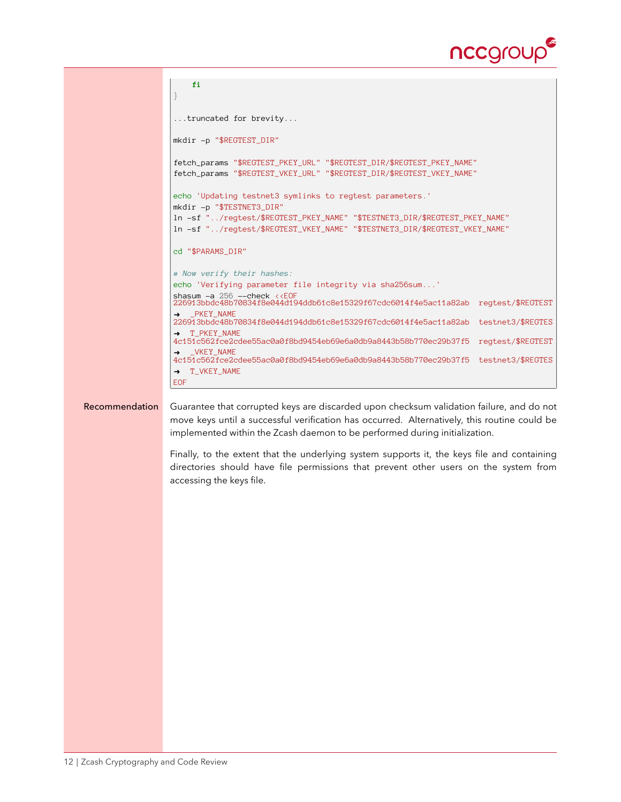

|                | fi                                                                                                                                                                                                                                                                     |
|----------------|------------------------------------------------------------------------------------------------------------------------------------------------------------------------------------------------------------------------------------------------------------------------|
|                | truncated for brevity                                                                                                                                                                                                                                                  |
|                | mkdir -p "\$REGTEST_DIR"                                                                                                                                                                                                                                               |
|                | fetch_params "\$REGTEST_PKEY_URL" "\$REGTEST_DIR/\$REGTEST_PKEY_NAME"<br>fetch_params "\$REGTEST_VKEY_URL" "\$REGTEST_DIR/\$REGTEST_VKEY_NAME"                                                                                                                         |
|                | echo 'Updating testnet3 symlinks to regtest parameters.'<br>mkdir -p "\$TESTNET3_DIR"<br>In -sf "/regtest/\$REGTEST_PKEY_NAME" "\$TESTNET3_DIR/\$REGTEST_PKEY_NAME"<br>In -sf "/regtest/\$REGTEST_VKEY_NAME" "\$TESTNET3_DIR/\$REGTEST_VKEY_NAME"                      |
|                | cd "\$PARAMS_DIR"                                                                                                                                                                                                                                                      |
|                | # Now verify their hashes:<br>echo 'Verifying parameter file integrity via sha256sum'                                                                                                                                                                                  |
|                | shasum -a 256 -- check < <eof<br>226913bbdc48b70834f8e044d194ddb61c8e15329f67cdc6014f4e5ac11a82ab regtest/\$REGTEST<br/><math>\rightarrow</math> <math>\_</math>PKEY<math>\_</math>NAME</eof<br>                                                                       |
|                | 226913bbdc48b70834f8e044d194ddb61c8e15329f67cdc6014f4e5ac11a82ab testnet3/\$REGTES<br>→ T_PKEY_NAME                                                                                                                                                                    |
|                | 4c151c562fce2cdee55ac0a0f8bd9454eb69e6a0db9a8443b58b770ec29b37f5 regtest/\$REGTEST<br>$\rightarrow$ VKEY NAME<br>4c151c562fce2cdee55ac0a0f8bd9454eb69e6a0db9a8443b58b770ec29b37f5 testnet3/\$REGTES                                                                    |
|                | $\rightarrow$ T_VKEY_NAME<br><b>EOF</b>                                                                                                                                                                                                                                |
| Recommendation | Guarantee that corrupted keys are discarded upon checksum validation failure, and do not<br>move keys until a successful verification has occurred. Alternatively, this routine could be<br>implemented within the Zcash daemon to be performed during initialization. |
|                | Finally, to the extent that the underlying system supports it, the keys file and containing<br>directories should have file permissions that prevent other users on the system from<br>accessing the keys file.                                                        |
|                |                                                                                                                                                                                                                                                                        |
|                |                                                                                                                                                                                                                                                                        |
|                |                                                                                                                                                                                                                                                                        |
|                |                                                                                                                                                                                                                                                                        |
|                |                                                                                                                                                                                                                                                                        |
|                |                                                                                                                                                                                                                                                                        |
|                |                                                                                                                                                                                                                                                                        |
|                |                                                                                                                                                                                                                                                                        |
|                |                                                                                                                                                                                                                                                                        |
|                |                                                                                                                                                                                                                                                                        |
|                |                                                                                                                                                                                                                                                                        |
|                |                                                                                                                                                                                                                                                                        |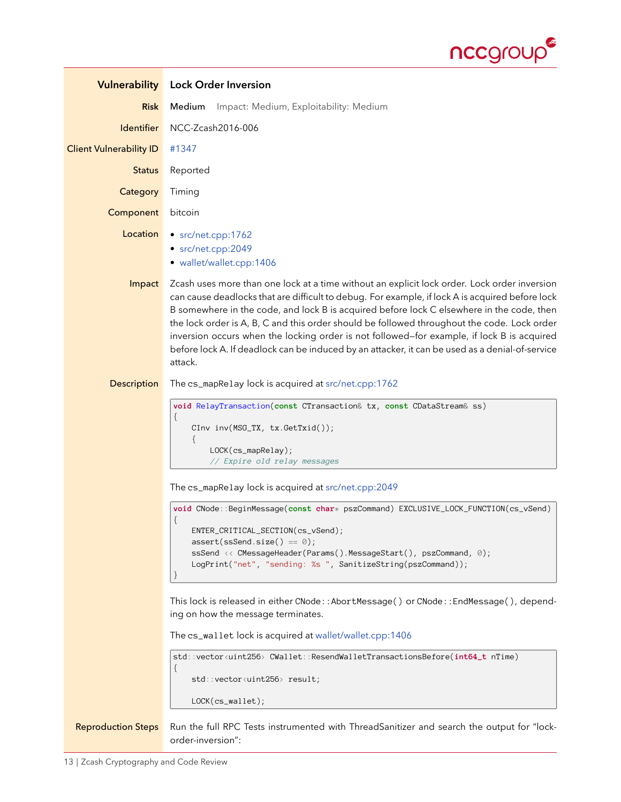

<span id="page-12-0"></span>

| <b>Vulnerability</b>           | <b>Lock Order Inversion</b>                                                                                                                                                                                                                                                                                                                                                                                                                                                                                                                                                                             |
|--------------------------------|---------------------------------------------------------------------------------------------------------------------------------------------------------------------------------------------------------------------------------------------------------------------------------------------------------------------------------------------------------------------------------------------------------------------------------------------------------------------------------------------------------------------------------------------------------------------------------------------------------|
| <b>Risk</b>                    | Medium<br>Impact: Medium, Exploitability: Medium                                                                                                                                                                                                                                                                                                                                                                                                                                                                                                                                                        |
| Identifier                     | NCC-Zcash2016-006                                                                                                                                                                                                                                                                                                                                                                                                                                                                                                                                                                                       |
| <b>Client Vulnerability ID</b> | #1347                                                                                                                                                                                                                                                                                                                                                                                                                                                                                                                                                                                                   |
| <b>Status</b>                  | Reported                                                                                                                                                                                                                                                                                                                                                                                                                                                                                                                                                                                                |
| Category                       | Timing                                                                                                                                                                                                                                                                                                                                                                                                                                                                                                                                                                                                  |
| Component                      | bitcoin                                                                                                                                                                                                                                                                                                                                                                                                                                                                                                                                                                                                 |
| Location                       | • src/net.cpp:1762<br>• src/net.cpp:2049<br>· wallet/wallet.cpp:1406                                                                                                                                                                                                                                                                                                                                                                                                                                                                                                                                    |
| Impact                         | Zcash uses more than one lock at a time without an explicit lock order. Lock order inversion<br>can cause deadlocks that are difficult to debug. For example, if lock A is acquired before lock<br>B somewhere in the code, and lock B is acquired before lock C elsewhere in the code, then<br>the lock order is A, B, C and this order should be followed throughout the code. Lock order<br>inversion occurs when the locking order is not followed-for example, if lock B is acquired<br>before lock A. If deadlock can be induced by an attacker, it can be used as a denial-of-service<br>attack. |
| Description                    | The cs_mapRelay lock is acquired at src/net.cpp:1762                                                                                                                                                                                                                                                                                                                                                                                                                                                                                                                                                    |
|                                | void RelayTransaction(const CTransaction& tx, const CDataStream& ss)<br>€<br>CInv inv(MSG_TX, tx.GetTxid());<br>₹<br>LOCK(cs_mapRelay);<br>// Expire old relay messages                                                                                                                                                                                                                                                                                                                                                                                                                                 |
|                                | The cs_mapRelay lock is acquired at src/net.cpp:2049                                                                                                                                                                                                                                                                                                                                                                                                                                                                                                                                                    |
|                                | void CNode::BeginMessage(const char* pszCommand) EXCLUSIVE_LOCK_FUNCTION(cs_vSend)<br>₹<br>ENTER_CRITICAL_SECTION(cs_vSend);<br>$assert(s$ Send.size() == 0);<br>ssSend << CMessageHeader(Params().MessageStart(), pszCommand, 0);<br>LogPrint("net", "sending: %s ", SanitizeString(pszCommand));                                                                                                                                                                                                                                                                                                      |
|                                | This lock is released in either CNode:: AbortMessage() or CNode:: EndMessage(), depend-<br>ing on how the message terminates.                                                                                                                                                                                                                                                                                                                                                                                                                                                                           |
|                                | The cs_wallet lock is acquired at wallet/wallet.cpp:1406                                                                                                                                                                                                                                                                                                                                                                                                                                                                                                                                                |
|                                | std::vector <uint256> CWallet::ResendWalletTransactionsBefore(int64_t nTime)<br/>€<br/>std::vector<uint256> result;</uint256></uint256>                                                                                                                                                                                                                                                                                                                                                                                                                                                                 |
|                                | $LOCK(cs-wallet);$                                                                                                                                                                                                                                                                                                                                                                                                                                                                                                                                                                                      |
| <b>Reproduction Steps</b>      | Run the full RPC Tests instrumented with ThreadSanitizer and search the output for "lock-<br>order-inversion":                                                                                                                                                                                                                                                                                                                                                                                                                                                                                          |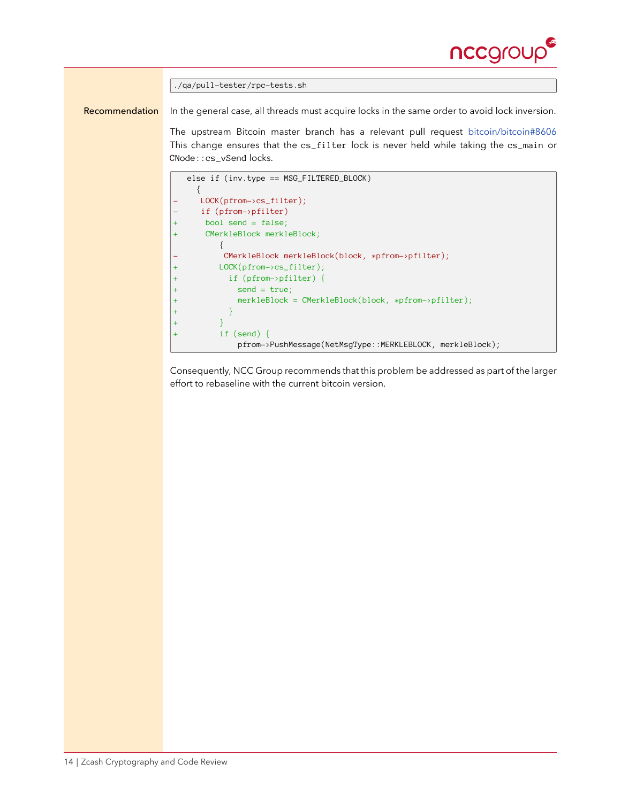

./qa/pull-tester/rpc-tests.sh

Recommendation In the general case, all threads must acquire locks in the same order to avoid lock inversion.

The upstream Bitcoin master branch has a relevant pull request [bitcoin/bitcoin#8606](https://github.com/bitcoin/bitcoin/pull/8606) This change ensures that the cs\_filter lock is never held while taking the cs\_main or CNode::cs\_vSend locks.

|     | else if $(inv.\ttype == MSG_FILTERED_BLOCK)$              |
|-----|-----------------------------------------------------------|
|     |                                                           |
|     | $LOCK(pfrom\rightarrow cs_fitter)$ ;                      |
|     | if (pfrom->pfilter)                                       |
| $+$ | $bool$ send = false;                                      |
| $+$ | CMerkleBlock merkleBlock;                                 |
|     |                                                           |
| -   | CMerkleBlock merkleBlock(block, *pfrom->pfilter);         |
| $+$ | $LOCK(pfrom\rightarrow cs_fitter)$ ;                      |
| $+$ | if (pfrom->pfilter) {                                     |
| $+$ | $send = true;$                                            |
| $+$ | $merkleBlock = CMerkleBlock(block, *pfrom->pfilter);$     |
| $+$ |                                                           |
| $+$ |                                                           |
| $+$ | if (send) {                                               |
|     | pfrom->PushMessage(NetMsgType::MERKLEBLOCK, merkleBlock); |

Consequently, NCC Group recommends that this problem be addressed as part of the larger effort to rebaseline with the current bitcoin version.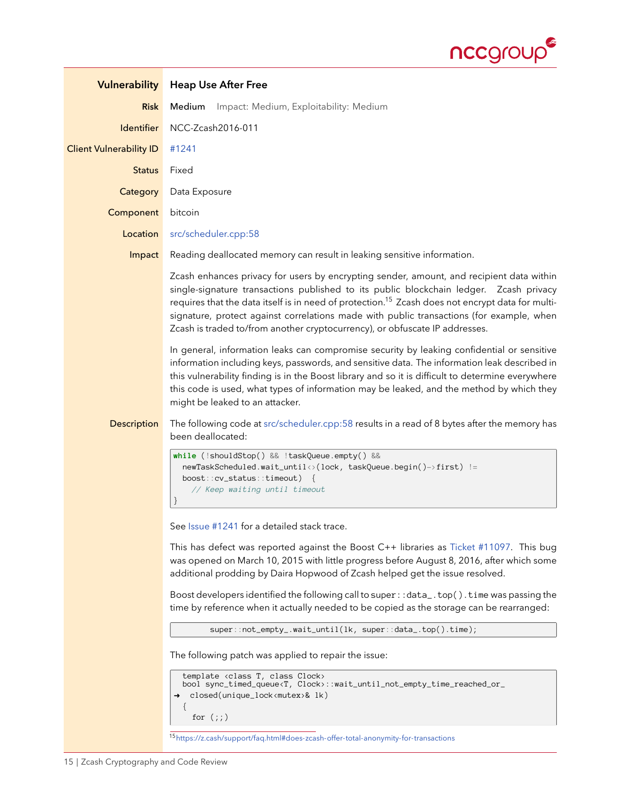

<span id="page-14-1"></span><span id="page-14-0"></span>

|                                | <b>Vulnerability</b> Heap Use After Free                                                                                                                                                                                                                                                                                                                                                                                                                                      |
|--------------------------------|-------------------------------------------------------------------------------------------------------------------------------------------------------------------------------------------------------------------------------------------------------------------------------------------------------------------------------------------------------------------------------------------------------------------------------------------------------------------------------|
| <b>Risk</b>                    | Impact: Medium, Exploitability: Medium<br>Medium                                                                                                                                                                                                                                                                                                                                                                                                                              |
| Identifier                     | NCC-Zcash2016-011                                                                                                                                                                                                                                                                                                                                                                                                                                                             |
| <b>Client Vulnerability ID</b> | #1241                                                                                                                                                                                                                                                                                                                                                                                                                                                                         |
| <b>Status</b>                  | Fixed                                                                                                                                                                                                                                                                                                                                                                                                                                                                         |
| Category                       | Data Exposure                                                                                                                                                                                                                                                                                                                                                                                                                                                                 |
| Component                      | bitcoin                                                                                                                                                                                                                                                                                                                                                                                                                                                                       |
| Location                       | src/scheduler.cpp:58                                                                                                                                                                                                                                                                                                                                                                                                                                                          |
| Impact                         | Reading deallocated memory can result in leaking sensitive information.                                                                                                                                                                                                                                                                                                                                                                                                       |
|                                | Zcash enhances privacy for users by encrypting sender, amount, and recipient data within<br>single-signature transactions published to its public blockchain ledger. Zcash privacy<br>requires that the data itself is in need of protection. <sup>15</sup> Zcash does not encrypt data for multi-<br>signature, protect against correlations made with public transactions (for example, when<br>Zcash is traded to/from another cryptocurrency), or obfuscate IP addresses. |
|                                | In general, information leaks can compromise security by leaking confidential or sensitive<br>information including keys, passwords, and sensitive data. The information leak described in<br>this vulnerability finding is in the Boost library and so it is difficult to determine everywhere<br>this code is used, what types of information may be leaked, and the method by which they<br>might be leaked to an attacker.                                                |
| Description                    | The following code at src/scheduler.cpp:58 results in a read of 8 bytes after the memory has<br>been deallocated:                                                                                                                                                                                                                                                                                                                                                             |
|                                | while (!shouldStop() && !taskQueue.empty() &&<br>newTaskScheduled.wait_until<>(lock, taskQueue.begin()->first) !=<br>boost:: cv_status:: timeout) {<br>// Keep waiting until timeout<br>}                                                                                                                                                                                                                                                                                     |
|                                | See Issue #1241 for a detailed stack trace.                                                                                                                                                                                                                                                                                                                                                                                                                                   |
|                                | This has defect was reported against the Boost C++ libraries as Ticket #11097. This bug<br>was opened on March 10, 2015 with little progress before August 8, 2016, after which some<br>additional prodding by Daira Hopwood of Zcash helped get the issue resolved.                                                                                                                                                                                                          |
|                                | Boost developers identified the following call to super : : data_.top().time was passing the<br>time by reference when it actually needed to be copied as the storage can be rearranged:                                                                                                                                                                                                                                                                                      |
|                                | super::not_empty_.wait_until(lk, super::data_.top().time);                                                                                                                                                                                                                                                                                                                                                                                                                    |
|                                | The following patch was applied to repair the issue:                                                                                                                                                                                                                                                                                                                                                                                                                          |
|                                | template <class class="" clock="" t,=""><br/>bool sync_timed_queue<t, clock="">::wait_until_not_empty_time_reached_or_<br/>closed(unique_lock<mutex>&amp; lk)<br/>→<br/><math>\{</math><br/>for <math>(j)</math></mutex></t,></class>                                                                                                                                                                                                                                         |
|                                | <sup>15</sup> https://z.cash/support/faq.html#does-zcash-offer-total-anonymity-for-transactions                                                                                                                                                                                                                                                                                                                                                                               |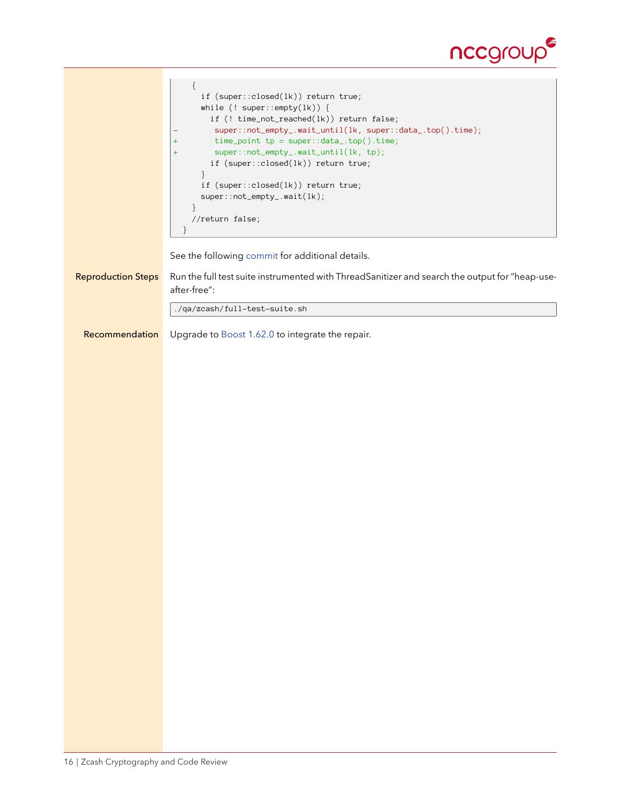

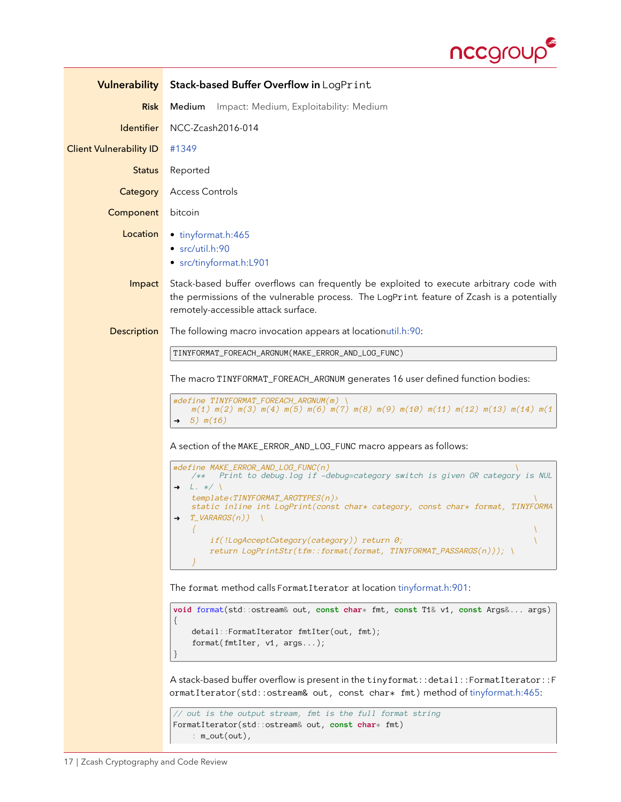

<span id="page-16-0"></span>

| <b>Vulnerability</b>           | Stack-based Buffer Overflow in LogPrint                                                                                                                                                                                                                                                           |
|--------------------------------|---------------------------------------------------------------------------------------------------------------------------------------------------------------------------------------------------------------------------------------------------------------------------------------------------|
| <b>Risk</b>                    | Medium<br>Impact: Medium, Exploitability: Medium                                                                                                                                                                                                                                                  |
| Identifier                     | NCC-Zcash2016-014                                                                                                                                                                                                                                                                                 |
| <b>Client Vulnerability ID</b> | #1349                                                                                                                                                                                                                                                                                             |
| <b>Status</b>                  | Reported                                                                                                                                                                                                                                                                                          |
| Category                       | <b>Access Controls</b>                                                                                                                                                                                                                                                                            |
| Component                      | bitcoin                                                                                                                                                                                                                                                                                           |
| Location                       | • tinyformat.h:465<br>• src/util.h:90<br>• src/tinyformat.h:L901                                                                                                                                                                                                                                  |
| Impact                         | Stack-based buffer overflows can frequently be exploited to execute arbitrary code with<br>the permissions of the vulnerable process. The LogPrint feature of Zcash is a potentially<br>remotely-accessible attack surface.                                                                       |
| Description                    | The following macro invocation appears at locationutil.h:90:                                                                                                                                                                                                                                      |
|                                | TINYFORMAT_FOREACH_ARGNUM(MAKE_ERROR_AND_LOG_FUNC)                                                                                                                                                                                                                                                |
|                                | The macro TINYFORMAT_FOREACH_ARGNUM generates 16 user defined function bodies:<br>#define TINYFORMAT_FOREACH_ARGNUM(m)<br>$m(1)$ $m(2)$ $m(3)$ $m(4)$ $m(5)$ $m(6)$ $m(7)$ $m(8)$ $m(9)$ $m(10)$ $m(11)$ $m(12)$ $m(13)$ $m(14)$ $m(1)$<br>5) $m(16)$<br>$\rightarrow$                            |
|                                | A section of the MAKE_ERROR_AND_LOG_FUNC macro appears as follows:<br>#define MAKE_ERROR_AND_LOG_FUNC(n)<br>Print to debug. log if -debug=category switch is given OR category is NUL<br>/**<br>$L. * / \sqrt{}$<br>$\rightarrow$<br>$template$ <tinyformat argtypes(<math="">n)&gt;</tinyformat> |
|                                | static inline int LogPrint(const char* category, const char* format, TINYFORMA<br>$T_V$ VARARGS $(n)$ )<br>if(!LogAcceptCategory(category)) return 0;<br>return LogPrintStr(tfm::format(format, TINYFORMAT_PASSARGS(n))); \                                                                       |
|                                | The format method calls FormatIterator at location tinyformat.h:901:                                                                                                                                                                                                                              |
|                                | void format(std::ostream& out, const char* fmt, const T1& v1, const Args& args)<br>$\mathcal{L}$<br>detail::FormatIterator fmtIter(out, fmt);<br>format(fmtIter, $v1$ , args);<br>}                                                                                                               |
|                                | A stack-based buffer overflow is present in the tiny format::detail::FormatIterator::F<br>ormatIterator(std::ostream& out, const char* fmt) method of tinyformat.h:465:                                                                                                                           |
|                                | // out is the output stream, fmt is the full format string<br>FormatIterator(std::ostream& out, const char* fmt)                                                                                                                                                                                  |

17 | Zcash Cryptography and Code Review

: m\_out(out),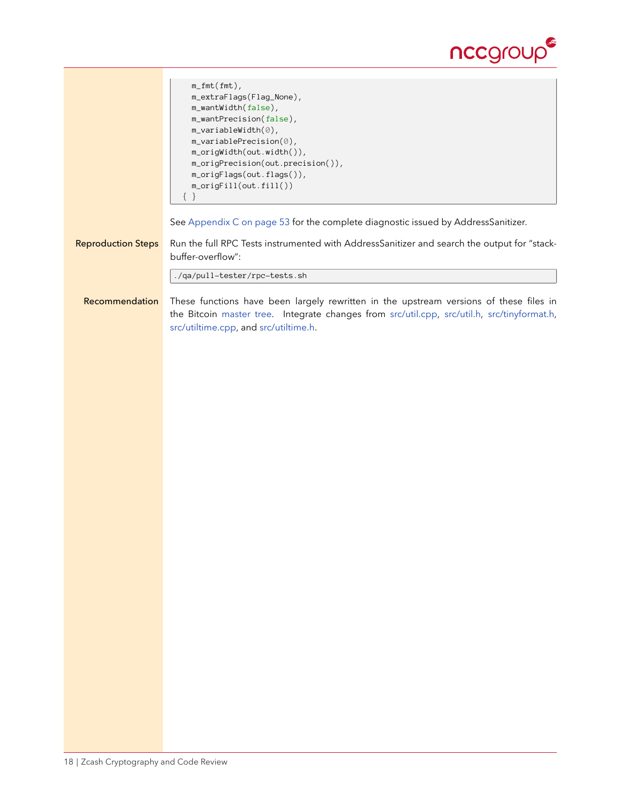

|                           | $m_fmt(fmt)$ ,<br>m_extraFlags(Flag_None),<br>m_wantWidth(false),<br>m_wantPrecision(false),<br>$m_\text{variableWidth}(\emptyset)$ ,<br>$m_$ variable $Precision(\emptyset)$ ,<br>m_origWidth(out.width()),<br>m_origPrecision(out.precision()),<br>m_origFlags(out.flags()),<br>m_origFill(out.fill())<br>$\{\quad\}$ |
|---------------------------|-------------------------------------------------------------------------------------------------------------------------------------------------------------------------------------------------------------------------------------------------------------------------------------------------------------------------|
|                           | See Appendix C on page 53 for the complete diagnostic issued by AddressSanitizer.                                                                                                                                                                                                                                       |
| <b>Reproduction Steps</b> | Run the full RPC Tests instrumented with AddressSanitizer and search the output for "stack-<br>buffer-overflow":                                                                                                                                                                                                        |
|                           | ./qa/pull-tester/rpc-tests.sh                                                                                                                                                                                                                                                                                           |
| Recommendation            | These functions have been largely rewritten in the upstream versions of these files in<br>the Bitcoin master tree. Integrate changes from src/util.cpp, src/util.h, src/tinyformat.h,<br>src/utiltime.cpp, and src/utiltime.h.                                                                                          |
|                           |                                                                                                                                                                                                                                                                                                                         |
|                           |                                                                                                                                                                                                                                                                                                                         |
|                           |                                                                                                                                                                                                                                                                                                                         |
|                           |                                                                                                                                                                                                                                                                                                                         |
|                           |                                                                                                                                                                                                                                                                                                                         |
|                           |                                                                                                                                                                                                                                                                                                                         |
|                           |                                                                                                                                                                                                                                                                                                                         |
|                           |                                                                                                                                                                                                                                                                                                                         |
|                           |                                                                                                                                                                                                                                                                                                                         |
|                           |                                                                                                                                                                                                                                                                                                                         |
|                           |                                                                                                                                                                                                                                                                                                                         |
|                           |                                                                                                                                                                                                                                                                                                                         |
|                           |                                                                                                                                                                                                                                                                                                                         |
|                           |                                                                                                                                                                                                                                                                                                                         |
|                           |                                                                                                                                                                                                                                                                                                                         |
|                           |                                                                                                                                                                                                                                                                                                                         |
|                           |                                                                                                                                                                                                                                                                                                                         |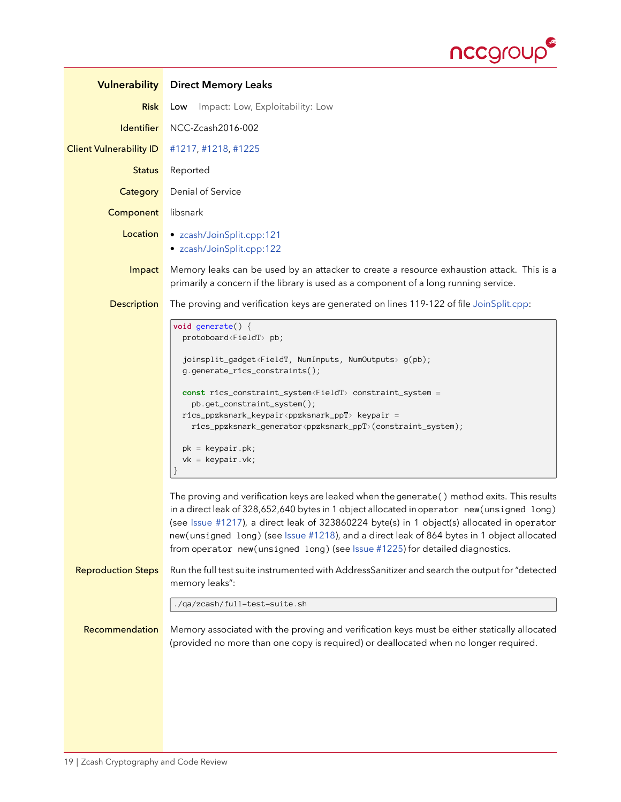

<span id="page-18-0"></span>

|                                | <b>Vulnerability</b> Direct Memory Leaks                                                                                                                                                                                                                                                                                                                                                                                                                                 |
|--------------------------------|--------------------------------------------------------------------------------------------------------------------------------------------------------------------------------------------------------------------------------------------------------------------------------------------------------------------------------------------------------------------------------------------------------------------------------------------------------------------------|
| <b>Risk</b>                    | Impact: Low, Exploitability: Low<br>Low                                                                                                                                                                                                                                                                                                                                                                                                                                  |
| <b>Identifier</b>              | NCC-Zcash2016-002                                                                                                                                                                                                                                                                                                                                                                                                                                                        |
| <b>Client Vulnerability ID</b> | #1217, #1218, #1225                                                                                                                                                                                                                                                                                                                                                                                                                                                      |
| <b>Status</b>                  | Reported                                                                                                                                                                                                                                                                                                                                                                                                                                                                 |
| Category                       | Denial of Service                                                                                                                                                                                                                                                                                                                                                                                                                                                        |
| Component                      | libsnark                                                                                                                                                                                                                                                                                                                                                                                                                                                                 |
| Location                       | • zcash/JoinSplit.cpp:121<br>• zcash/JoinSplit.cpp:122                                                                                                                                                                                                                                                                                                                                                                                                                   |
| Impact                         | Memory leaks can be used by an attacker to create a resource exhaustion attack. This is a<br>primarily a concern if the library is used as a component of a long running service.                                                                                                                                                                                                                                                                                        |
| <b>Description</b>             | The proving and verification keys are generated on lines 119-122 of file JoinSplit.cpp:                                                                                                                                                                                                                                                                                                                                                                                  |
|                                | $void generate() { }$<br>protoboard <fieldt>pb;</fieldt>                                                                                                                                                                                                                                                                                                                                                                                                                 |
|                                | joinsplit_gadget <fieldt, numinputs,="" numoutputs=""> g(pb);<br/>g.generate_r1cs_constraints();</fieldt,>                                                                                                                                                                                                                                                                                                                                                               |
|                                | const rics_constraint_system <fieldt> constraint_system =<br/>pb.get_constraint_system();<br/>r1cs_ppzksnark_keypair<ppzksnark_ppt> keypair =<br/>r1cs_ppzksnark_generator<ppzksnark_ppt>(constraint_system);<br/><math>pk = keypair.py</math>;<br/><math>vk = keypair.vk;</math></ppzksnark_ppt></ppzksnark_ppt></fieldt>                                                                                                                                               |
|                                | The proving and verification keys are leaked when the generate () method exits. This results<br>in a direct leak of 328,652,640 bytes in 1 object allocated in operator new (unsigned long)<br>(see Issue #1217), a direct leak of 323860224 byte(s) in 1 object(s) allocated in operator<br>new(unsigned long) (see Issue #1218), and a direct leak of 864 bytes in 1 object allocated<br>from operator new (unsigned long) (see Issue #1225) for detailed diagnostics. |
| <b>Reproduction Steps</b>      | Run the full test suite instrumented with AddressSanitizer and search the output for "detected<br>memory leaks":                                                                                                                                                                                                                                                                                                                                                         |
|                                | ./qa/zcash/full-test-suite.sh                                                                                                                                                                                                                                                                                                                                                                                                                                            |
| Recommendation                 | Memory associated with the proving and verification keys must be either statically allocated<br>(provided no more than one copy is required) or deallocated when no longer required.                                                                                                                                                                                                                                                                                     |
|                                |                                                                                                                                                                                                                                                                                                                                                                                                                                                                          |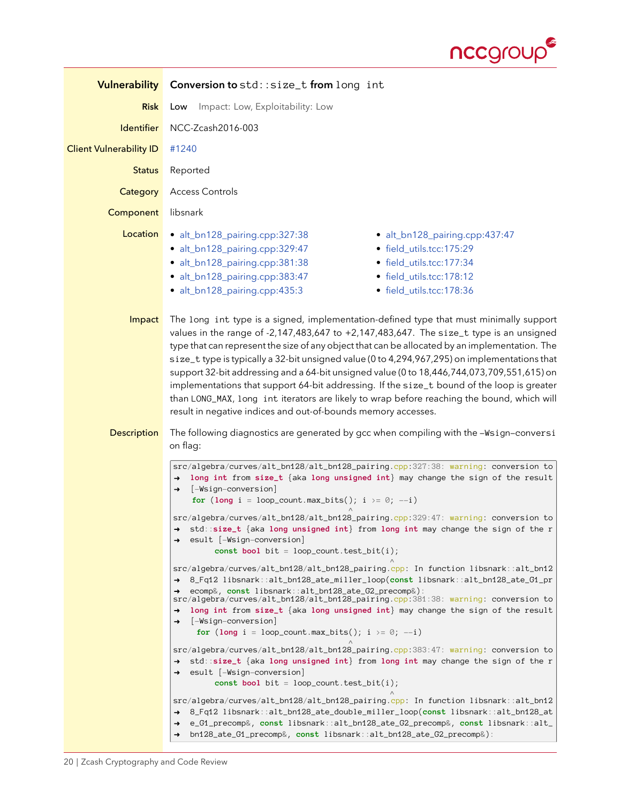

<span id="page-19-0"></span>

|                                | Vulnerability Conversion to std: : size_t from long int                                                                                                                                                                                                                                                                                                                                                                                                                                                                                                                                                                                                                                                                                                                                                                                                                                                                                                                                                                                                                                                                                                                                                                                                                                                                                                                                                                                                                                                                                                                                                                                                                                                                                                                           |
|--------------------------------|-----------------------------------------------------------------------------------------------------------------------------------------------------------------------------------------------------------------------------------------------------------------------------------------------------------------------------------------------------------------------------------------------------------------------------------------------------------------------------------------------------------------------------------------------------------------------------------------------------------------------------------------------------------------------------------------------------------------------------------------------------------------------------------------------------------------------------------------------------------------------------------------------------------------------------------------------------------------------------------------------------------------------------------------------------------------------------------------------------------------------------------------------------------------------------------------------------------------------------------------------------------------------------------------------------------------------------------------------------------------------------------------------------------------------------------------------------------------------------------------------------------------------------------------------------------------------------------------------------------------------------------------------------------------------------------------------------------------------------------------------------------------------------------|
| <b>Risk</b>                    | Impact: Low, Exploitability: Low<br>Low                                                                                                                                                                                                                                                                                                                                                                                                                                                                                                                                                                                                                                                                                                                                                                                                                                                                                                                                                                                                                                                                                                                                                                                                                                                                                                                                                                                                                                                                                                                                                                                                                                                                                                                                           |
| Identifier                     | NCC-Zcash2016-003                                                                                                                                                                                                                                                                                                                                                                                                                                                                                                                                                                                                                                                                                                                                                                                                                                                                                                                                                                                                                                                                                                                                                                                                                                                                                                                                                                                                                                                                                                                                                                                                                                                                                                                                                                 |
| <b>Client Vulnerability ID</b> | #1240                                                                                                                                                                                                                                                                                                                                                                                                                                                                                                                                                                                                                                                                                                                                                                                                                                                                                                                                                                                                                                                                                                                                                                                                                                                                                                                                                                                                                                                                                                                                                                                                                                                                                                                                                                             |
| <b>Status</b>                  | Reported                                                                                                                                                                                                                                                                                                                                                                                                                                                                                                                                                                                                                                                                                                                                                                                                                                                                                                                                                                                                                                                                                                                                                                                                                                                                                                                                                                                                                                                                                                                                                                                                                                                                                                                                                                          |
| Category                       | <b>Access Controls</b>                                                                                                                                                                                                                                                                                                                                                                                                                                                                                                                                                                                                                                                                                                                                                                                                                                                                                                                                                                                                                                                                                                                                                                                                                                                                                                                                                                                                                                                                                                                                                                                                                                                                                                                                                            |
| Component                      | libsnark                                                                                                                                                                                                                                                                                                                                                                                                                                                                                                                                                                                                                                                                                                                                                                                                                                                                                                                                                                                                                                                                                                                                                                                                                                                                                                                                                                                                                                                                                                                                                                                                                                                                                                                                                                          |
| Location                       | · alt_bn128_pairing.cpp:327:38<br>· alt_bn128_pairing.cpp:437:47<br>· alt_bn128_pairing.cpp:329:47<br>· field_utils.tcc:175:29<br>· alt_bn128_pairing.cpp:381:38<br>· field_utils.tcc:177:34<br>· alt_bn128_pairing.cpp:383:47<br>· field utils.tcc:178:12<br>· field_utils.tcc:178:36<br>· alt_bn128_pairing.cpp:435:3                                                                                                                                                                                                                                                                                                                                                                                                                                                                                                                                                                                                                                                                                                                                                                                                                                                                                                                                                                                                                                                                                                                                                                                                                                                                                                                                                                                                                                                           |
| Impact                         | The long int type is a signed, implementation-defined type that must minimally support<br>values in the range of -2,147,483,647 to +2,147,483,647. The size_t type is an unsigned<br>type that can represent the size of any object that can be allocated by an implementation. The<br>size_t type is typically a 32-bit unsigned value (0 to 4,294,967,295) on implementations that<br>support 32-bit addressing and a 64-bit unsigned value (0 to 18,446,744,073,709,551,615) on<br>implementations that support 64-bit addressing. If the size_t bound of the loop is greater<br>than LONG_MAX, long int iterators are likely to wrap before reaching the bound, which will<br>result in negative indices and out-of-bounds memory accesses.                                                                                                                                                                                                                                                                                                                                                                                                                                                                                                                                                                                                                                                                                                                                                                                                                                                                                                                                                                                                                                   |
| Description                    | The following diagnostics are generated by gcc when compiling with the -Wsign-conversi<br>on flag:                                                                                                                                                                                                                                                                                                                                                                                                                                                                                                                                                                                                                                                                                                                                                                                                                                                                                                                                                                                                                                                                                                                                                                                                                                                                                                                                                                                                                                                                                                                                                                                                                                                                                |
|                                | src/algebra/curves/alt_bn128/alt_bn128_pairing.cpp:327:38: warning: conversion to<br>long int from size_t {aka long unsigned int} may change the sign of the result<br>$\rightarrow$<br>[-Wsign-conversion]<br>$\rightarrow$<br>for (long i = loop_count.max_bits(); i >= $\emptyset$ ; --i)<br>src/algebra/curves/alt_bn128/alt_bn128_pairing.cpp:329:47: warning: conversion to<br>std::size_t {aka long unsigned int} from long int may change the sign of the r<br>$result$ $[-Wsign-conversion]$<br>$\rightarrow$<br>const bool bit = loop_count.test_bit(i);<br>src/algebra/curves/alt_bn128/alt_bn128_pairing.cpp: In function libsnark::alt_bn12<br>8_Fq12 libsnark::alt_bn128_ate_miller_loop(const libsnark::alt_bn128_ate_G1_pr<br>$\rightarrow$<br>ecomp&, const libsnark::alt_bn128_ate_G2_precomp&):<br>$\rightarrow$<br>src/algebra/curves/alt_bn128/alt_bn128_pairing.cpp:381:38: warning: conversion to<br>long int from size_t {aka long unsigned int} may change the sign of the result<br>$\rightarrow$<br>[-Wsign-conversion]<br>→<br>for (long i = loop_count.max_bits(); i >= 0; --i)<br>src/algebra/curves/alt_bn128/alt_bn128_pairing.cpp:383:47: warning: conversion to<br>std::size_t {aka long unsigned int} from long int may change the sign of the r<br>$\rightarrow$<br>esult [-Wsign-conversion]<br>$\rightarrow$<br>const bool bit = loop_count.test_bit(i);<br>src/algebra/curves/alt_bn128/alt_bn128_pairing.cpp: In function libsnark::alt_bn12<br>8_Fq12 libsnark::alt_bn128_ate_double_miller_loop(const libsnark::alt_bn128_at<br>$\rightarrow$<br>e_G1_precomp&, const libsnark::alt_bn128_ate_G2_precomp&, const libsnark::alt_<br>$\rightarrow$<br>bn128_ate_G1_precomp&, const libsnark::alt_bn128_ate_G2_precomp&):<br>$\rightarrow$ |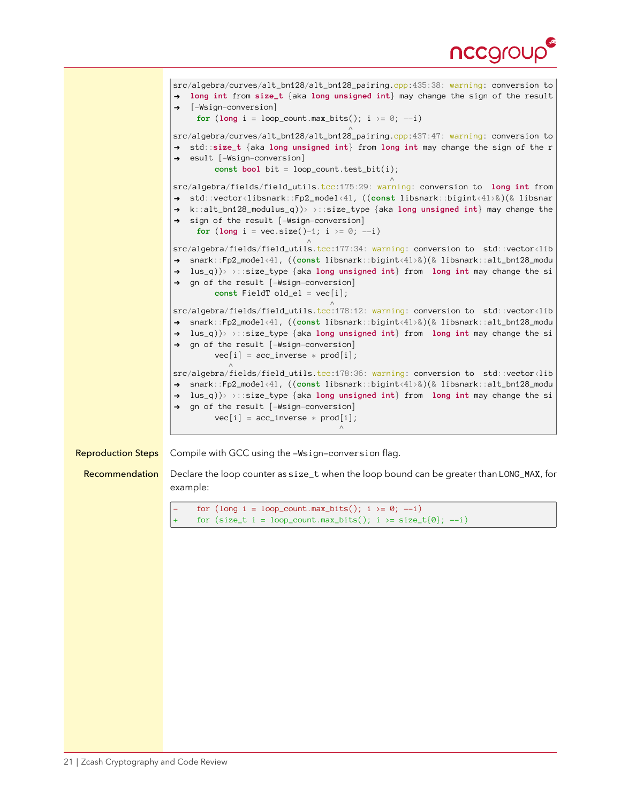

```
src/algebra/curves/alt_bn128/alt_bn128_pairing.cpp:435:38: warning: conversion to
                     long int from size_t {aka long unsigned int} may change the sign of the result
                     \rightarrow [-Wsign-conversion]
                          for (long i = loop_count.max\_bits(); i \ge 0; --i)
                     ^
src/algebra/curves/alt_bn128/alt_bn128_pairing.cpp:437:47: warning: conversion to
                     std::size_t {aka long unsigned int} from long int may change the sign of the r
                       esult [-Wsign-conversion]
                     \rightarrowconst bool bit = loop_count.test_bit(i);
                     ^
src/algebra/fields/field_utils.tcc:175:29: warning: conversion to long int from
                     std::vector<libsnark::Fp2_model<4l, ((const libsnark::bigint<4l>&)(& libsnar
                       k::alt_bn128_modulus_q))> >::size_type {aka long unsigned int} may change the
                     \rightarrowsign of the result [-Wsign-conversion]
                     \rightarrowfor (long i = vec.size() - 1; i \ge 0; --i)^
src/algebra/fields/field_utils.tcc:177:34: warning: conversion to std::vector<lib
                     snark::Fp2_model<4l, ((const libsnark::bigint<4l>&)(& libsnark::alt_bn128_modu
                       lus_q))> >::size_type {aka long unsigned int} from long int may change the si
                     gn of the result [-Wsign-conversion]
                              const FieldT old_el = vec[i];
                     ه<br>src/algebra/fields/field_utils.t<u>cc</u>:178:12: warning: conversion to std::vector<lib
                     snark::Fp2_model<4l, ((const libsnark::bigint<4l>&)(& libsnark::alt_bn128_modu
                     lus_q))> >::size_type {aka long unsigned int} from long int may change the si
                     gn of the result [-Wsign-conversion]
                              vec[i] = acc_inverse * prod[i];^<br>src/algebra/fields/field_utils.tcc:178:36: warning: conversion to  std::vector<lib
                     snark::Fp2_model<4l, ((const libsnark::bigint<4l>&)(& libsnark::alt_bn128_modu
                     lus_q))> >::size_type {aka long unsigned int} from long int may change the si
                     gn of the result [-Wsign-conversion]
                              vec[i] = acc_inverse * prod[i];\wedgeReproduction Steps Compile with GCC using the -Wsign-conversion flag.
 Recommendation Declare the loop counter as size_t when the loop bound can be greater than LONG_MAX, for
                    example:
```

```
for (long i = loop_count.max_bits(); i \ge 0; -i)+ for (size_t i = loop_count.max_bits(); i \geq size_t\{0\}; --i)
```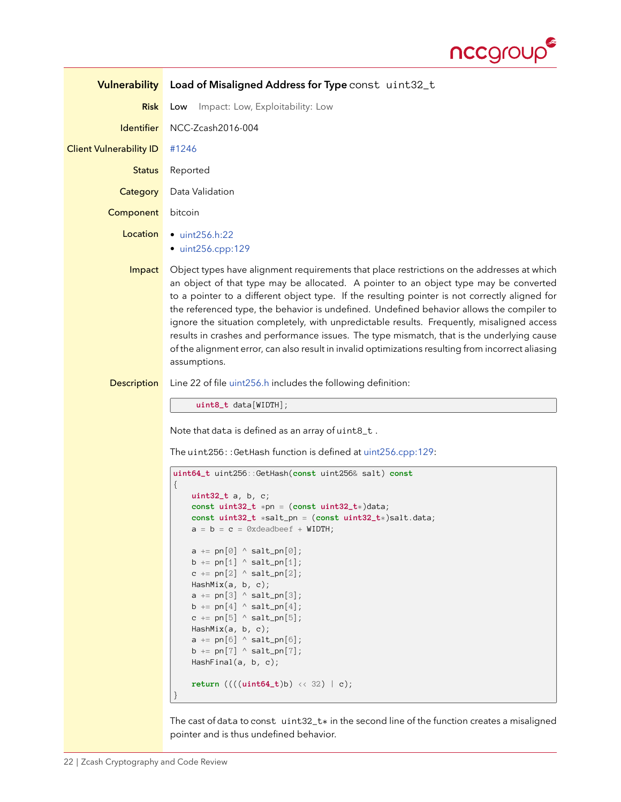

<span id="page-21-0"></span>

|                                | Vulnerability Load of Misaligned Address for Type const uint32_t                                                                                                                                                                                                                                                                                                                                                                                                                                                                                                                                                                                                                                                                                                                    |  |
|--------------------------------|-------------------------------------------------------------------------------------------------------------------------------------------------------------------------------------------------------------------------------------------------------------------------------------------------------------------------------------------------------------------------------------------------------------------------------------------------------------------------------------------------------------------------------------------------------------------------------------------------------------------------------------------------------------------------------------------------------------------------------------------------------------------------------------|--|
| <b>Risk</b>                    | Impact: Low, Exploitability: Low<br>Low                                                                                                                                                                                                                                                                                                                                                                                                                                                                                                                                                                                                                                                                                                                                             |  |
| Identifier                     | NCC-Zcash2016-004                                                                                                                                                                                                                                                                                                                                                                                                                                                                                                                                                                                                                                                                                                                                                                   |  |
| <b>Client Vulnerability ID</b> | #1246                                                                                                                                                                                                                                                                                                                                                                                                                                                                                                                                                                                                                                                                                                                                                                               |  |
| <b>Status</b>                  | Reported                                                                                                                                                                                                                                                                                                                                                                                                                                                                                                                                                                                                                                                                                                                                                                            |  |
| Category                       | Data Validation                                                                                                                                                                                                                                                                                                                                                                                                                                                                                                                                                                                                                                                                                                                                                                     |  |
| Component                      | bitcoin                                                                                                                                                                                                                                                                                                                                                                                                                                                                                                                                                                                                                                                                                                                                                                             |  |
| Location                       | $\bullet$ uint256.h:22<br>$\bullet$ uint256.cpp:129                                                                                                                                                                                                                                                                                                                                                                                                                                                                                                                                                                                                                                                                                                                                 |  |
| Impact                         | Object types have alignment requirements that place restrictions on the addresses at which<br>an object of that type may be allocated. A pointer to an object type may be converted<br>to a pointer to a different object type. If the resulting pointer is not correctly aligned for<br>the referenced type, the behavior is undefined. Undefined behavior allows the compiler to<br>ignore the situation completely, with unpredictable results. Frequently, misaligned access<br>results in crashes and performance issues. The type mismatch, that is the underlying cause<br>of the alignment error, can also result in invalid optimizations resulting from incorrect aliasing<br>assumptions.                                                                                |  |
| Description                    | Line 22 of file uint256.h includes the following definition:<br>uint8_t data[WIDTH];                                                                                                                                                                                                                                                                                                                                                                                                                                                                                                                                                                                                                                                                                                |  |
|                                | Note that data is defined as an array of uint8_t.<br>The uint256:: GetHash function is defined at uint256.cpp:129:<br>uint64_t uint256::GetHash(const uint256& salt) const<br>$\{$<br>$uint32_t a, b, c;$<br>const uint32_t $*pn = (const unit32_t*)data;$<br>const uint32_t *salt_pn = (const uint32_t*)salt.data;<br>$a = b = c = 0$ xdeadbeef + WIDTH;<br>$a := pn[0] \wedge salt\_pn[0];$<br>b += $pn[1]$ ^ salt_pn[1];<br>c += $pn[2]$ ^ salt_pn[2];<br>HashMix $(a, b, c)$ ;<br>$a == pn[3] \wedge salt\_pn[3];$<br>b += $pn[4] \wedge salt\_pn[4]$ ;<br>$c := pn[5]$ ^ salt_pn[5];<br>HashMix $(a, b, c)$ ;<br>$a == pn[6] \wedge salt\_pn[6];$<br>b += $pn[7]$ ^ salt_pn[7];<br>HashFinal $(a, b, c)$ ;<br><b>return</b> $(((\text{uint64\_t})b) \leftrightarrow 32)   c);$ |  |

The cast of data to const uint32\_t\* in the second line of the function creates a misaligned pointer and is thus undefined behavior.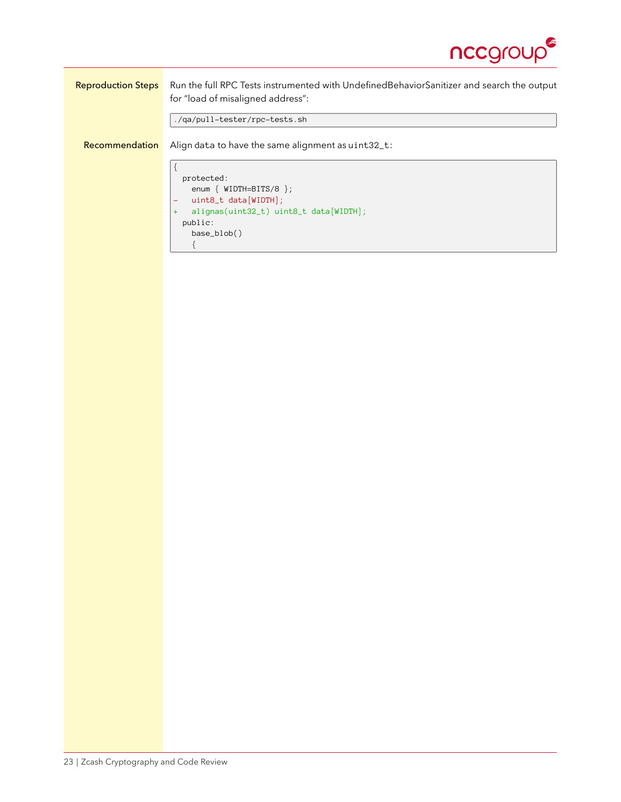

| for "load of misaligned address":<br>./ga/pull-tester/rpc-tests.sh                                                                                                                                                         |  |
|----------------------------------------------------------------------------------------------------------------------------------------------------------------------------------------------------------------------------|--|
| Align data to have the same alignment as uint32_t:<br>Recommendation<br>protected:<br>enum { $WIDTH=BITS/8$ };<br>uint8_t data[WIDTH];<br>-<br>$alignas(uint32_t)$ uint8_t data[WIDTH];<br>$+$<br>public:<br>$base_llob()$ |  |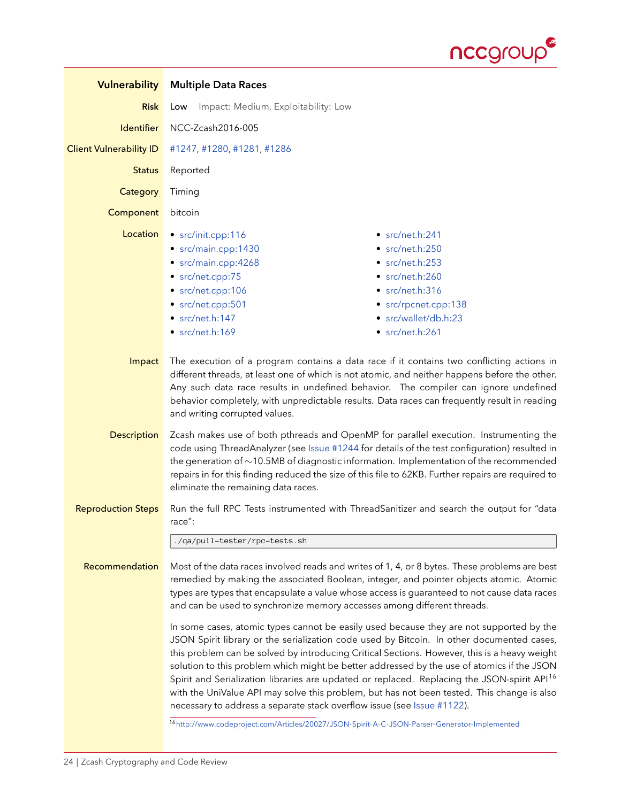

<span id="page-23-1"></span><span id="page-23-0"></span>

| <b>Vulnerability</b>           | <b>Multiple Data Races</b>                                              |                                                                                                                                                                                                                                                                                                                                                                                                                                                                                                                                                                                                                                                                                              |
|--------------------------------|-------------------------------------------------------------------------|----------------------------------------------------------------------------------------------------------------------------------------------------------------------------------------------------------------------------------------------------------------------------------------------------------------------------------------------------------------------------------------------------------------------------------------------------------------------------------------------------------------------------------------------------------------------------------------------------------------------------------------------------------------------------------------------|
| <b>Risk</b>                    | Impact: Medium, Exploitability: Low<br>Low                              |                                                                                                                                                                                                                                                                                                                                                                                                                                                                                                                                                                                                                                                                                              |
| Identifier                     | NCC-Zcash2016-005                                                       |                                                                                                                                                                                                                                                                                                                                                                                                                                                                                                                                                                                                                                                                                              |
| <b>Client Vulnerability ID</b> | #1247, #1280, #1281, #1286                                              |                                                                                                                                                                                                                                                                                                                                                                                                                                                                                                                                                                                                                                                                                              |
| <b>Status</b>                  | Reported                                                                |                                                                                                                                                                                                                                                                                                                                                                                                                                                                                                                                                                                                                                                                                              |
| Category                       | Timing                                                                  |                                                                                                                                                                                                                                                                                                                                                                                                                                                                                                                                                                                                                                                                                              |
| Component                      | bitcoin                                                                 |                                                                                                                                                                                                                                                                                                                                                                                                                                                                                                                                                                                                                                                                                              |
| Location                       | • src/init.cpp:116                                                      | $\bullet$ src/net.h:241                                                                                                                                                                                                                                                                                                                                                                                                                                                                                                                                                                                                                                                                      |
|                                | • src/main.cpp:1430                                                     | $\bullet$ src/net.h:250                                                                                                                                                                                                                                                                                                                                                                                                                                                                                                                                                                                                                                                                      |
|                                | • src/main.cpp:4268                                                     | • src/net.h:253                                                                                                                                                                                                                                                                                                                                                                                                                                                                                                                                                                                                                                                                              |
|                                | • src/net.cpp:75                                                        | $\bullet$ src/net.h:260                                                                                                                                                                                                                                                                                                                                                                                                                                                                                                                                                                                                                                                                      |
|                                | • src/net.cpp:106                                                       | • src/net.h:316                                                                                                                                                                                                                                                                                                                                                                                                                                                                                                                                                                                                                                                                              |
|                                | • src/net.cpp:501                                                       | • src/rpcnet.cpp:138                                                                                                                                                                                                                                                                                                                                                                                                                                                                                                                                                                                                                                                                         |
|                                | $\bullet$ src/net.h:147                                                 | • src/wallet/db.h:23                                                                                                                                                                                                                                                                                                                                                                                                                                                                                                                                                                                                                                                                         |
|                                | $\bullet$ src/net.h:169                                                 | $\bullet$ src/net.h:261                                                                                                                                                                                                                                                                                                                                                                                                                                                                                                                                                                                                                                                                      |
| Impact                         | and writing corrupted values.                                           | The execution of a program contains a data race if it contains two conflicting actions in<br>different threads, at least one of which is not atomic, and neither happens before the other.<br>Any such data race results in undefined behavior. The compiler can ignore undefined<br>behavior completely, with unpredictable results. Data races can frequently result in reading                                                                                                                                                                                                                                                                                                            |
| Description                    | eliminate the remaining data races.                                     | Zcash makes use of both pthreads and OpenMP for parallel execution. Instrumenting the<br>code using ThreadAnalyzer (see Issue #1244 for details of the test configuration) resulted in<br>the generation of $\sim$ 10.5MB of diagnostic information. Implementation of the recommended<br>repairs in for this finding reduced the size of this file to 62KB. Further repairs are required to                                                                                                                                                                                                                                                                                                 |
| <b>Reproduction Steps</b>      | race":                                                                  | Run the full RPC Tests instrumented with ThreadSanitizer and search the output for "data                                                                                                                                                                                                                                                                                                                                                                                                                                                                                                                                                                                                     |
|                                | ./qa/pull-tester/rpc-tests.sh                                           |                                                                                                                                                                                                                                                                                                                                                                                                                                                                                                                                                                                                                                                                                              |
| Recommendation                 |                                                                         | Most of the data races involved reads and writes of 1, 4, or 8 bytes. These problems are best<br>remedied by making the associated Boolean, integer, and pointer objects atomic. Atomic<br>types are types that encapsulate a value whose access is guaranteed to not cause data races<br>and can be used to synchronize memory accesses among different threads.                                                                                                                                                                                                                                                                                                                            |
|                                | necessary to address a separate stack overflow issue (see Issue #1122). | In some cases, atomic types cannot be easily used because they are not supported by the<br>JSON Spirit library or the serialization code used by Bitcoin. In other documented cases,<br>this problem can be solved by introducing Critical Sections. However, this is a heavy weight<br>solution to this problem which might be better addressed by the use of atomics if the JSON<br>Spirit and Serialization libraries are updated or replaced. Replacing the JSON-spirit API <sup>16</sup><br>with the UniValue API may solve this problem, but has not been tested. This change is also<br>16http://www.codeproject.com/Articles/20027/JSON-Spirit-A-C-JSON-Parser-Generator-Implemented |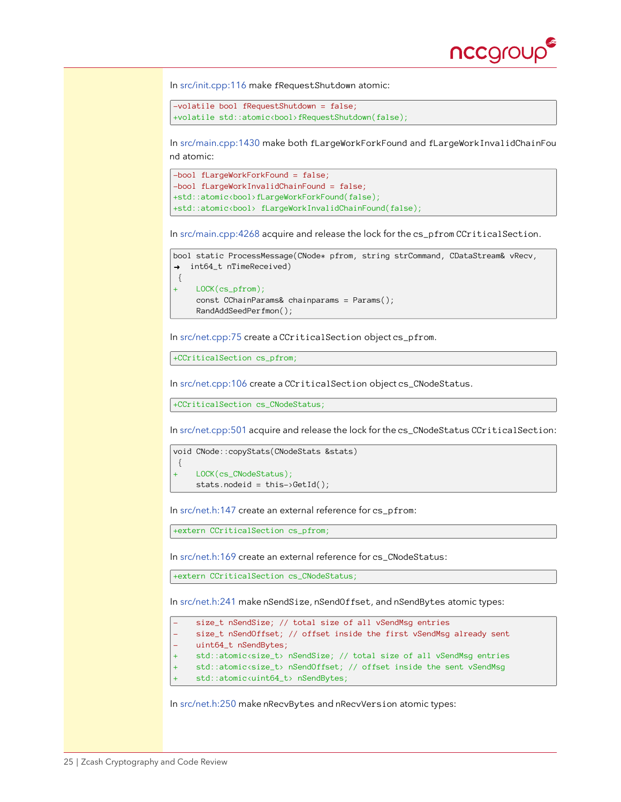

In [src/init.cpp:116](https://github.com/zcash/zcash/blob/zc.v0.11.2.latest/src/init.cpp#L116) make fRequestShutdown atomic:

```
-volatile bool fRequestShutdown = false;
+volatile std::atomic<bool>fRequestShutdown(false);
```
In [src/main.cpp:1430](https://github.com/zcash/zcash/blob/zc.v0.11.2.latest/src/main.cpp#L1430) make both fLargeWorkForkFound and fLargeWorkInvalidChainFou nd atomic:

```
-bool fLargeWorkForkFound = false;
-bool fLargeWorkInvalidChainFound = false;
+std::atomic<bool>fLargeWorkForkFound(false);
+std::atomic<bool> fLargeWorkInvalidChainFound(false);
```
In [src/main.cpp:4268](https://github.com/zcash/zcash/blob/zc.v0.11.2.latest/src/main.cpp#L4268) acquire and release the lock for the cs\_pfrom CCriticalSection.

```
bool static ProcessMessage(CNode* pfrom, string strCommand, CDataStream& vRecv,
→ int64_t nTimeReceived)
{
+ LOCK(cs_pfrom);
    const CChainParams& chainparams = Params();
    RandAddSeedPerfmon();
```
In [src/net.cpp:75](https://github.com/zcash/zcash/blob/zc.v0.11.2.latest/src/net.cpp#L75) create a CCriticalSection object cs\_pfrom.

+CCriticalSection cs\_pfrom;

In [src/net.cpp:106](https://github.com/zcash/zcash/blob/zc.v0.11.2.latest/src/net.cpp#L106) create a CCriticalSection object cs\_CNodeStatus.

+CCriticalSection cs\_CNodeStatus;

In [src/net.cpp:501](https://github.com/zcash/zcash/blob/zc.v0.11.2.latest/src/net.cpp#L501) acquire and release the lock for the cs\_CNodeStatus CCriticalSection:

```
void CNode::copyStats(CNodeStats &stats)
 {
     LOCK(cs_CNodeStatus);
     stats.nodeid = this->GetId();
```
In [src/net.h:147](https://github.com/zcash/zcash/blob/zc.v0.11.2.latest/src/net.h#147) create an external reference for cs\_pfrom:

+extern CCriticalSection cs\_pfrom;

In [src/net.h:169](https://github.com/zcash/zcash/blob/zc.v0.11.2.latest/src/net.h#L169) create an external reference for cs\_CNodeStatus:

+extern CCriticalSection cs\_CNodeStatus;

In [src/net.h:241](https://github.com/zcash/zcash/blob/zc.v0.11.2.latest/src/net.h#L241) make nSendSize, nSendOffset, and nSendBytes atomic types:

```
size_t nSendSize; // total size of all vSendMsg entries
  size_t nSendOffset; // offset inside the first vSendMsg already sent
   - uint64_t nSendBytes;
+ std::atomic<size_t> nSendSize; // total size of all vSendMsg entries
+ std::atomic<size_t> nSendOffset; // offset inside the sent vSendMsg
    std::atomic<uint64_t> nSendBytes;
```
In [src/net.h:250](https://github.com/zcash/zcash/blob/zc.v0.11.2.latest/src/net.h#L250) make nRecvBytes and nRecvVersion atomic types: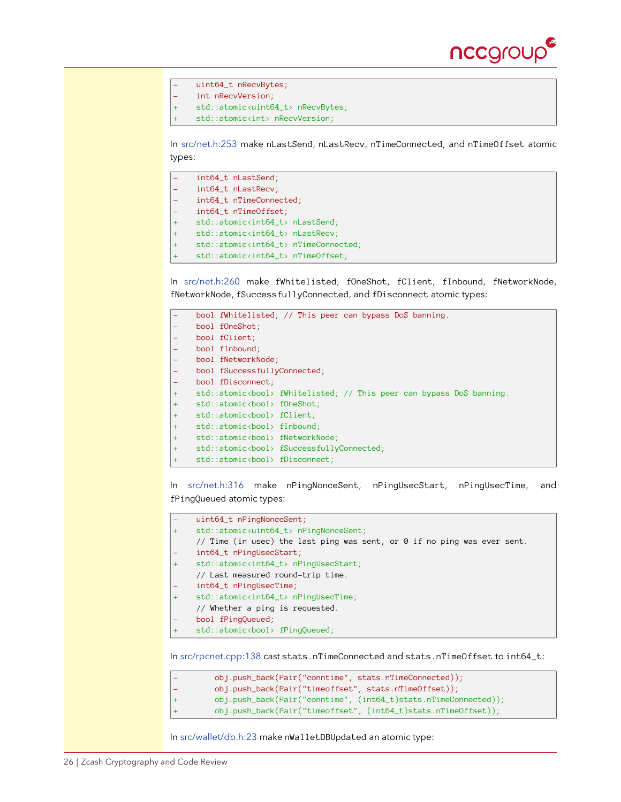



- int nRecvVersion;
- + std::atomic<uint64\_t> nRecvBytes;
- + std::atomic<int> nRecvVersion;

In [src/net.h:253](https://github.com/zcash/zcash/blob/zc.v0.11.2.latest/src/net.h#L253) make nLastSend, nLastRecv, nTimeConnected, and nTimeOffset atomic types:

|            | int64_t nLastSend;                              |
|------------|-------------------------------------------------|
|            | int64_t nLastRecv;                              |
|            | int64_t nTimeConnected;                         |
|            | int64_t nTimeOffset;                            |
| $\ddot{+}$ | std::atomic <int64_t> nLastSend;</int64_t>      |
| $\ddot{}$  | std::atomic <int64_t> nLastRecv;</int64_t>      |
| $\ddot{}$  | std::atomic <int64_t> nTimeConnected;</int64_t> |
| $+$        | std::atomic <int64_t> nTimeOffset;</int64_t>    |

In [src/net.h:260](https://github.com/zcash/zcash/blob/zc.v0.11.2.latest/src/net.h#L260) make fWhitelisted, fOneShot, fClient, fInbound, fNetworkNode, fNetworkNode, fSuccessfullyConnected, and fDisconnect atomic types:

|                              | bool fWhitelisted; // This peer can bypass DoS banning.                      |
|------------------------------|------------------------------------------------------------------------------|
| $\overline{\phantom{m}}$     | bool fOneShot;                                                               |
| $\overline{\phantom{m}}$     | bool fClient;                                                                |
| $\qquad \qquad \blacksquare$ | bool fInbound;                                                               |
| $\overline{\phantom{m}}$     | bool fNetworkNode;                                                           |
| $\equiv$                     | bool fSuccessfullyConnected;                                                 |
| $\overline{\phantom{m}}$     | bool fDisconnect;                                                            |
| $+$                          | std::atomic <bool> fWhitelisted; // This peer can bypass DoS banning.</bool> |
| $+$                          | std::atomic <bool> fOneShot;</bool>                                          |
| $+$                          | std::atomic <bool> fClient;</bool>                                           |
| $+$                          | std::atomic <bool> fInbound;</bool>                                          |
| $+$                          | std::atomic <bool> fNetworkNode;</bool>                                      |
| $+$                          | std::atomic <bool> fSuccessfullyConnected;</bool>                            |
| $+$                          | std::atomic <bool> fDisconnect;</bool>                                       |

In [src/net.h:316](https://github.com/zcash/zcash/blob/zc.v0.11.2.latest/src/net.h#L316) make nPingNonceSent, nPingUsecStart, nPingUsecTime, and fPingQueued atomic types:

```
uint64_t nPingNonceSent;
+ std::atomic<uint64_t> nPingNonceSent;
    // Time (in usec) the last ping was sent, or 0 if no ping was ever sent.
    - int64_t nPingUsecStart;
+ std::atomic<int64_t> nPingUsecStart;
    // Last measured round-trip time.
    - int64_t nPingUsecTime;
+ std::atomic<int64_t> nPingUsecTime;
    // Whether a ping is requested.
    - bool fPingQueued;
+ std::atomic<bool> fPingQueued;
```
In [src/rpcnet.cpp:138](https://github.com/zcash/zcash/blob/zc.v0.11.2.latest/src/rpcnet.cpp#L138) cast stats.nTimeConnected and stats.nTimeOffset to int64\_t:

```
- obj.push_back(Pair("conntime", stats.nTimeConnected));
- obj.push_back(Pair("timeoffset", stats.nTimeOffset));
+ obj.push_back(Pair("conntime", (int64_t)stats.nTimeConnected));
+ obj.push_back(Pair("timeoffset", (int64_t)stats.nTimeOffset));
```
In [src/wallet/db.h:23](https://github.com/zcash/zcash/blob/zc.v0.11.2.latest/src/wallet/db.h#L23) make nWalletDBUpdated an atomic type: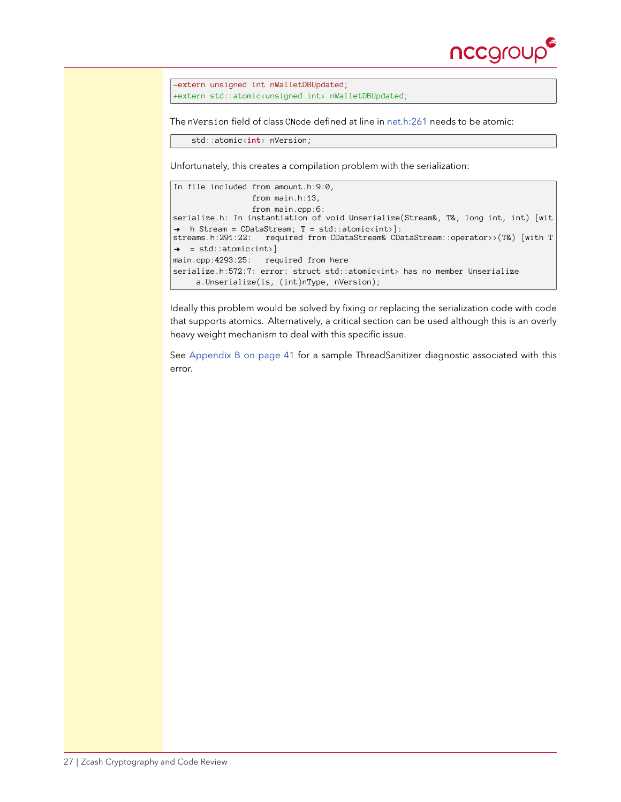

-extern unsigned int nWalletDBUpdated; +extern std::atomic<unsigned int> nWalletDBUpdated;

The nVersion field of class CNode defined at line in [net.h:261](https://github.com/zcash/zcash/blob/zc.v0.11.2.latest/src/net.h#L261) needs to be atomic:

std::atomic<**int**> nVersion;

Unfortunately, this creates a compilation problem with the serialization:

```
In file included from amount.h:9:0,
                 from main.h:13,
                 from main.cpp:6:
serialize.h: In instantiation of void Unserialize(Stream&, T&, long int, int) [wit
h Stream = CDataStream; T = std::atomic<int>]:
streams.h:291:22: required from CDataStream& CDataStream::operator>>(T&) [with T
\rightarrow = std::atomic<int>]
main.cpp:4293:25: required from here
serialize.h:572:7: error: struct std::atomic<int> has no member Unserialize
     a.Unserialize(is, (int)nType, nVersion);
```
Ideally this problem would be solved by fixing or replacing the serialization code with code that supports atomics. Alternatively, a critical section can be used although this is an overly heavy weight mechanism to deal with this specific issue.

See [Appendix B on page 41](#page-40-0) for a sample ThreadSanitizer diagnostic associated with this error.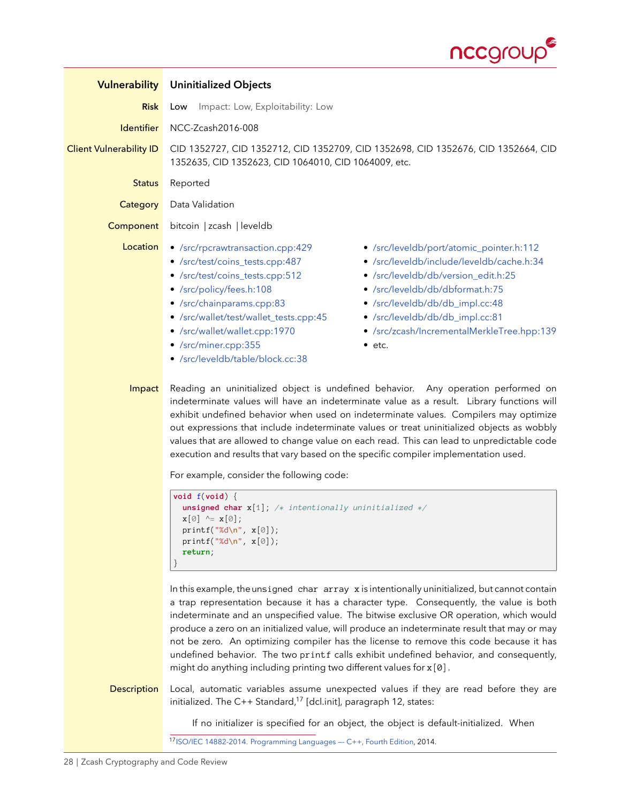

<span id="page-27-0"></span>

| <b>Vulnerability</b>           | <b>Uninitialized Objects</b>                                                                                                                                                                                                                                                                                                                                                                                                                                                                                                                                                                                    |
|--------------------------------|-----------------------------------------------------------------------------------------------------------------------------------------------------------------------------------------------------------------------------------------------------------------------------------------------------------------------------------------------------------------------------------------------------------------------------------------------------------------------------------------------------------------------------------------------------------------------------------------------------------------|
| <b>Risk</b>                    | Impact: Low, Exploitability: Low<br>Low                                                                                                                                                                                                                                                                                                                                                                                                                                                                                                                                                                         |
| Identifier                     | NCC-Zcash2016-008                                                                                                                                                                                                                                                                                                                                                                                                                                                                                                                                                                                               |
| <b>Client Vulnerability ID</b> | CID 1352727, CID 1352712, CID 1352709, CID 1352698, CID 1352676, CID 1352664, CID<br>1352635, CID 1352623, CID 1064010, CID 1064009, etc.                                                                                                                                                                                                                                                                                                                                                                                                                                                                       |
| <b>Status</b>                  | Reported                                                                                                                                                                                                                                                                                                                                                                                                                                                                                                                                                                                                        |
| Category                       | Data Validation                                                                                                                                                                                                                                                                                                                                                                                                                                                                                                                                                                                                 |
| Component                      | bitcoin   zcash   leveldb                                                                                                                                                                                                                                                                                                                                                                                                                                                                                                                                                                                       |
| Location                       | · /src/leveldb/port/atomic_pointer.h:112<br>• /src/rpcrawtransaction.cpp:429<br>· /src/leveldb/include/leveldb/cache.h:34<br>• /src/test/coins_tests.cpp:487<br>• /src/test/coins_tests.cpp:512<br>· /src/leveldb/db/version_edit.h:25<br>• /src/leveldb/db/dbformat.h:75<br>• /src/policy/fees.h:108<br>· /src/chainparams.cpp:83<br>· /src/leveldb/db/db_impl.cc:48<br>· /src/wallet/test/wallet_tests.cpp:45<br>· /src/leveldb/db/db_impl.cc:81<br>· /src/wallet/wallet.cpp:1970<br>· /src/zcash/IncrementalMerkleTree.hpp:139<br>• /src/miner.cpp:355<br>$\bullet$ etc.<br>· /src/leveldb/table/block.cc:38 |
| Impact                         | Reading an uninitialized object is undefined behavior. Any operation performed on<br>indeterminate values will have an indeterminate value as a result. Library functions will<br>exhibit undefined behavior when used on indeterminate values. Compilers may optimize<br>out expressions that include indeterminate values or treat uninitialized objects as wobbly<br>values that are allowed to change value on each read. This can lead to unpredictable code<br>execution and results that vary based on the specific compiler implementation used.<br>For example, consider the following code:           |
|                                | void $f(void)$ {<br>unsigned char $x[1]$ ; /* intentionally uninitialized */<br>$X[0]$ $\sim = X[0]$ ;<br>$printf("%d\n'', x[0]);$<br>$printf("%d\n'', x[0]);$<br>return;<br>In this example, the unsigned char array x is intentionally uninitialized, but cannot contain                                                                                                                                                                                                                                                                                                                                      |
|                                | a trap representation because it has a character type. Consequently, the value is both<br>indeterminate and an unspecified value. The bitwise exclusive OR operation, which would<br>produce a zero on an initialized value, will produce an indeterminate result that may or may<br>not be zero. An optimizing compiler has the license to remove this code because it has<br>undefined behavior. The two printf calls exhibit undefined behavior, and consequently,<br>might do anything including printing two different values for x [0].                                                                   |
|                                | <b>Description</b> Local automatic variables assume unexpected values if they are read before they are                                                                                                                                                                                                                                                                                                                                                                                                                                                                                                          |

<mark>Description</mark> Local, automatic variables assume unexpected values if they are read before they are initialized. The C++ Standard,<sup>[17](#page-27-1)</sup> [dcl.init], paragraph 12, states:

If no initializer is specified for an object, the object is default-initialized. When

<span id="page-27-1"></span><sup>17</sup>[ISO/IEC 14882-2014. Programming Languages —- C++, Fourth Edition,](http://www.iso.org/iso/home/store/catalogue_tc/catalogue_detail.htm?csnumber=64029) 2014.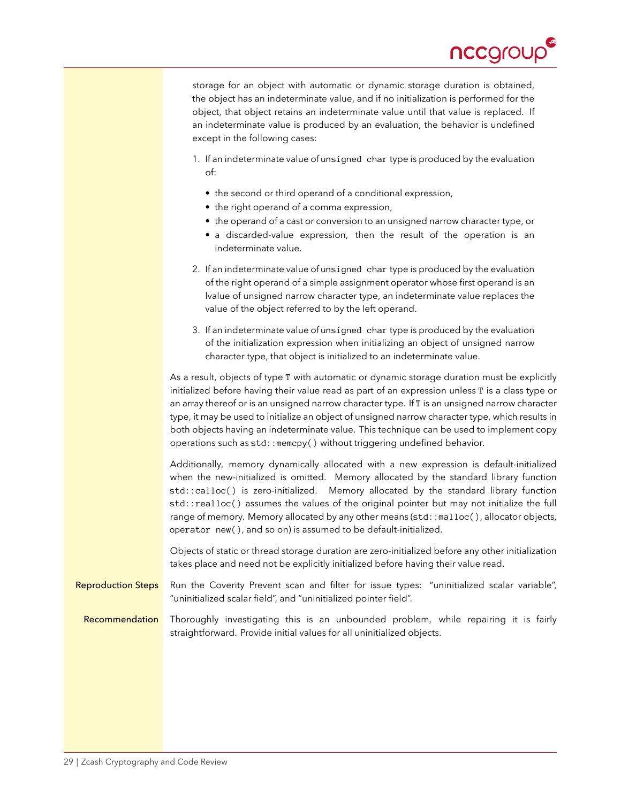

storage for an object with automatic or dynamic storage duration is obtained, the object has an indeterminate value, and if no initialization is performed for the object, that object retains an indeterminate value until that value is replaced. If an indeterminate value is produced by an evaluation, the behavior is undefined except in the following cases:

- 1. If an indeterminate value of unsigned char type is produced by the evaluation of:
	- the second or third operand of a conditional expression,
	- the right operand of a comma expression,
	- the operand of a cast or conversion to an unsigned narrow character type, or
	- a discarded-value expression, then the result of the operation is an indeterminate value.
- 2. If an indeterminate value of unsigned char type is produced by the evaluation of the right operand of a simple assignment operator whose first operand is an lvalue of unsigned narrow character type, an indeterminate value replaces the value of the object referred to by the left operand.
- 3. If an indeterminate value of unsigned char type is produced by the evaluation of the initialization expression when initializing an object of unsigned narrow character type, that object is initialized to an indeterminate value.

As a result, objects of type T with automatic or dynamic storage duration must be explicitly initialized before having their value read as part of an expression unless T is a class type or an array thereof or is an unsigned narrow character type. If T is an unsigned narrow character type, it may be used to initialize an object of unsigned narrow character type, which results in both objects having an indeterminate value. This technique can be used to implement copy operations such as std:: memcpy() without triggering undefined behavior.

Additionally, memory dynamically allocated with a new expression is default-initialized when the new-initialized is omitted. Memory allocated by the standard library function std::calloc() is zero-initialized. Memory allocated by the standard library function std::realloc() assumes the values of the original pointer but may not initialize the full range of memory. Memory allocated by any other means (std::malloc(), allocator objects, operator new(), and so on) is assumed to be default-initialized.

Objects of static or thread storage duration are zero-initialized before any other initialization takes place and need not be explicitly initialized before having their value read.

Reproduction Steps Run the Coverity Prevent scan and filter for issue types: "uninitialized scalar variable", "uninitialized scalar field", and "uninitialized pointer field".

Recommendation Thoroughly investigating this is an unbounded problem, while repairing it is fairly straightforward. Provide initial values for all uninitialized objects.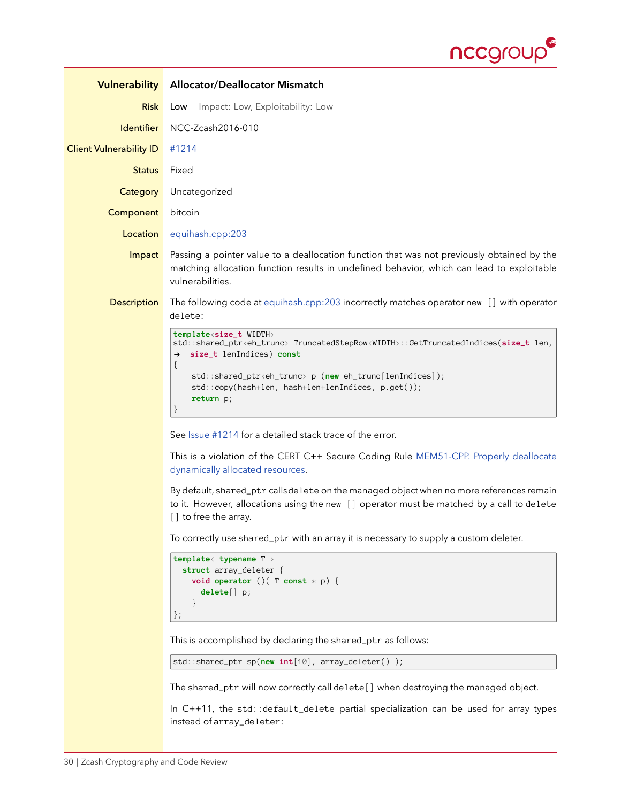

<span id="page-29-0"></span>

|                                | <b>Vulnerability</b> Allocator/Deallocator Mismatch                                                                                                                                                                                                                                                                                    |
|--------------------------------|----------------------------------------------------------------------------------------------------------------------------------------------------------------------------------------------------------------------------------------------------------------------------------------------------------------------------------------|
| <b>Risk</b>                    | Impact: Low, Exploitability: Low<br>Low                                                                                                                                                                                                                                                                                                |
| <b>Identifier</b>              | NCC-Zcash2016-010                                                                                                                                                                                                                                                                                                                      |
| <b>Client Vulnerability ID</b> | #1214                                                                                                                                                                                                                                                                                                                                  |
| <b>Status</b>                  | Fixed                                                                                                                                                                                                                                                                                                                                  |
| Category                       | Uncategorized                                                                                                                                                                                                                                                                                                                          |
| Component                      | bitcoin                                                                                                                                                                                                                                                                                                                                |
| Location                       | equihash.cpp:203                                                                                                                                                                                                                                                                                                                       |
| Impact                         | Passing a pointer value to a deallocation function that was not previously obtained by the<br>matching allocation function results in undefined behavior, which can lead to exploitable<br>vulnerabilities.                                                                                                                            |
| Description                    | The following code at equihash.cpp:203 incorrectly matches operator new [] with operator<br>delete:                                                                                                                                                                                                                                    |
|                                | std::shared_ptr <eh_trunc> TruncatedStepRow<width>::GetTruncatedIndices(size_t len,<br/>size_t lenIndices) const<br/><math>\rightarrow</math><br/><math>\{</math><br/>std::shared_ptr<eh_trunc> p (new eh_trunc[lenIndices]);<br/>std::copy(hash+len, hash+len+lenIndices, p.get());<br/>return p;<br/>}</eh_trunc></width></eh_trunc> |
|                                | See Issue #1214 for a detailed stack trace of the error.                                                                                                                                                                                                                                                                               |
|                                | This is a violation of the CERT C++ Secure Coding Rule MEM51-CPP. Properly deallocate<br>dynamically allocated resources.                                                                                                                                                                                                              |
|                                | By default, shared_ptr calls delete on the managed object when no more references remain<br>to it. However, allocations using the new [] operator must be matched by a call to delete<br>[] to free the array.                                                                                                                         |
|                                | To correctly use shared_ptr with an array it is necessary to supply a custom deleter.                                                                                                                                                                                                                                                  |
|                                | template< typename T ><br>struct array_deleter {<br>void operator ()( T const $*$ p) {<br>delete[] p;<br>$\}$ ;                                                                                                                                                                                                                        |
|                                | This is accomplished by declaring the shared_ptr as follows:                                                                                                                                                                                                                                                                           |
|                                | std::shared_ptr sp(new int[10], array_deleter());                                                                                                                                                                                                                                                                                      |

The shared\_ptr will now correctly call delete[] when destroying the managed object.

In C++11, the std::default\_delete partial specialization can be used for array types instead of array\_deleter: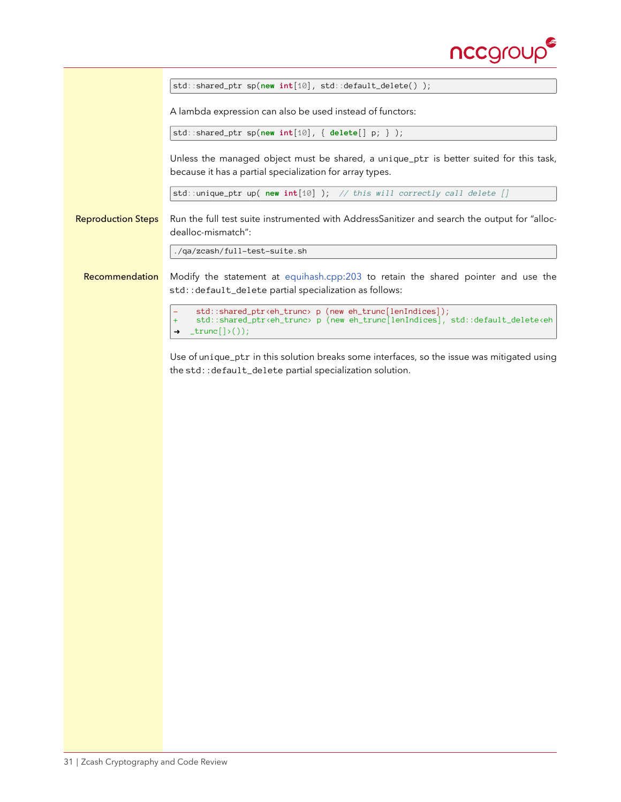

std::shared\_ptr sp(**new int**[10], std::default\_delete() );

A lambda expression can also be used instead of functors:

std::shared\_ptr sp(**new int**[10], { **delete**[] p; } );

Unless the managed object must be shared, a unique\_ptr is better suited for this task, because it has a partial specialization for array types.

std::unique\_ptr up( **new int**[10] ); *// this will correctly call delete []*

Reproduction Steps Run the full test suite instrumented with AddressSanitizer and search the output for "allocdealloc-mismatch":

./qa/zcash/full-test-suite.sh

Recommendation Modify the statement at [equihash.cpp:203](https://github.com/rcseacord/zcash/blob/zc.v0.11.2.latest/src/crypto/equihash.cpp#L203) to retain the shared pointer and use the std::default\_delete partial specialization as follows:

```
- std::shared_ptr<eh_trunc> p (new eh_trunc[lenIndices]);
+ std::shared_ptr<eh_trunc> p (new eh_trunc[lenIndices], std::default_delete<eh
\rightarrow_ttrunc[]>());
```
Use of unique\_ptr in this solution breaks some interfaces, so the issue was mitigated using the std::default\_delete partial specialization solution.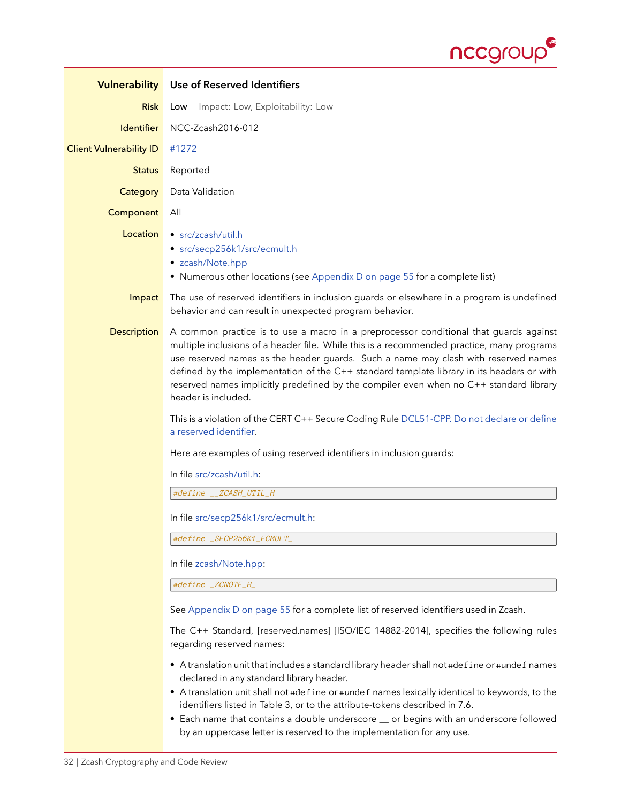

<span id="page-31-0"></span>

| <b>Vulnerability</b>           | Use of Reserved Identifiers                                                                                                                                                                                                                                                                                                                                                                                                                                                                 |
|--------------------------------|---------------------------------------------------------------------------------------------------------------------------------------------------------------------------------------------------------------------------------------------------------------------------------------------------------------------------------------------------------------------------------------------------------------------------------------------------------------------------------------------|
| <b>Risk</b>                    | Impact: Low, Exploitability: Low<br>Low                                                                                                                                                                                                                                                                                                                                                                                                                                                     |
| <b>Identifier</b>              | NCC-Zcash2016-012                                                                                                                                                                                                                                                                                                                                                                                                                                                                           |
| <b>Client Vulnerability ID</b> | #1272                                                                                                                                                                                                                                                                                                                                                                                                                                                                                       |
| <b>Status</b>                  | Reported                                                                                                                                                                                                                                                                                                                                                                                                                                                                                    |
| Category                       | Data Validation                                                                                                                                                                                                                                                                                                                                                                                                                                                                             |
| Component                      | All                                                                                                                                                                                                                                                                                                                                                                                                                                                                                         |
| Location                       | $\bullet$ src/zcash/util.h<br>· src/secp256k1/src/ecmult.h<br>• zcash/Note.hpp<br>• Numerous other locations (see Appendix D on page 55 for a complete list)                                                                                                                                                                                                                                                                                                                                |
| Impact                         | The use of reserved identifiers in inclusion guards or elsewhere in a program is undefined<br>behavior and can result in unexpected program behavior.                                                                                                                                                                                                                                                                                                                                       |
| <b>Description</b>             | A common practice is to use a macro in a preprocessor conditional that guards against<br>multiple inclusions of a header file. While this is a recommended practice, many programs<br>use reserved names as the header guards. Such a name may clash with reserved names<br>defined by the implementation of the C++ standard template library in its headers or with<br>reserved names implicitly predefined by the compiler even when no C++ standard library<br>header is included.      |
|                                | This is a violation of the CERT C++ Secure Coding Rule DCL51-CPP. Do not declare or define<br>a reserved identifier.                                                                                                                                                                                                                                                                                                                                                                        |
|                                | Here are examples of using reserved identifiers in inclusion guards:                                                                                                                                                                                                                                                                                                                                                                                                                        |
|                                | In file src/zcash/util.h:                                                                                                                                                                                                                                                                                                                                                                                                                                                                   |
|                                | #define __ZCASH_UTIL_H                                                                                                                                                                                                                                                                                                                                                                                                                                                                      |
|                                | In file src/secp256k1/src/ecmult.h:                                                                                                                                                                                                                                                                                                                                                                                                                                                         |
|                                | #define _SECP256K1_ECMULT_                                                                                                                                                                                                                                                                                                                                                                                                                                                                  |
|                                | In file zcash/Note.hpp:                                                                                                                                                                                                                                                                                                                                                                                                                                                                     |
|                                | #define _ZCNOTE_H_                                                                                                                                                                                                                                                                                                                                                                                                                                                                          |
|                                | See Appendix D on page 55 for a complete list of reserved identifiers used in Zcash.                                                                                                                                                                                                                                                                                                                                                                                                        |
|                                | The C++ Standard, [reserved.names] [ISO/IEC 14882-2014], specifies the following rules<br>regarding reserved names:                                                                                                                                                                                                                                                                                                                                                                         |
|                                | A translation unit that includes a standard library header shall not #define or #undef names<br>declared in any standard library header.<br>• A translation unit shall not #define or #undef names lexically identical to keywords, to the<br>identifiers listed in Table 3, or to the attribute-tokens described in 7.6.<br>• Each name that contains a double underscore _ or begins with an underscore followed<br>by an uppercase letter is reserved to the implementation for any use. |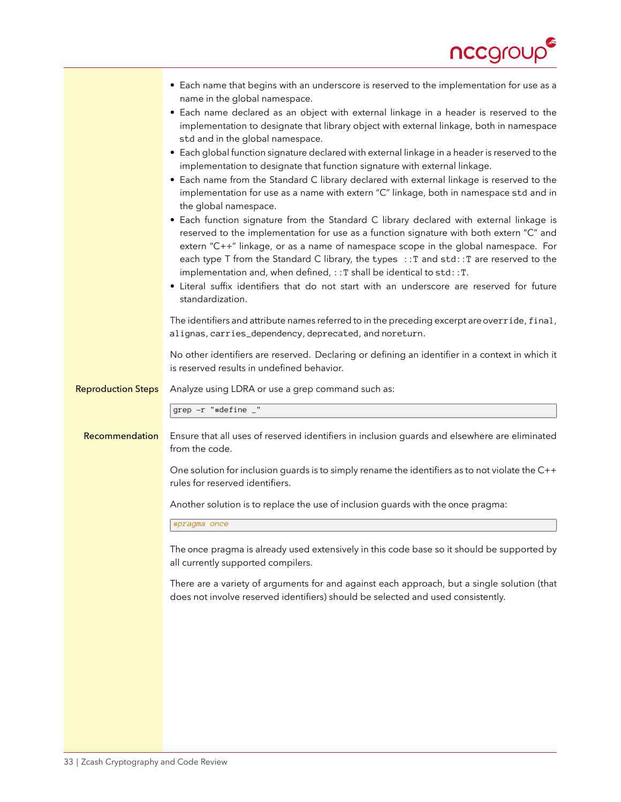|                           | • Each name that begins with an underscore is reserved to the implementation for use as a<br>name in the global namespace.                                                                                                                                                                                                                                                                                                                                                                                                                 |
|---------------------------|--------------------------------------------------------------------------------------------------------------------------------------------------------------------------------------------------------------------------------------------------------------------------------------------------------------------------------------------------------------------------------------------------------------------------------------------------------------------------------------------------------------------------------------------|
|                           | • Each name declared as an object with external linkage in a header is reserved to the<br>implementation to designate that library object with external linkage, both in namespace<br>std and in the global namespace.                                                                                                                                                                                                                                                                                                                     |
|                           | • Each global function signature declared with external linkage in a header is reserved to the<br>implementation to designate that function signature with external linkage.                                                                                                                                                                                                                                                                                                                                                               |
|                           | • Each name from the Standard C library declared with external linkage is reserved to the<br>implementation for use as a name with extern "C" linkage, both in namespace std and in<br>the global namespace.                                                                                                                                                                                                                                                                                                                               |
|                           | • Each function signature from the Standard C library declared with external linkage is<br>reserved to the implementation for use as a function signature with both extern "C" and<br>extern "C++" linkage, or as a name of namespace scope in the global namespace. For<br>each type T from the Standard C library, the types :: T and std:: T are reserved to the<br>implementation and, when defined, :: T shall be identical to std: : T.<br>• Literal suffix identifiers that do not start with an underscore are reserved for future |
|                           | standardization.                                                                                                                                                                                                                                                                                                                                                                                                                                                                                                                           |
|                           | The identifiers and attribute names referred to in the preceding excerpt are override, final,<br>alignas, carries_dependency, deprecated, and noreturn.                                                                                                                                                                                                                                                                                                                                                                                    |
|                           | No other identifiers are reserved. Declaring or defining an identifier in a context in which it<br>is reserved results in undefined behavior.                                                                                                                                                                                                                                                                                                                                                                                              |
| <b>Reproduction Steps</b> | Analyze using LDRA or use a grep command such as:                                                                                                                                                                                                                                                                                                                                                                                                                                                                                          |
|                           | grep $-r$ "#define $\lrcorner$ "                                                                                                                                                                                                                                                                                                                                                                                                                                                                                                           |
|                           |                                                                                                                                                                                                                                                                                                                                                                                                                                                                                                                                            |
| Recommendation            | Ensure that all uses of reserved identifiers in inclusion guards and elsewhere are eliminated<br>from the code.                                                                                                                                                                                                                                                                                                                                                                                                                            |
|                           | One solution for inclusion guards is to simply rename the identifiers as to not violate the C++<br>rules for reserved identifiers.                                                                                                                                                                                                                                                                                                                                                                                                         |
|                           | Another solution is to replace the use of inclusion guards with the once pragma:                                                                                                                                                                                                                                                                                                                                                                                                                                                           |
|                           | #pragma once                                                                                                                                                                                                                                                                                                                                                                                                                                                                                                                               |
|                           | The once pragma is already used extensively in this code base so it should be supported by<br>all currently supported compilers.                                                                                                                                                                                                                                                                                                                                                                                                           |
|                           | There are a variety of arguments for and against each approach, but a single solution (that<br>does not involve reserved identifiers) should be selected and used consistently.                                                                                                                                                                                                                                                                                                                                                            |
|                           |                                                                                                                                                                                                                                                                                                                                                                                                                                                                                                                                            |
|                           |                                                                                                                                                                                                                                                                                                                                                                                                                                                                                                                                            |
|                           |                                                                                                                                                                                                                                                                                                                                                                                                                                                                                                                                            |
|                           |                                                                                                                                                                                                                                                                                                                                                                                                                                                                                                                                            |
|                           |                                                                                                                                                                                                                                                                                                                                                                                                                                                                                                                                            |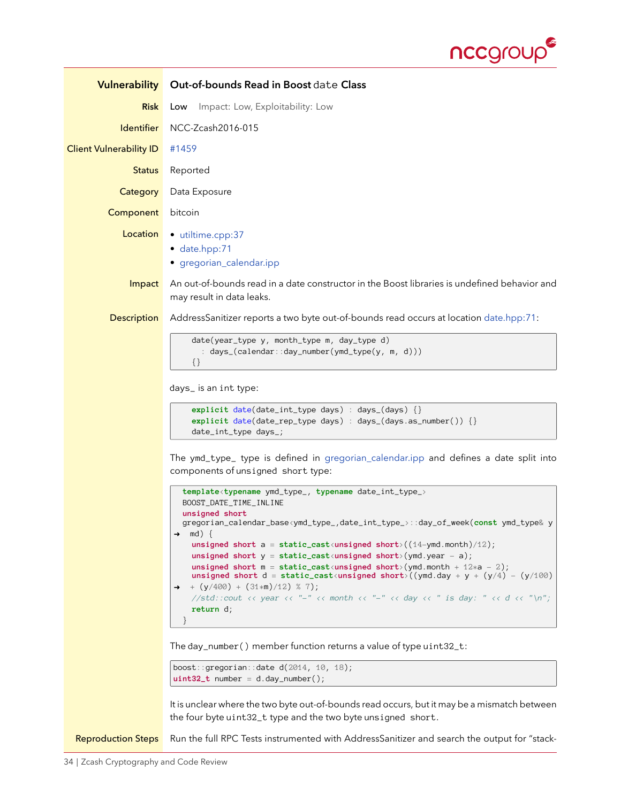

<span id="page-33-0"></span>

|                                | Vulnerability Out-of-bounds Read in Boost date Class                                                                                                                                                                                                                                                                                                                                                                                                                                                                                                                                                                                                                                                                                                                                                                                                                                                                     |
|--------------------------------|--------------------------------------------------------------------------------------------------------------------------------------------------------------------------------------------------------------------------------------------------------------------------------------------------------------------------------------------------------------------------------------------------------------------------------------------------------------------------------------------------------------------------------------------------------------------------------------------------------------------------------------------------------------------------------------------------------------------------------------------------------------------------------------------------------------------------------------------------------------------------------------------------------------------------|
| <b>Risk</b>                    | Impact: Low, Exploitability: Low<br>Low                                                                                                                                                                                                                                                                                                                                                                                                                                                                                                                                                                                                                                                                                                                                                                                                                                                                                  |
| Identifier                     | NCC-Zcash2016-015                                                                                                                                                                                                                                                                                                                                                                                                                                                                                                                                                                                                                                                                                                                                                                                                                                                                                                        |
| <b>Client Vulnerability ID</b> | #1459                                                                                                                                                                                                                                                                                                                                                                                                                                                                                                                                                                                                                                                                                                                                                                                                                                                                                                                    |
| <b>Status</b>                  | Reported                                                                                                                                                                                                                                                                                                                                                                                                                                                                                                                                                                                                                                                                                                                                                                                                                                                                                                                 |
| Category                       | Data Exposure                                                                                                                                                                                                                                                                                                                                                                                                                                                                                                                                                                                                                                                                                                                                                                                                                                                                                                            |
| Component                      | bitcoin                                                                                                                                                                                                                                                                                                                                                                                                                                                                                                                                                                                                                                                                                                                                                                                                                                                                                                                  |
| Location                       | • utiltime.cpp:37<br>· date.hpp:71<br>· gregorian_calendar.ipp                                                                                                                                                                                                                                                                                                                                                                                                                                                                                                                                                                                                                                                                                                                                                                                                                                                           |
| Impact                         | An out-of-bounds read in a date constructor in the Boost libraries is undefined behavior and<br>may result in data leaks.                                                                                                                                                                                                                                                                                                                                                                                                                                                                                                                                                                                                                                                                                                                                                                                                |
| <b>Description</b>             | AddressSanitizer reports a two byte out-of-bounds read occurs at location date.hpp:71:                                                                                                                                                                                                                                                                                                                                                                                                                                                                                                                                                                                                                                                                                                                                                                                                                                   |
|                                | date(year_type y, month_type m, day_type d)<br>: days_(calendar::day_number(ymd_type(y, m, d)))<br>$\{\}$                                                                                                                                                                                                                                                                                                                                                                                                                                                                                                                                                                                                                                                                                                                                                                                                                |
|                                | days_ is an int type:                                                                                                                                                                                                                                                                                                                                                                                                                                                                                                                                                                                                                                                                                                                                                                                                                                                                                                    |
|                                | explicit date(date_int_type days) : days_(days) {}<br>explicit date(date_rep_type days) : days_(days.as_number()) {}<br>date_int_type days_;                                                                                                                                                                                                                                                                                                                                                                                                                                                                                                                                                                                                                                                                                                                                                                             |
|                                | The ymd_type_ type is defined in gregorian_calendar.ipp and defines a date split into<br>components of unsigned short type:                                                                                                                                                                                                                                                                                                                                                                                                                                                                                                                                                                                                                                                                                                                                                                                              |
|                                | template <typename date_int_type_="" typename="" ymd_type_,=""><br/>BOOST_DATE_TIME_INLINE<br/>unsigned short<br/>gregorian_calendar_base<ymd_type_,date_int_type_>::day_of_week(const ymd_type&amp; y<br/><math>md) { }</math><br/><math>\rightarrow</math><br/>unsigned short <math>a = static\_cast \langle unsigned short \rangle ((14 - ymd.month)/12)</math>,<br/>unsigned short <math>y = static\_cast</math><unsigned short="">(ymd.year - a);<br/>unsigned short <math>m = static\_cast \langle unsigned short \rangle (ymd.month + 12*a - 2);</math><br/>unsigned short <math>d = static\_cast \times unsigned short \times ((ymd.day + y + (y/4) - (y/100)</math><br/><math>+ (y/400) + (31*m)/12) %</math><br/>//std::cout &lt;&lt; year &lt;&lt; "-" &lt;&lt; month &lt;&lt; "-" &lt;&lt; day &lt;&lt; " is day: " &lt;&lt; d &lt;&lt; "\n";<br/>return d;</unsigned></ymd_type_,date_int_type_></typename> |
|                                | The day_number() member function returns a value of type uint32_t:                                                                                                                                                                                                                                                                                                                                                                                                                                                                                                                                                                                                                                                                                                                                                                                                                                                       |
|                                | boost::gregorian::date $d(2014, 10, 18)$ ;<br>$uint32_t$ number = d.day_number();                                                                                                                                                                                                                                                                                                                                                                                                                                                                                                                                                                                                                                                                                                                                                                                                                                        |
|                                | It is unclear where the two byte out-of-bounds read occurs, but it may be a mismatch between<br>the four byte uint32_t type and the two byte unsigned short.                                                                                                                                                                                                                                                                                                                                                                                                                                                                                                                                                                                                                                                                                                                                                             |

Reproduction Steps Run the full RPC Tests instrumented with AddressSanitizer and search the output for "stack-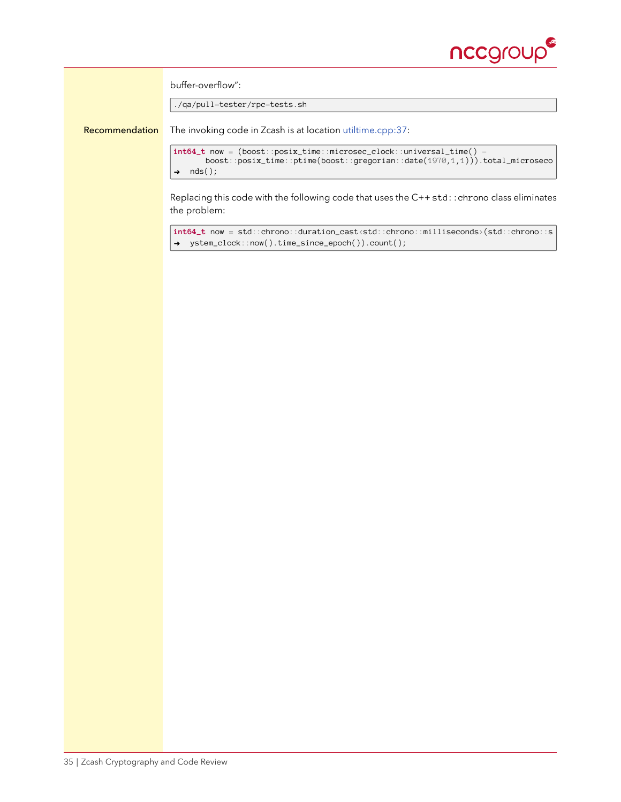

buffer-overflow":

./qa/pull-tester/rpc-tests.sh

Recommendation The invoking code in Zcash is at location [utiltime.cpp:37:](https://github.com/zcash/zcash/blob/zc.v0.11.2.latest/src/utiltime.cpp#L37)

```
int64_t now = (boost::posix_time::microsec_clock::universal_time() -
      boost::posix_time::ptime(boost::gregorian::date(1970,1,1))).total_microseco
\rightarrow nds();
```
Replacing this code with the following code that uses the C++ std::chrono class eliminates the problem:

**int64\_t** now = std::chrono::duration\_cast<std::chrono::milliseconds>(std::chrono::s ystem\_clock::now().time\_since\_epoch()).count();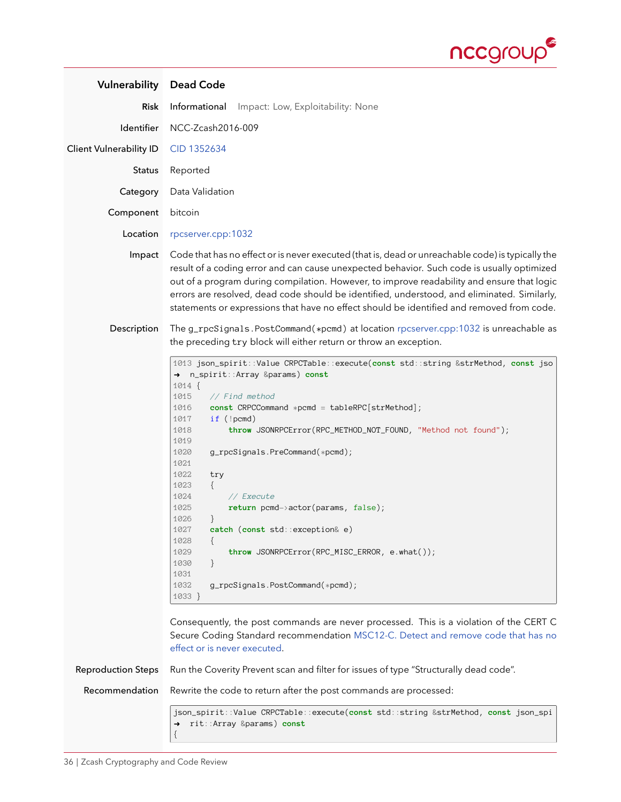

<span id="page-35-0"></span>

| <b>Vulnerability</b> Dead Code |                                                                                                                                                                                                                                                                                                                                                                                                                                                                                                                                                                                                                                                                                                                       |
|--------------------------------|-----------------------------------------------------------------------------------------------------------------------------------------------------------------------------------------------------------------------------------------------------------------------------------------------------------------------------------------------------------------------------------------------------------------------------------------------------------------------------------------------------------------------------------------------------------------------------------------------------------------------------------------------------------------------------------------------------------------------|
| <b>Risk</b>                    | Informational<br>Impact: Low, Exploitability: None                                                                                                                                                                                                                                                                                                                                                                                                                                                                                                                                                                                                                                                                    |
| Identifier                     | NCC-Zcash2016-009                                                                                                                                                                                                                                                                                                                                                                                                                                                                                                                                                                                                                                                                                                     |
| <b>Client Vulnerability ID</b> | CID 1352634                                                                                                                                                                                                                                                                                                                                                                                                                                                                                                                                                                                                                                                                                                           |
| <b>Status</b>                  | Reported                                                                                                                                                                                                                                                                                                                                                                                                                                                                                                                                                                                                                                                                                                              |
| Category                       | Data Validation                                                                                                                                                                                                                                                                                                                                                                                                                                                                                                                                                                                                                                                                                                       |
| Component                      | bitcoin                                                                                                                                                                                                                                                                                                                                                                                                                                                                                                                                                                                                                                                                                                               |
| Location                       | rpcserver.cpp:1032                                                                                                                                                                                                                                                                                                                                                                                                                                                                                                                                                                                                                                                                                                    |
| Impact                         | Code that has no effect or is never executed (that is, dead or unreachable code) is typically the<br>result of a coding error and can cause unexpected behavior. Such code is usually optimized<br>out of a program during compilation. However, to improve readability and ensure that logic<br>errors are resolved, dead code should be identified, understood, and eliminated. Similarly,<br>statements or expressions that have no effect should be identified and removed from code.                                                                                                                                                                                                                             |
| Description                    | The g_rpcSignals.PostCommand(*pcmd) at location rpcserver.cpp:1032 is unreachable as<br>the preceding try block will either return or throw an exception.                                                                                                                                                                                                                                                                                                                                                                                                                                                                                                                                                             |
|                                | 1013 json_spirit::Value CRPCTable::execute(const std::string &strMethod, const jso<br>→ n_spirit::Array &params) const<br>1014 {<br>1015<br>// Find method<br>const CRPCCommand *pcmd = tableRPC [strMethod];<br>1016<br>1017<br>if $(\text{1} \text{pc} \text{md})$<br>throw JSONRPCError(RPC_METHOD_NOT_FOUND, "Method not found");<br>1018<br>1019<br>1020<br>g_rpcSignals.PreCommand(*pcmd);<br>1021<br>1022<br>try<br>1023<br>€<br>1024<br>// Execute<br>1025<br>return pcmd->actor(params, false);<br>1026<br>}<br>catch (const std: : exception& e)<br>1027<br>1028<br>₹<br>throw JSONRPCError(RPC_MISC_ERROR, e.what());<br>1029<br>1030<br>}<br>1031<br>1032<br>g_rpcSignals.PostCommand(*pcmd);<br>$1033$ } |
|                                | Consequently, the post commands are never processed. This is a violation of the CERT C<br>Secure Coding Standard recommendation MSC12-C. Detect and remove code that has no<br>effect or is never executed.                                                                                                                                                                                                                                                                                                                                                                                                                                                                                                           |
| <b>Reproduction Steps</b>      | Run the Coverity Prevent scan and filter for issues of type "Structurally dead code".                                                                                                                                                                                                                                                                                                                                                                                                                                                                                                                                                                                                                                 |
| Recommendation                 | Rewrite the code to return after the post commands are processed:                                                                                                                                                                                                                                                                                                                                                                                                                                                                                                                                                                                                                                                     |
|                                | json_spirit::Value CRPCTable::execute(const std::string &strMethod, const json_spi<br>rit:: Array &params) const<br>$\rightarrow$<br>{                                                                                                                                                                                                                                                                                                                                                                                                                                                                                                                                                                                |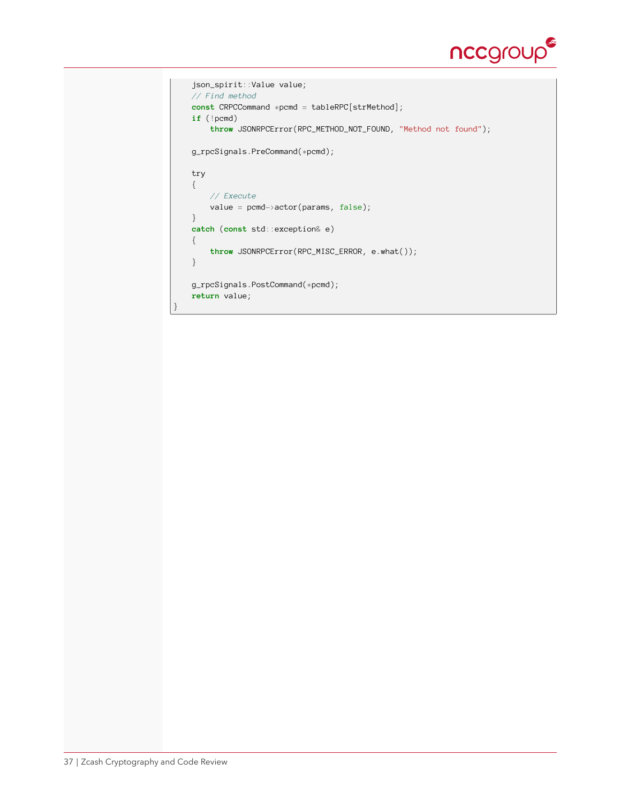

```
json_spirit::Value value;
   // Find method
   const CRPCCommand *pcmd = tableRPC[strMethod];
   if (!pcmd)
       throw JSONRPCError(RPC_METHOD_NOT_FOUND, "Method not found");
   g_rpcSignals.PreCommand(*pcmd);
   try
    {
       // Execute
       value = pcmd->actor(params, false);
   }
   catch (const std::exception& e)
    {
        throw JSONRPCError(RPC_MISC_ERROR, e.what());
   }
   g_rpcSignals.PostCommand(*pcmd);
   return value;
}
```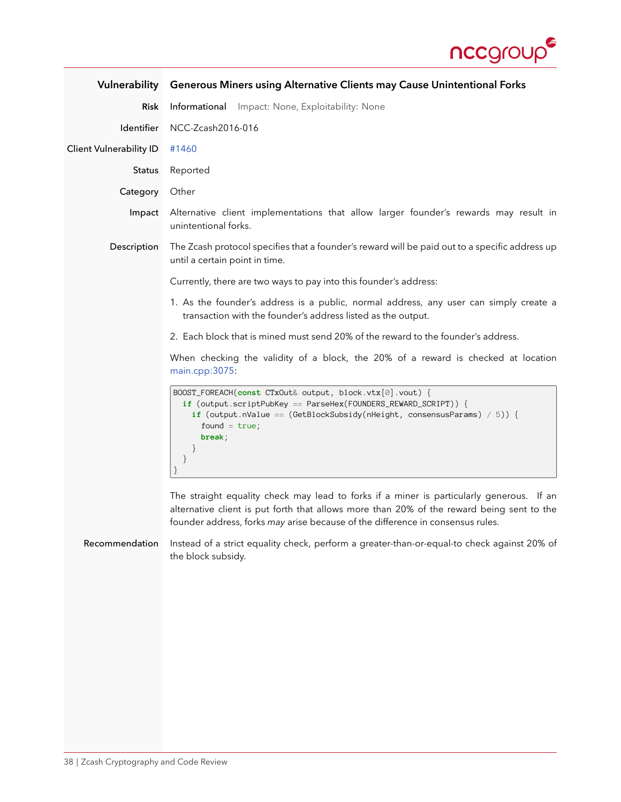

<span id="page-37-0"></span>

|                                | Vulnerability Generous Miners using Alternative Clients may Cause Unintentional Forks                                                                                                                                                       |  |
|--------------------------------|---------------------------------------------------------------------------------------------------------------------------------------------------------------------------------------------------------------------------------------------|--|
| <b>Risk</b>                    | Impact: None, Exploitability: None<br>Informational                                                                                                                                                                                         |  |
| Identifier                     | NCC-Zcash2016-016                                                                                                                                                                                                                           |  |
| <b>Client Vulnerability ID</b> | #1460                                                                                                                                                                                                                                       |  |
| <b>Status</b>                  | Reported                                                                                                                                                                                                                                    |  |
| Category                       | Other                                                                                                                                                                                                                                       |  |
| Impact                         | Alternative client implementations that allow larger founder's rewards may result in<br>unintentional forks.                                                                                                                                |  |
| Description                    | The Zcash protocol specifies that a founder's reward will be paid out to a specific address up<br>until a certain point in time.                                                                                                            |  |
|                                | Currently, there are two ways to pay into this founder's address:                                                                                                                                                                           |  |
|                                | 1. As the founder's address is a public, normal address, any user can simply create a<br>transaction with the founder's address listed as the output.                                                                                       |  |
|                                | 2. Each block that is mined must send 20% of the reward to the founder's address.                                                                                                                                                           |  |
|                                | When checking the validity of a block, the 20% of a reward is checked at location<br>main.cpp:3075:                                                                                                                                         |  |
|                                | BOOST_FOREACH(const CTxOut& output, block.vtx[0].vout) {<br>$if (output.scriptPubKey == ParseHex(FOUNDERS_REWARD_SCRIPT))$ {<br>if (output.nValue == $(GetBlockSubsidy(nHeight, consensusParams) / 5))$ {<br>$found = true;$<br>break,<br>} |  |
|                                | The straight equality check may lead to forks if a miner is particularly generous. If an<br>alternative client is put forth that allows more than 20% of the reward being sent to the                                                       |  |

founder address, forks *may* arise because of the difference in consensus rules. Recommendation Instead of a strict equality check, perform a greater-than-or-equal-to check against 20% of

the block subsidy.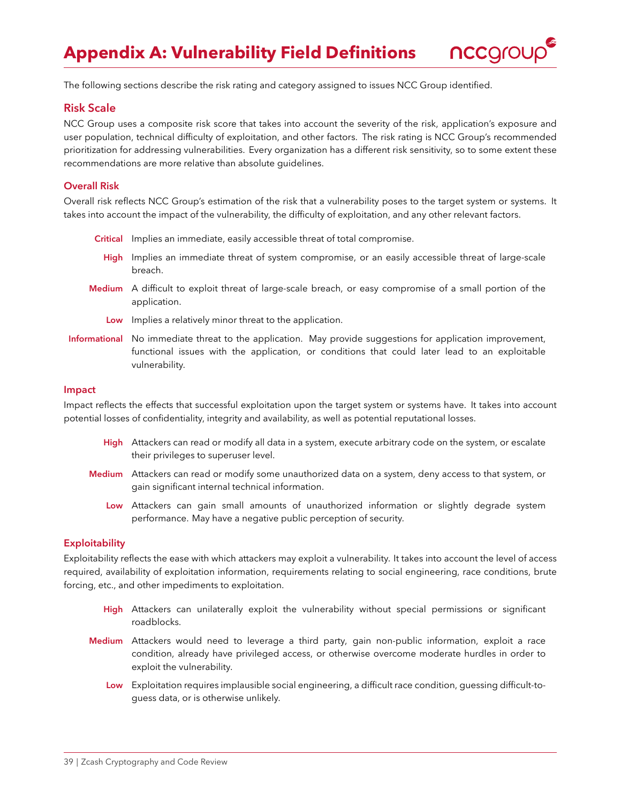

<span id="page-38-0"></span>The following sections describe the risk rating and category assigned to issues NCC Group identified.

## **Risk Scale**

NCC Group uses a composite risk score that takes into account the severity of the risk, application's exposure and user population, technical difficulty of exploitation, and other factors. The risk rating is NCC Group's recommended prioritization for addressing vulnerabilities. Every organization has a different risk sensitivity, so to some extent these recommendations are more relative than absolute guidelines.

### **Overall Risk**

Overall risk reflects NCC Group's estimation of the risk that a vulnerability poses to the target system or systems. It takes into account the impact of the vulnerability, the difficulty of exploitation, and any other relevant factors.

- **Critical** Implies an immediate, easily accessible threat of total compromise.
- **High** Implies an immediate threat of system compromise, or an easily accessible threat of large-scale breach.
- **Medium** A difficult to exploit threat of large-scale breach, or easy compromise of a small portion of the application.
	- **Low** Implies a relatively minor threat to the application.
- **Informational** No immediate threat to the application. May provide suggestions for application improvement, functional issues with the application, or conditions that could later lead to an exploitable vulnerability.

### **Impact**

Impact reflects the effects that successful exploitation upon the target system or systems have. It takes into account potential losses of confidentiality, integrity and availability, as well as potential reputational losses.

- **High** Attackers can read or modify all data in a system, execute arbitrary code on the system, or escalate their privileges to superuser level.
- **Medium** Attackers can read or modify some unauthorized data on a system, deny access to that system, or gain significant internal technical information.
	- **Low** Attackers can gain small amounts of unauthorized information or slightly degrade system performance. May have a negative public perception of security.

### **Exploitability**

Exploitability reflects the ease with which attackers may exploit a vulnerability. It takes into account the level of access required, availability of exploitation information, requirements relating to social engineering, race conditions, brute forcing, etc., and other impediments to exploitation.

- **High** Attackers can unilaterally exploit the vulnerability without special permissions or significant roadblocks.
- **Medium** Attackers would need to leverage a third party, gain non-public information, exploit a race condition, already have privileged access, or otherwise overcome moderate hurdles in order to exploit the vulnerability.
	- **Low** Exploitation requires implausible social engineering, a difficult race condition, guessing difficult-toguess data, or is otherwise unlikely.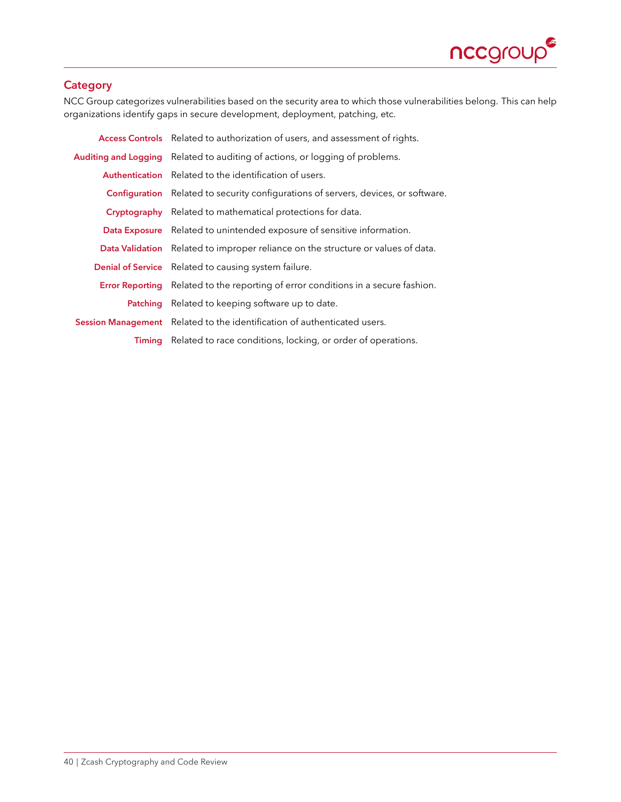

## **Category**

NCC Group categorizes vulnerabilities based on the security area to which those vulnerabilities belong. This can help organizations identify gaps in secure development, deployment, patching, etc.

| Access Controls Related to authorization of users, and assessment of rights.              |
|-------------------------------------------------------------------------------------------|
| Auditing and Logging Related to auditing of actions, or logging of problems.              |
| Authentication Related to the identification of users.                                    |
| <b>Configuration</b> Related to security configurations of servers, devices, or software. |
| Cryptography Related to mathematical protections for data.                                |
| Data Exposure Related to unintended exposure of sensitive information.                    |
| Data Validation Related to improper reliance on the structure or values of data.          |
| Denial of Service Related to causing system failure.                                      |
| Error Reporting Related to the reporting of error conditions in a secure fashion.         |
| Patching Related to keeping software up to date.                                          |
| Session Management Related to the identification of authenticated users.                  |
| <b>Timing</b> Related to race conditions, locking, or order of operations.                |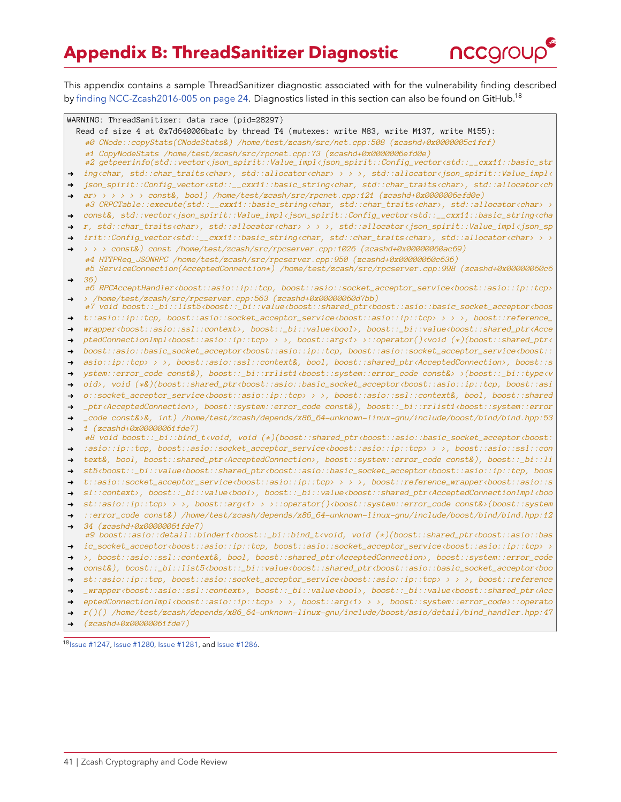# **Appendix B: ThreadSanitizer Diagnostic**



<span id="page-40-0"></span>This appendix contains a sample ThreadSanitizer diagnostic associated with for the vulnerability finding described by [finding NCC-Zcash2016-005 on page 24](#page-23-0). Diagnostics listed in this section can also be found on GitHub.<sup>[18](#page-40-1)</sup>

| WARNING: ThreadSanitizer: data race (pid=28297) |                                                                                                                                                                                                                                                                                                                                                                  |  |
|-------------------------------------------------|------------------------------------------------------------------------------------------------------------------------------------------------------------------------------------------------------------------------------------------------------------------------------------------------------------------------------------------------------------------|--|
|                                                 | Read of size 4 at 0x7d640006ba1c by thread T4 (mutexes: write M83, write M137, write M155):                                                                                                                                                                                                                                                                      |  |
|                                                 | #0 CNode::copyStats(CNodeStats&) /home/test/zcash/src/net.cpp:508 (zcashd+0x0000005c1fcf)                                                                                                                                                                                                                                                                        |  |
|                                                 | #1 CopyNodeStats /home/test/zcash/src/rpcnet.cpp:73 (zcashd+0x0000006efd0e)                                                                                                                                                                                                                                                                                      |  |
|                                                 | #2 getpeerinfo(std::vector <json_spirit::value_impl<json_spirit::config_vector<std::__cxx11::basic_str< th=""></json_spirit::value_impl<json_spirit::config_vector<std::__cxx11::basic_str<>                                                                                                                                                                     |  |
| →                                               | ing <char, std::char_traits<char="">, std::allocator<char> &gt; &gt; &gt; &gt;, std::allocator<json_spirit::value_impl<< th=""></json_spirit::value_impl<<></char></char,>                                                                                                                                                                                       |  |
| →                                               | json_spirit::Config_vector <std::__cxx11::basic_string<char, std::char_traits<char="">, std::allocator<ch< th=""></ch<></std::__cxx11::basic_string<char,>                                                                                                                                                                                                       |  |
| $\rightarrow$                                   | $ar \rightarrow \rightarrow \rightarrow \rightarrow \rightarrow$ const&, bool) /home/test/zcash/src/rpcnet.cpp:121 (zcashd+0x0000006efd0e)<br>#3 CRPCTable::execute(std::_cxx11::basic_string <char, std::char_traits<char="">, std::allocator<char> &gt;</char></char,>                                                                                         |  |
| $\rightarrow$                                   | const&, std::vector <json_spirit::value_impl<json_spirit::config_vector<std::__cxx11::basic_string<cha< th=""></json_spirit::value_impl<json_spirit::config_vector<std::__cxx11::basic_string<cha<>                                                                                                                                                              |  |
| →                                               | r, std::char_traits <char>, std::allocator<char> &gt; &gt; &gt; &gt;, std::allocator<json_spirit::value_impl<json_sp< th=""></json_spirit::value_impl<json_sp<></char></char>                                                                                                                                                                                    |  |
| $\rightarrow$                                   | irit::Config_vector <std::__cxx11::basic_string<char, std::char_traits<char="">, std::allocator<char>&gt;&gt;&gt;</char></std::__cxx11::basic_string<char,>                                                                                                                                                                                                      |  |
| $\rightarrow$                                   | > > > const&) const /home/test/zcash/src/rpcserver.cpp:1026 (zcashd+0x000000060ac69)                                                                                                                                                                                                                                                                             |  |
|                                                 | #4 HTTPReq_JSONRPC /home/test/zcash/src/rpcserver.cpp:950 (zcashd+0x0000000c636)                                                                                                                                                                                                                                                                                 |  |
|                                                 | #5 ServiceConnection(AcceptedConnection*) /home/test/zcash/src/rpcserver.cpp:998 (zcashd+0x00000060c6                                                                                                                                                                                                                                                            |  |
| →                                               | 36)                                                                                                                                                                                                                                                                                                                                                              |  |
|                                                 | #6 RPCAcceptHandler <boost::asio::ip::tcp, boost::asio::socket_acceptor_service<boost::asio::ip::tcp=""></boost::asio::ip::tcp,>                                                                                                                                                                                                                                 |  |
| →                                               | > /home/test/zcash/src/rpcserver.cpp:563 (zcashd+0x00000000d7bb)<br>#7 void boost::_bi::list5 <boost::_bi::value<boost::shared_ptr<boost::asio::basic_socket_acceptor<br></boost::_bi::value<boost::shared_ptr<boost::asio::basic_socket_acceptor<br> koos                                                                                                       |  |
| →                                               | t::asio::ip::tcp, boost::asio::socket_acceptor_service <boost::asio::ip::tcp> &gt; &gt; &gt;, boost::reference_</boost::asio::ip::tcp>                                                                                                                                                                                                                           |  |
| $\rightarrow$                                   | wrapper <boost::asio::ssl::context>, boost::_bi::value<bool>, boost::_bi::value<boost::shared_ptr<acce< th=""></boost::shared_ptr<acce<></bool></boost::asio::ssl::context>                                                                                                                                                                                      |  |
| $\rightarrow$                                   | ptedConnectionImpl <boost::asio::ip::tcp> &gt; &gt;, boost::arg&lt;1&gt; &gt;::operator()<void (*)(boost::shared_ptr<<="" th=""></void></boost::asio::ip::tcp>                                                                                                                                                                                                   |  |
| →                                               | boost::asio::basic_socket_acceptor <boost::asio::ip::tcp, boost::asio::socket_acceptor_service<boost::<="" th=""></boost::asio::ip::tcp,>                                                                                                                                                                                                                        |  |
| →                                               | asio::ip::tcp> > >, boost::asio::ssl::context&, bool, boost::shared_ptr <acceptedconnection>, boost::s</acceptedconnection>                                                                                                                                                                                                                                      |  |
| $\rightarrow$                                   | ystem::error_code const&), boost::_bi::rrlist1 <boost::system::error_code const&=""> &gt;(boost::_bi::type<v< th=""></v<></boost::system::error_code>                                                                                                                                                                                                            |  |
| →                                               | oid>, void (*&)(boost::shared_ptr <boost::asio::basic_socket_acceptor<boost::asio::ip::tcp, boost::asi<="" th=""></boost::asio::basic_socket_acceptor<boost::asio::ip::tcp,>                                                                                                                                                                                     |  |
| $\rightarrow$                                   | o::socket_acceptor_service <boost::asio::ip::tcp> &gt; &gt;, boost::asio::ssl::context&amp;, bool, boost::shared</boost::asio::ip::tcp>                                                                                                                                                                                                                          |  |
| $\rightarrow$                                   | ptr <acceptedconnection>, boost::system::error_code const&amp;), boost::_bi::rrlist1<boost::system::error_< th=""></boost::system::error_<></acceptedconnection>                                                                                                                                                                                                 |  |
| →                                               | code const&>&, int) /home/test/zcash/depends/x86_64-unknown-linux-gnu/include/boost/bind/bind.hpp:53_                                                                                                                                                                                                                                                            |  |
| $\rightarrow$                                   | 1 (zcashd+0x00000061fde7)<br>#8 void boost::_bi::bind_t <void, (*)(boost::shared_ptr<boost::asio::basic_socket_acceptor<boost:<="" th="" void=""></void,>                                                                                                                                                                                                        |  |
| →                                               | :asio::ip::tcp, boost::asio::socket_acceptor_service <boost::asio::ip::tcp> &gt; &gt;, boost::asio::ssl::con</boost::asio::ip::tcp>                                                                                                                                                                                                                              |  |
| →                                               | text&, bool, boost::shared_ptr <acceptedconnection>, boost::system::error_code_const&amp;), boost::_bi::li</acceptedconnection>                                                                                                                                                                                                                                  |  |
| $\rightarrow$                                   | st5 <boost::_bi::value<boost::shared_ptr<boost::asio::basic_socket_acceptor<boost::asio::ip::tcp, boos<="" th=""></boost::_bi::value<boost::shared_ptr<boost::asio::basic_socket_acceptor<boost::asio::ip::tcp,>                                                                                                                                                 |  |
| →                                               | t::asio::socket_acceptor_service <boost::asio::ip::tcp> &gt; &gt; &gt;, boost::reference_wrapper<boost::asio::s< th=""></boost::asio::s<></boost::asio::ip::tcp>                                                                                                                                                                                                 |  |
| $\rightarrow$                                   | sl::context>, boost::_bi::value <bool>, boost::_bi::value<boost::shared_ptr<acceptedconnectionimpl<br></boost::shared_ptr<acceptedconnectionimpl<br> boo</bool>                                                                                                                                                                                                  |  |
| $\rightarrow$                                   | st::asio::ip::tcp> > >, boost::arg<1> > >::operator() <boost::system::error_code const&="">(boost::system</boost::system::error_code>                                                                                                                                                                                                                            |  |
| →                                               | ::error_code const&) /home/test/zcash/depends/x86_64-unknown-linux-gnu/include/boost/bind/bind.hpp:12                                                                                                                                                                                                                                                            |  |
| $\rightarrow$                                   | 34 (zcashd+0x00000061fde7)<br>#9 boost::asio::detail::binder1 <boost::_bi::bind_t<void, (*)(boost::shared_ptr<br="" void=""></boost::_bi::bind_t<void,> boost::asio::bas                                                                                                                                                                                         |  |
| →                                               | ic_socket_acceptor <boost::asio::ip::tcp, boost::asio::socket_acceptor_service<boost::asio::ip::tcp=""> &gt;</boost::asio::ip::tcp,>                                                                                                                                                                                                                             |  |
| $\rightarrow$                                   | >, boost::asio::ssl::context&, bool, boost::shared_ptr <acceptedconnection>, boost::system::error_code</acceptedconnection>                                                                                                                                                                                                                                      |  |
| $\rightarrow$                                   | const&), boost::_bi::list5 <boost::_bi::value<boost::shared_ptr<boost::asio::basic_socket_acceptor<boo< th=""></boost::_bi::value<boost::shared_ptr<boost::asio::basic_socket_acceptor<boo<>                                                                                                                                                                     |  |
| →                                               | st::asio::ip::tcp, boost::asio::socket_acceptor_service <boost::asio::ip::tcp> &gt; &gt; &gt;, boost::reference</boost::asio::ip::tcp>                                                                                                                                                                                                                           |  |
| →                                               | $\_wrapper \verb {  } \verb {  } \verb {  } \verb {  } \verb {  } \verb {  } \verb {  } \verb {  } \verb {  } \verb {  } \verb {  } \verb {  } \verb {  } \verb {  } \verb {  } \verb {  } \verb {  } \verb {  } \verb {  } \verb {  } \verb {  } \verb {  } \verb {  } \verb {  } \verb {  } \verb {  } \verb {  } \verb {  } \verb {  } \verb {  } \verb {  }$ |  |
| →                                               | $eptedConnectionImpl \nboost::asio::ip::tcp>>, \text{ boost::arg} \n\rightarrow, \text{ boost::system::error\_code}>:\text{operator\_corder}$                                                                                                                                                                                                                    |  |
| $\rightarrow$                                   | r()() /home/test/zcash/depends/x86_64-unknown-linux-gnu/include/boost/asio/detail/bind_handler.hpp:47                                                                                                                                                                                                                                                            |  |
| →                                               | (zcashd+0x00000061fde7)                                                                                                                                                                                                                                                                                                                                          |  |

<span id="page-40-1"></span><sup>18</sup>[Issue #1247,](https://github.com/zcash/zcash/issues/1247) [Issue #1280](https://github.com/zcash/zcash/issues/1280), [Issue #1281,](https://github.com/zcash/zcash/issues/1281) and [Issue #1286](https://github.com/zcash/zcash/issues/1286).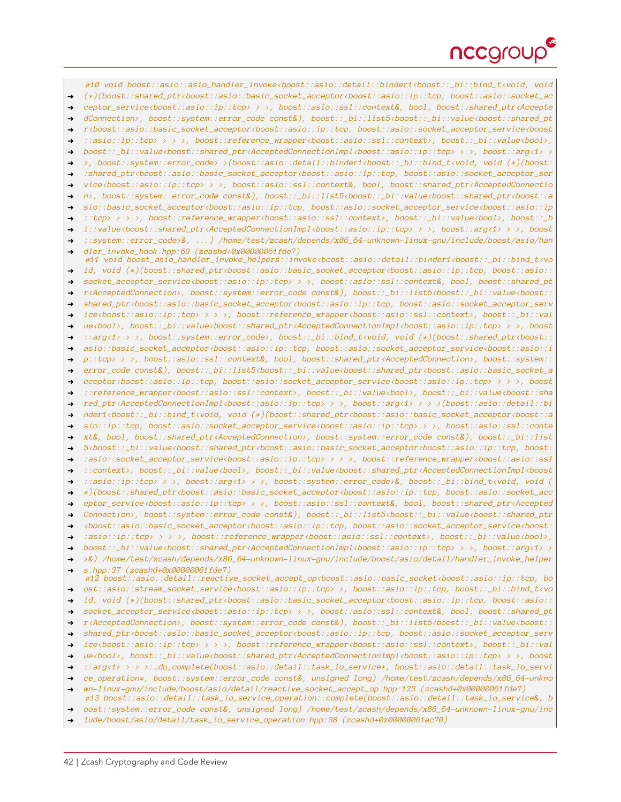

*#10 void boost::asio::asio\_handler\_invoke<boost::asio::detail::binder1<boost::\_bi::bind\_t<void, void*  $\rightarrow$ *(\*)(boost::shared\_ptr<boost::asio::basic\_socket\_acceptor<boost::asio::ip::tcp, boost::asio::socket\_ac ceptor\_service<boost::asio::ip::tcp> > >, boost::asio::ssl::context&, bool, boost::shared\_ptr<Accepte*  $\rightarrow$ *dConnection>, boost::system::error\_code const&), boost::\_bi::list5<boost::\_bi::value<boost::shared\_pt r<boost::asio::basic\_socket\_acceptor<boost::asio::ip::tcp, boost::asio::socket\_acceptor\_service<boost*  $\rightarrow$ *::asio::ip::tcp> > > >, boost::reference\_wrapper<boost::asio::ssl::context>, boost::\_bi::value<bool>,*  $\rightarrow$ *boost::\_bi::value<boost::shared\_ptr<AcceptedConnectionImpl<boost::asio::ip::tcp> > >, boost::arg<1> > >, boost::system::error\_code> >(boost::asio::detail::binder1<boost::\_bi::bind\_t<void, void (\*)(boost: :shared\_ptr<boost::asio::basic\_socket\_acceptor<boost::asio::ip::tcp, boost::asio::socket\_acceptor\_ser vice<boost::asio::ip::tcp> > >, boost::asio::ssl::context&, bool, boost::shared\_ptr<AcceptedConnectio n>, boost::system::error\_code const&), boost::\_bi::list5<boost::\_bi::value<boost::shared\_ptr<boost::a sio::basic\_socket\_acceptor<boost::asio::ip::tcp, boost::asio::socket\_acceptor\_service<boost::asio::ip ::tcp> > > >, boost::reference\_wrapper<boost::asio::ssl::context>, boost::\_bi::value<bool>, boost::\_b i::value<boost::shared\_ptr<AcceptedConnectionImpl<boost::asio::ip::tcp> > >, boost::arg<1> > >, boost ::system::error\_code>&, ...) /home/test/zcash/depends/x86\_64-unknown-linux-gnu/include/boost/asio/han dler\_invoke\_hook.hpp:69 (zcashd+0x00000061fde7) #11 void boost\_asio\_handler\_invoke\_helpers::invoke<boost::asio::detail::binder1<boost::\_bi::bind\_t<vo id, void (\*)(boost::shared\_ptr<boost::asio::basic\_socket\_acceptor<boost::asio::ip::tcp, boost::asio:: socket\_acceptor\_service<boost::asio::ip::tcp> > >, boost::asio::ssl::context&, bool, boost::shared\_pt r<AcceptedConnection>, boost::system::error\_code const&), boost::\_bi::list5<boost::\_bi::value<boost::*  $\rightarrow$ *shared\_ptr<boost::asio::basic\_socket\_acceptor<boost::asio::ip::tcp, boost::asio::socket\_acceptor\_serv ice<boost::asio::ip::tcp> > > >, boost::reference\_wrapper<boost::asio::ssl::context>, boost::\_bi::val*  $\rightarrow$ *ue<bool>, boost::\_bi::value<boost::shared\_ptr<AcceptedConnectionImpl<boost::asio::ip::tcp> > >, boost*  $\rightarrow$ *::arg<1> > >, boost::system::error\_code>, boost::\_bi::bind\_t<void, void (\*)(boost::shared\_ptr<boost:: asio::basic\_socket\_acceptor<boost::asio::ip::tcp, boost::asio::socket\_acceptor\_service<boost::asio::i*  $\rightarrow$  $\rightarrow$ *p::tcp> > >, boost::asio::ssl::context&, bool, boost::shared\_ptr<AcceptedConnection>, boost::system::*  $\rightarrow$ *error\_code const&), boost::\_bi::list5<boost::\_bi::value<boost::shared\_ptr<boost::asio::basic\_socket\_a*  $\rightarrow$ *cceptor<boost::asio::ip::tcp, boost::asio::socket\_acceptor\_service<boost::asio::ip::tcp> > > >, boost ::reference\_wrapper<boost::asio::ssl::context>, boost::\_bi::value<bool>, boost::\_bi::value<boost::sha red\_ptr<AcceptedConnectionImpl<boost::asio::ip::tcp> > >, boost::arg<1> > > >(boost::asio::detail::bi nder1<boost::\_bi::bind\_t<void, void (\*)(boost::shared\_ptr<boost::asio::basic\_socket\_acceptor<boost::a sio::ip::tcp, boost::asio::socket\_acceptor\_service<boost::asio::ip::tcp> > >, boost::asio::ssl::conte xt&, bool, boost::shared\_ptr<AcceptedConnection>, boost::system::error\_code const&), boost::\_bi::list 5<boost::\_bi::value<boost::shared\_ptr<boost::asio::basic\_socket\_acceptor<boost::asio::ip::tcp, boost: :asio::socket\_acceptor\_service<boost::asio::ip::tcp> > > >, boost::reference\_wrapper<boost::asio::ssl ::context>, boost::\_bi::value<bool>, boost::\_bi::value<boost::shared\_ptr<AcceptedConnectionImpl<boost*  $\rightarrow$  $\rightarrow$ *::asio::ip::tcp> > >, boost::arg<1> > >, boost::system::error\_code>&, boost::\_bi::bind\_t<void, void (*  $\rightarrow$ *\*)(boost::shared\_ptr<boost::asio::basic\_socket\_acceptor<boost::asio::ip::tcp, boost::asio::socket\_acc*  $\rightarrow$ *eptor\_service<boost::asio::ip::tcp> > >, boost::asio::ssl::context&, bool, boost::shared\_ptr<Accepted*  $\rightarrow$ *Connection>, boost::system::error\_code const&), boost::\_bi::list5<boost::\_bi::value<boost::shared\_ptr <boost::asio::basic\_socket\_acceptor<boost::asio::ip::tcp, boost::asio::socket\_acceptor\_service<boost:*  $\rightarrow$ *:asio::ip::tcp> > > >, boost::reference\_wrapper<boost::asio::ssl::context>, boost::\_bi::value<bool>, boost::\_bi::value<boost::shared\_ptr<AcceptedConnectionImpl<boost::asio::ip::tcp> > >, boost::arg<1> > >&) /home/test/zcash/depends/x86\_64-unknown-linux-gnu/include/boost/asio/detail/handler\_invoke\_helper s.hpp:37 (zcashd+0x00000061fde7) #12 boost::asio::detail::reactive\_socket\_accept\_op<boost::asio::basic\_socket<boost::asio::ip::tcp, bo ost::asio::stream\_socket\_service<boost::asio::ip::tcp> >, boost::asio::ip::tcp, boost::\_bi::bind\_t<vo id, void (\*)(boost::shared\_ptr<boost::asio::basic\_socket\_acceptor<boost::asio::ip::tcp, boost::asio::*  $\rightarrow$ *socket\_acceptor\_service<boost::asio::ip::tcp> > >, boost::asio::ssl::context&, bool, boost::shared\_pt r<AcceptedConnection>, boost::system::error\_code const&), boost::\_bi::list5<boost::\_bi::value<boost:: shared\_ptr<boost::asio::basic\_socket\_acceptor<boost::asio::ip::tcp, boost::asio::socket\_acceptor\_serv ice<boost::asio::ip::tcp> > > >, boost::reference\_wrapper<boost::asio::ssl::context>, boost::\_bi::val ue<bool>, boost::\_bi::value<boost::shared\_ptr<AcceptedConnectionImpl<boost::asio::ip::tcp> > >, boost ::arg<1> > > >::do\_complete(boost::asio::detail::task\_io\_service\*, boost::asio::detail::task\_io\_servi ce\_operation\*, boost::system::error\_code const&, unsigned long) /home/test/zcash/depends/x86\_64-unkno wn-linux-gnu/include/boost/asio/detail/reactive\_socket\_accept\_op.hpp:123 (zcashd+0x00000061fde7) #13 boost::asio::detail::task\_io\_service\_operation::complete(boost::asio::detail::task\_io\_service&, b oost::system::error\_code const&, unsigned long) /home/test/zcash/depends/x86\_64-unknown-linux-gnu/inc*

*lude/boost/asio/detail/task\_io\_service\_operation.hpp:38 (zcashd+0x00000061ac70)*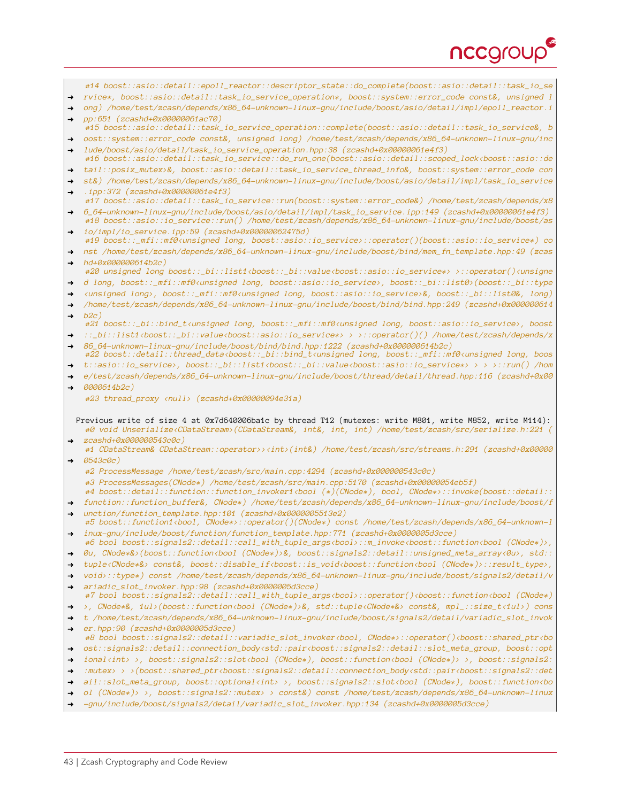

|               | #14 boost::asio::detail::epoll_reactor::descriptor_state::do_complete(boost::asio::detail::task_io_se                                                                                                                                                                                       |
|---------------|---------------------------------------------------------------------------------------------------------------------------------------------------------------------------------------------------------------------------------------------------------------------------------------------|
| →             | rvice*, boost::asio::detail::task_io_service_operation*, boost::system::error_code const&, unsigned l                                                                                                                                                                                       |
| $\rightarrow$ | ong) /home/test/zcash/depends/x86_64-unknown-linux-gnu/include/boost/asio/detail/impl/epoll_reactor.i                                                                                                                                                                                       |
| $\rightarrow$ | pp:651 (zcashd+0x00000061ac70)                                                                                                                                                                                                                                                              |
|               | #15 boost::asio::detail::task_io_service_operation::complete(boost::asio::detail::task_io_service&, b                                                                                                                                                                                       |
| →             | oost::system::error_code const&, unsigned long) /home/test/zcash/depends/x86_64-unknown-linux-gnu/inc                                                                                                                                                                                       |
| $\rightarrow$ | lude/boost/asio/detail/task io service operation.hpp:38 (zcashd+0x00000061e4f3)                                                                                                                                                                                                             |
|               | #16 boost::asio::detail::task_io_service::do_run_one(boost::asio::detail::scoped_lock <boost::asio::de< td=""></boost::asio::de<>                                                                                                                                                           |
| →             | tail::posix_mutex>&, boost::asio::detail::task_io_service_thread_info&, boost::system::error_code con                                                                                                                                                                                       |
| $\rightarrow$ | st&) /home/test/zcash/depends/x86_64-unknown-linux-gnu/include/boost/asio/detail/impl/task_io_service                                                                                                                                                                                       |
| $\rightarrow$ | $i$ pp:372 (zcashd+0x00000061e4f3)                                                                                                                                                                                                                                                          |
|               | #17 boost::asio::detail::task_io_service::run(boost::system::error_code&) /home/test/zcash/depends/x8                                                                                                                                                                                       |
| $\rightarrow$ | 6_64-unknown-linux-gnu/include/boost/asio/detail/impl/task_io_service.ipp:149 (zcashd+0x00000061e4f3)<br>#18 boost::asio::io_service::run() /home/test/zcash/depends/x86_64-unknown-linux-gnu/include/boost/as                                                                              |
| $\rightarrow$ | io/impl/io_service.ipp:59 (zcashd+0x00000062475d)                                                                                                                                                                                                                                           |
|               | #19 boost::_mfi::mf0 <unsigned boost::asio::io_service="" long,="">::operator()(boost::asio::io_service*) co</unsigned>                                                                                                                                                                     |
| $\rightarrow$ | nst /home/test/zcash/depends/x86_64-unknown-linux-qnu/include/boost/bind/mem_fn_template.hpp:49 (zcas                                                                                                                                                                                       |
| $\rightarrow$ | hd+0x000000614b2c)                                                                                                                                                                                                                                                                          |
|               | #20 unsigned long boost::_bi::list1 <boost::_bi::value<boost::asio::io_service*>&gt;::operator()<unsigne< th=""></unsigne<></boost::_bi::value<boost::asio::io_service*>                                                                                                                    |
| $\rightarrow$ | d long, boost::_mfi::mf0 <unsigned boost::asio::io_service="" long,="">, boost::_bi::list0&gt;(boost::_bi::type</unsigned>                                                                                                                                                                  |
| $\rightarrow$ | <unsigned long="">, boost::_mfi::mf0<unsigned boost::asio::io_service="" long,="">&amp;, boost::_bi::list0&amp;, long)</unsigned></unsigned>                                                                                                                                                |
| $\rightarrow$ | /home/test/zcash/depends/x86_64-unknown-linux-gnu/include/boost/bind/bind.hpp:249 (zcashd+0x000000614                                                                                                                                                                                       |
| $\rightarrow$ | $b2c$ )<br>#21 boost::_bi::bind_t <unsigned boost::_mfi::mf0<unsigned="" boost::asio::io_service="" long,="">, boost</unsigned>                                                                                                                                                             |
| $\rightarrow$ | ::_bi::list1<br>boost::_bi::value <boost::asio::io_service*> &gt; &gt;::operator()() /home/test/zcash/depends/x</boost::asio::io_service*>                                                                                                                                                  |
| $\rightarrow$ | 86_64-unknown-linux-gnu/include/boost/bind/bind.hpp:1222 (zcashd+0x000000614b2c)                                                                                                                                                                                                            |
|               | #22 boost::detail::thread_data <boost::_bi::bind_t<unsigned boos<="" boost::_mfi::mf0<unsigned="" long,="" th=""></boost::_bi::bind_t<unsigned>                                                                                                                                             |
| $\rightarrow$ | t::asio::io_service>, boost::_bi::list1 <boost::_bi::value<boost::asio::io_service*> &gt; &gt; &gt;::run() /hom</boost::_bi::value<boost::asio::io_service*>                                                                                                                                |
| $\rightarrow$ | e/test/zcash/depends/x86_64-unknown-linux-gnu/include/boost/thread/detail/thread.hpp:116 (zcashd+0x00                                                                                                                                                                                       |
| $\rightarrow$ | 0000614b2c)                                                                                                                                                                                                                                                                                 |
|               | #23 thread_proxy <null> (zcashd+0x00000094e31a)</null>                                                                                                                                                                                                                                      |
|               | Previous write of size 4 at 0x7d640006ba1c by thread T12 (mutexes: write M801, write M852, write M114):<br>#0 void Unserialize <cdatastream>(CDataStream&amp;, int&amp;, int, int) /home/test/zcash/src/serialize.h:221 (<br/><math>\rightarrow</math> zcashd+0x000000543c0c)</cdatastream> |
|               |                                                                                                                                                                                                                                                                                             |

- *#1 CDataStream& CDataStream::operator>><int>(int&) /home/test/zcash/src/streams.h:291 (zcashd+0x00000 0543c0c)*
	- *#2 ProcessMessage /home/test/zcash/src/main.cpp:4294 (zcashd+0x000000543c0c)*
	- *#3 ProcessMessages(CNode\*) /home/test/zcash/src/main.cpp:5170 (zcashd+0x00000054eb5f)*
	- *#4 boost::detail::function::function\_invoker1<bool (\*)(CNode\*), bool, CNode\*>::invoke(boost::detail::*
- *function::function\_buffer&, CNode\*) /home/test/zcash/depends/x86\_64-unknown-linux-gnu/include/boost/f*
- *unction/function\_template.hpp:101 (zcashd+0x0000005513e2) #5 boost::function1<bool, CNode\*>::operator()(CNode\*) const /home/test/zcash/depends/x86\_64-unknown-l*
- *inux-gnu/include/boost/function/function\_template.hpp:771 (zcashd+0x0000005d3cce) #6 bool boost::signals2::detail::call\_with\_tuple\_args<bool>::m\_invoke<boost::function<bool (CNode\*)>,*
- *0u, CNode\*&>(boost::function<bool (CNode\*)>&, boost::signals2::detail::unsigned\_meta\_array<0u>, std::*
- *tuple<CNode\*&> const&, boost::disable\_if<boost::is\_void<boost::function<bool (CNode\*)>::result\_type>,*
- *void>::type\*) const /home/test/zcash/depends/x86\_64-unknown-linux-gnu/include/boost/signals2/detail/v*
- *ariadic\_slot\_invoker.hpp:98 (zcashd+0x0000005d3cce) #7 bool boost::signals2::detail::call\_with\_tuple\_args<bool>::operator()<boost::function<bool (CNode\*)*
- *>, CNode\*&, 1ul>(boost::function<bool (CNode\*)>&, std::tuple<CNode\*&> const&, mpl\_::size\_t<1ul>) cons*
- *t /home/test/zcash/depends/x86\_64-unknown-linux-gnu/include/boost/signals2/detail/variadic\_slot\_invok*
- *er.hpp:90 (zcashd+0x0000005d3cce) #8 bool boost::signals2::detail::variadic\_slot\_invoker<bool, CNode\*>::operator()<boost::shared\_ptr<bo*
- *ost::signals2::detail::connection\_body<std::pair<boost::signals2::detail::slot\_meta\_group, boost::opt*
- *ional<int> >, boost::signals2::slot<bool (CNode\*), boost::function<bool (CNode\*)> >, boost::signals2:*
- *:mutex> > >(boost::shared\_ptr<boost::signals2::detail::connection\_body<std::pair<boost::signals2::det*
- *ail::slot\_meta\_group, boost::optional<int> >, boost::signals2::slot<bool (CNode\*), boost::function<bo ol (CNode\*)> >, boost::signals2::mutex> > const&) const /home/test/zcash/depends/x86\_64-unknown-linux*
- *-gnu/include/boost/signals2/detail/variadic\_slot\_invoker.hpp:134 (zcashd+0x0000005d3cce)*
- 43 | Zcash Cryptography and Code Review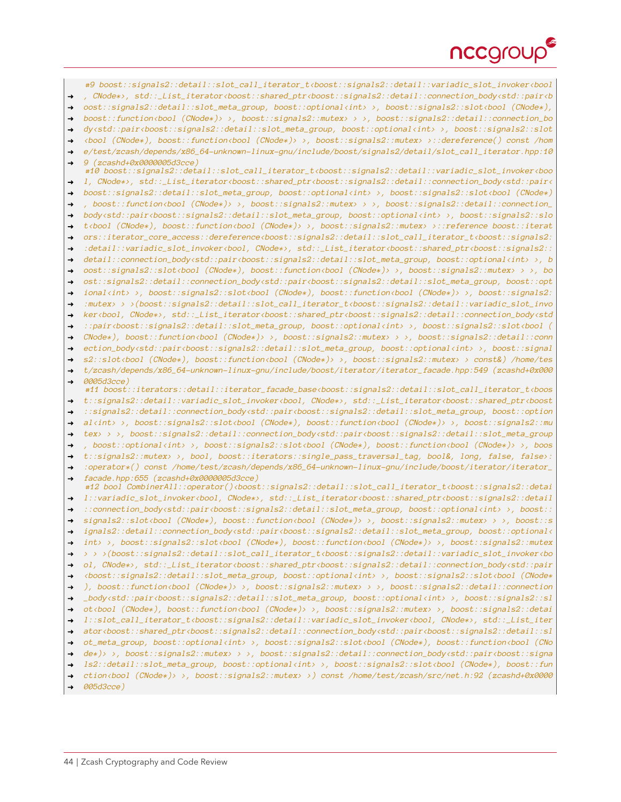

*#9 boost::signals2::detail::slot\_call\_iterator\_t<boost::signals2::detail::variadic\_slot\_invoker<bool*  $\rightarrow$ *, CNode\*>, std::\_List\_iterator<boost::shared\_ptr<boost::signals2::detail::connection\_body<std::pair<b oost::signals2::detail::slot\_meta\_group, boost::optional<int> >, boost::signals2::slot<bool (CNode\*),*  $\rightarrow$ *boost::function<bool (CNode\*)> >, boost::signals2::mutex> > >, boost::signals2::detail::connection\_bo dy<std::pair<boost::signals2::detail::slot\_meta\_group, boost::optional<int> >, boost::signals2::slot <bool (CNode\*), boost::function<bool (CNode\*)> >, boost::signals2::mutex> >::dereference() const /hom e/test/zcash/depends/x86\_64-unknown-linux-gnu/include/boost/signals2/detail/slot\_call\_iterator.hpp:10 9 (zcashd+0x0000005d3cce) #10 boost::signals2::detail::slot\_call\_iterator\_t<boost::signals2::detail::variadic\_slot\_invoker<boo l, CNode\*>, std::\_List\_iterator<boost::shared\_ptr<boost::signals2::detail::connection\_body<std::pair< boost::signals2::detail::slot\_meta\_group, boost::optional<int> >, boost::signals2::slot<bool (CNode\*)*  $\rightarrow$ *, boost::function<bool (CNode\*)> >, boost::signals2::mutex> > >, boost::signals2::detail::connection\_ body<std::pair<boost::signals2::detail::slot\_meta\_group, boost::optional<int> >, boost::signals2::slo t<bool (CNode\*), boost::function<bool (CNode\*)> >, boost::signals2::mutex> >::reference boost::iterat ors::iterator\_core\_access::dereference<boost::signals2::detail::slot\_call\_iterator\_t<boost::signals2: :detail::variadic\_slot\_invoker<bool, CNode\*>, std::\_List\_iterator<boost::shared\_ptr<boost::signals2:: detail::connection\_body<std::pair<boost::signals2::detail::slot\_meta\_group, boost::optional<int> >, b oost::signals2::slot<bool (CNode\*), boost::function<bool (CNode\*)> >, boost::signals2::mutex> > >, bo ost::signals2::detail::connection\_body<std::pair<boost::signals2::detail::slot\_meta\_group, boost::opt ional<int> >, boost::signals2::slot<bool (CNode\*), boost::function<bool (CNode\*)> >, boost::signals2: :mutex> > >(boost::signals2::detail::slot\_call\_iterator\_t<boost::signals2::detail::variadic\_slot\_invo ker<bool, CNode\*>, std::\_List\_iterator<boost::shared\_ptr<boost::signals2::detail::connection\_body<std ::pair<boost::signals2::detail::slot\_meta\_group, boost::optional<int> >, boost::signals2::slot<bool (*  $\rightarrow$ *CNode\*), boost::function<bool (CNode\*)> >, boost::signals2::mutex> > >, boost::signals2::detail::conn*  $\rightarrow$ *ection\_body<std::pair<boost::signals2::detail::slot\_meta\_group, boost::optional<int> >, boost::signal*  $\rightarrow$ *s2::slot<bool (CNode\*), boost::function<bool (CNode\*)> >, boost::signals2::mutex> > const&) /home/tes*  $\rightarrow$ *t/zcash/depends/x86\_64-unknown-linux-gnu/include/boost/iterator/iterator\_facade.hpp:549 (zcashd+0x000 0005d3cce) #11 boost::iterators::detail::iterator\_facade\_base<boost::signals2::detail::slot\_call\_iterator\_t<boos t::signals2::detail::variadic\_slot\_invoker<bool, CNode\*>, std::\_List\_iterator<boost::shared\_ptr<boost*  $\rightarrow$ *::signals2::detail::connection\_body<std::pair<boost::signals2::detail::slot\_meta\_group, boost::option al<int> >, boost::signals2::slot<bool (CNode\*), boost::function<bool (CNode\*)> >, boost::signals2::mu*  $\rightarrow$  $\rightarrow$ *tex> > >, boost::signals2::detail::connection\_body<std::pair<boost::signals2::detail::slot\_meta\_group , boost::optional<int> >, boost::signals2::slot<bool (CNode\*), boost::function<bool (CNode\*)> >, boos*  $\rightarrow$ *t::signals2::mutex> >, bool, boost::iterators::single\_pass\_traversal\_tag, bool&, long, false, false>:*  $\rightarrow$ *:operator\*() const /home/test/zcash/depends/x86\_64-unknown-linux-gnu/include/boost/iterator/iterator\_ facade.hpp:655 (zcashd+0x0000005d3cce) #12 bool CombinerAll::operator()<boost::signals2::detail::slot\_call\_iterator\_t<boost::signals2::detai*  $\rightarrow$ *l::variadic\_slot\_invoker<bool, CNode\*>, std::\_List\_iterator<boost::shared\_ptr<boost::signals2::detail*  $\rightarrow$ *::connection\_body<std::pair<boost::signals2::detail::slot\_meta\_group, boost::optional<int> >, boost:: signals2::slot<bool (CNode\*), boost::function<bool (CNode\*)> >, boost::signals2::mutex> > >, boost::s*  $\rightarrow$ *ignals2::detail::connection\_body<std::pair<boost::signals2::detail::slot\_meta\_group, boost::optional< int> >, boost::signals2::slot<bool (CNode\*), boost::function<bool (CNode\*)> >, boost::signals2::mutex > > >(boost::signals2::detail::slot\_call\_iterator\_t<boost::signals2::detail::variadic\_slot\_invoker<bo ol, CNode\*>, std::\_List\_iterator<boost::shared\_ptr<boost::signals2::detail::connection\_body<std::pair <boost::signals2::detail::slot\_meta\_group, boost::optional<int> >, boost::signals2::slot<bool (CNode\* ), boost::function<bool (CNode\*)> >, boost::signals2::mutex> > >, boost::signals2::detail::connection \_body<std::pair<boost::signals2::detail::slot\_meta\_group, boost::optional<int> >, boost::signals2::sl ot<bool (CNode\*), boost::function<bool (CNode\*)> >, boost::signals2::mutex> >, boost::signals2::detai l::slot\_call\_iterator\_t<boost::signals2::detail::variadic\_slot\_invoker<bool, CNode\*>, std::\_List\_iter ator<boost::shared\_ptr<boost::signals2::detail::connection\_body<std::pair<boost::signals2::detail::sl ot\_meta\_group, boost::optional<int> >, boost::signals2::slot<bool (CNode\*), boost::function<bool (CNo de\*)> >, boost::signals2::mutex> > >, boost::signals2::detail::connection\_body<std::pair<boost::signa ls2::detail::slot\_meta\_group, boost::optional<int> >, boost::signals2::slot<bool (CNode\*), boost::fun ction<bool (CNode\*)> >, boost::signals2::mutex> >) const /home/test/zcash/src/net.h:92 (zcashd+0x0000*

*005d3cce)*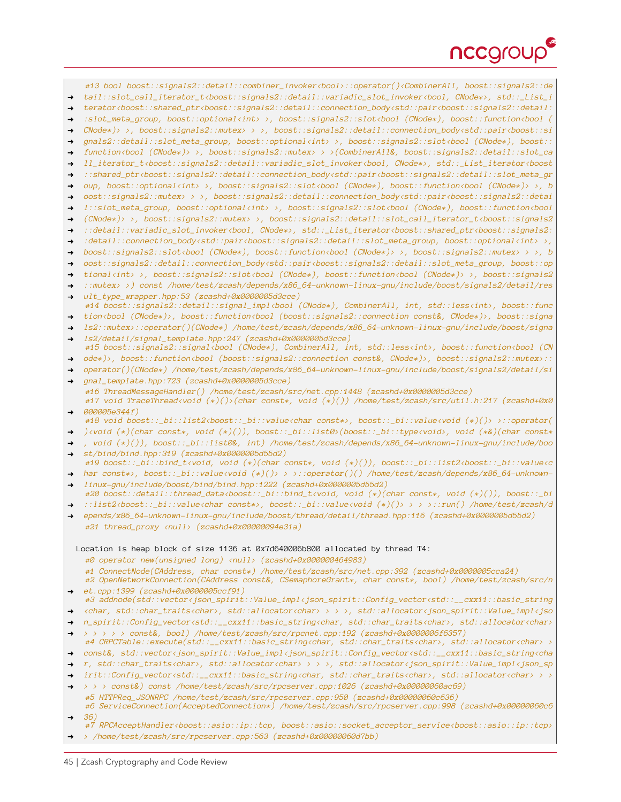

*terator<boost::shared\_ptr<boost::signals2::detail::connection\_body<std::pair<boost::signals2::detail: :slot\_meta\_group, boost::optional<int> >, boost::signals2::slot<bool (CNode\*), boost::function<bool ( CNode\*)> >, boost::signals2::mutex> > >, boost::signals2::detail::connection\_body<std::pair<boost::si gnals2::detail::slot\_meta\_group, boost::optional<int> >, boost::signals2::slot<bool (CNode\*), boost:: function<bool (CNode\*)> >, boost::signals2::mutex> > >(CombinerAll&, boost::signals2::detail::slot\_ca ll\_iterator\_t<boost::signals2::detail::variadic\_slot\_invoker<bool, CNode\*>, std::\_List\_iterator<boost ::shared\_ptr<boost::signals2::detail::connection\_body<std::pair<boost::signals2::detail::slot\_meta\_gr oup, boost::optional<int> >, boost::signals2::slot<bool (CNode\*), boost::function<bool (CNode\*)> >, b oost::signals2::mutex> > >, boost::signals2::detail::connection\_body<std::pair<boost::signals2::detai l::slot\_meta\_group, boost::optional<int> >, boost::signals2::slot<bool (CNode\*), boost::function<bool (CNode\*)> >, boost::signals2::mutex> >, boost::signals2::detail::slot\_call\_iterator\_t<boost::signals2 ::detail::variadic\_slot\_invoker<bool, CNode\*>, std::\_List\_iterator<boost::shared\_ptr<boost::signals2:*  $\rightarrow$ *:detail::connection\_body<std::pair<boost::signals2::detail::slot\_meta\_group, boost::optional<int> >,*  $\rightarrow$ *boost::signals2::slot<bool (CNode\*), boost::function<bool (CNode\*)> >, boost::signals2::mutex> > >, b*  $\rightarrow$  $\rightarrow$ *oost::signals2::detail::connection\_body<std::pair<boost::signals2::detail::slot\_meta\_group, boost::op*  $\rightarrow$ *tional<int> >, boost::signals2::slot<bool (CNode\*), boost::function<bool (CNode\*)> >, boost::signals2 ::mutex> >) const /home/test/zcash/depends/x86\_64-unknown-linux-gnu/include/boost/signals2/detail/res ult\_type\_wrapper.hpp:53 (zcashd+0x0000005d3cce) #14 boost::signals2::detail::signal\_impl<bool (CNode\*), CombinerAll, int, std::less<int>, boost::func tion<bool (CNode\*)>, boost::function<bool (boost::signals2::connection const&, CNode\*)>, boost::signa ls2::mutex>::operator()(CNode\*) /home/test/zcash/depends/x86\_64-unknown-linux-gnu/include/boost/signa ls2/detail/signal\_template.hpp:247 (zcashd+0x0000005d3cce) #15 boost::signals2::signal<bool (CNode\*), CombinerAll, int, std::less<int>, boost::function<bool (CN ode\*)>, boost::function<bool (boost::signals2::connection const&, CNode\*)>, boost::signals2::mutex>:: operator()(CNode\*) /home/test/zcash/depends/x86\_64-unknown-linux-gnu/include/boost/signals2/detail/si*

*#13 bool boost::signals2::detail::combiner\_invoker<bool>::operator()<CombinerAll, boost::signals2::de tail::slot\_call\_iterator\_t<boost::signals2::detail::variadic\_slot\_invoker<bool, CNode\*>, std::\_List\_i*

*gnal\_template.hpp:723 (zcashd+0x0000005d3cce) #16 ThreadMessageHandler() /home/test/zcash/src/net.cpp:1448 (zcashd+0x0000005d3cce) #17 void TraceThread<void (\*)()>(char const\*, void (\*)()) /home/test/zcash/src/util.h:217 (zcashd+0x0 000005e344f)*

*#18 void boost::\_bi::list2<boost::\_bi::value<char const\*>, boost::\_bi::value<void (\*)()> >::operator(*

*)<void (\*)(char const\*, void (\*)()), boost::\_bi::list0>(boost::\_bi::type<void>, void (\*&)(char const\**

- *, void (\*)()), boost::\_bi::list0&, int) /home/test/zcash/depends/x86\_64-unknown-linux-gnu/include/boo st/bind/bind.hpp:319 (zcashd+0x0000005d55d2)*
- *#19 boost::\_bi::bind\_t<void, void (\*)(char const\*, void (\*)()), boost::\_bi::list2<boost::\_bi::value<c*
- *har const\*>, boost::\_bi::value<void (\*)()> > >::operator()() /home/test/zcash/depends/x86\_64-unknownlinux-gnu/include/boost/bind/bind.hpp:1222 (zcashd+0x0000005d55d2)*
- *#20 boost::detail::thread\_data<boost::\_bi::bind\_t<void, void (\*)(char const\*, void (\*)()), boost::\_bi ::list2<boost::\_bi::value<char const\*>, boost::\_bi::value<void (\*)()> > > >::run() /home/test/zcash/d*
- *epends/x86\_64-unknown-linux-gnu/include/boost/thread/detail/thread.hpp:116 (zcashd+0x0000005d55d2) #21 thread\_proxy <null> (zcashd+0x00000094e31a)*

Location is heap block of size 1136 at 0x7d640006b800 allocated by thread T4:

*#0 operator new(unsigned long) <null> (zcashd+0x000000464983)*

*#1 ConnectNode(CAddress, char const\*) /home/test/zcash/src/net.cpp:392 (zcashd+0x0000005cca24)*

- *#2 OpenNetworkConnection(CAddress const&, CSemaphoreGrant\*, char const\*, bool) /home/test/zcash/src/n et.cpp:1399 (zcashd+0x0000005ccf91)*
- *#3 addnode(std::vector<json\_spirit::Value\_impl<json\_spirit::Config\_vector<std::\_\_cxx11::basic\_string*
- *<char, std::char\_traits<char>, std::allocator<char> > > >, std::allocator<json\_spirit::Value\_impl<jso*
- *n\_spirit::Config\_vector<std::\_\_cxx11::basic\_string<char, std::char\_traits<char>, std::allocator<char>*
- *> > > > > const&, bool) /home/test/zcash/src/rpcnet.cpp:192 (zcashd+0x0000006f6357) #4 CRPCTable::execute(std::\_\_cxx11::basic\_string<char, std::char\_traits<char>, std::allocator<char> >*
- *const&, std::vector<json\_spirit::Value\_impl<json\_spirit::Config\_vector<std::\_\_cxx11::basic\_string<cha*
- *r, std::char\_traits<char>, std::allocator<char> > > >, std::allocator<json\_spirit::Value\_impl<json\_sp*
- *irit::Config\_vector<std::\_\_cxx11::basic\_string<char, std::char\_traits<char>, std::allocator<char> > >*
- *> > > const&) const /home/test/zcash/src/rpcserver.cpp:1026 (zcashd+0x00000060ac69) #5 HTTPReq\_JSONRPC /home/test/zcash/src/rpcserver.cpp:950 (zcashd+0x00000060c636)*
- *#6 ServiceConnection(AcceptedConnection\*) /home/test/zcash/src/rpcserver.cpp:998 (zcashd+0x00000060c6 36)*
- *#7 RPCAcceptHandler<boost::asio::ip::tcp, boost::asio::socket\_acceptor\_service<boost::asio::ip::tcp> > /home/test/zcash/src/rpcserver.cpp:563 (zcashd+0x00000060d7bb)*

 $\rightarrow$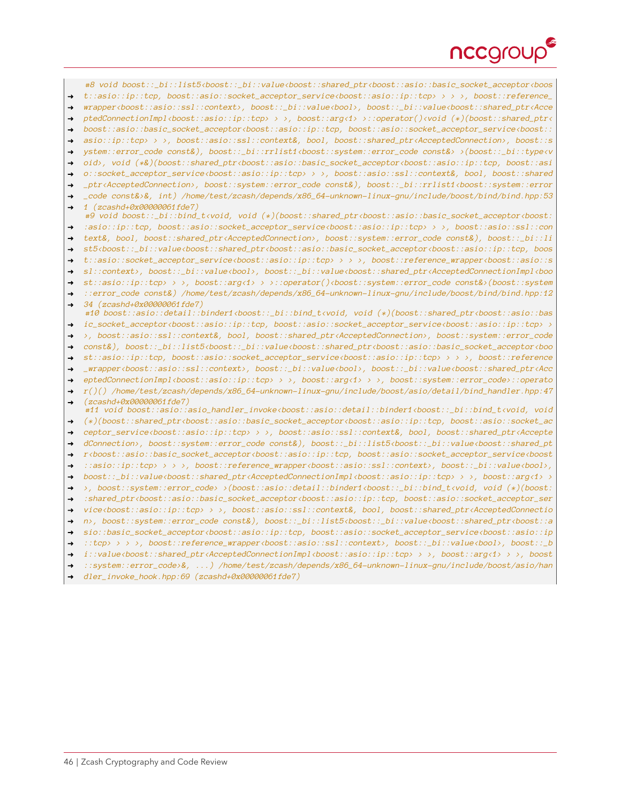

*#8 void boost::\_bi::list5<boost::\_bi::value<boost::shared\_ptr<boost::asio::basic\_socket\_acceptor<boos t::asio::ip::tcp, boost::asio::socket\_acceptor\_service<boost::asio::ip::tcp> > > >, boost::reference\_ wrapper<boost::asio::ssl::context>, boost::\_bi::value<bool>, boost::\_bi::value<boost::shared\_ptr<Acce*  $\rightarrow$ *ptedConnectionImpl<boost::asio::ip::tcp> > >, boost::arg<1> >::operator()<void (\*)(boost::shared\_ptr< boost::asio::basic\_socket\_acceptor<boost::asio::ip::tcp, boost::asio::socket\_acceptor\_service<boost:: asio::ip::tcp> > >, boost::asio::ssl::context&, bool, boost::shared\_ptr<AcceptedConnection>, boost::s ystem::error\_code const&), boost::\_bi::rrlist1<boost::system::error\_code const&> >(boost::\_bi::type<v oid>, void (\*&)(boost::shared\_ptr<boost::asio::basic\_socket\_acceptor<boost::asio::ip::tcp, boost::asi o::socket\_acceptor\_service<boost::asio::ip::tcp> > >, boost::asio::ssl::context&, bool, boost::shared \_ptr<AcceptedConnection>, boost::system::error\_code const&), boost::\_bi::rrlist1<boost::system::error \_code const&>&, int) /home/test/zcash/depends/x86\_64-unknown-linux-gnu/include/boost/bind/bind.hpp:53 1 (zcashd+0x00000061fde7) #9 void boost::\_bi::bind\_t<void, void (\*)(boost::shared\_ptr<boost::asio::basic\_socket\_acceptor<boost: :asio::ip::tcp, boost::asio::socket\_acceptor\_service<boost::asio::ip::tcp> > >, boost::asio::ssl::con text&, bool, boost::shared\_ptr<AcceptedConnection>, boost::system::error\_code const&), boost::\_bi::li st5<boost::\_bi::value<boost::shared\_ptr<boost::asio::basic\_socket\_acceptor<boost::asio::ip::tcp, boos t::asio::socket\_acceptor\_service<boost::asio::ip::tcp> > > >, boost::reference\_wrapper<boost::asio::s sl::context>, boost::\_bi::value<bool>, boost::\_bi::value<boost::shared\_ptr<AcceptedConnectionImpl<boo st::asio::ip::tcp> > >, boost::arg<1> > >::operator()<boost::system::error\_code const&>(boost::system ::error\_code const&) /home/test/zcash/depends/x86\_64-unknown-linux-gnu/include/boost/bind/bind.hpp:12 34 (zcashd+0x00000061fde7) #10 boost::asio::detail::binder1<boost::\_bi::bind\_t<void, void (\*)(boost::shared\_ptr<boost::asio::bas ic\_socket\_acceptor<boost::asio::ip::tcp, boost::asio::socket\_acceptor\_service<boost::asio::ip::tcp> > >, boost::asio::ssl::context&, bool, boost::shared\_ptr<AcceptedConnection>, boost::system::error\_code*  $\rightarrow$ *const&), boost::\_bi::list5<boost::\_bi::value<boost::shared\_ptr<boost::asio::basic\_socket\_acceptor<boo st::asio::ip::tcp, boost::asio::socket\_acceptor\_service<boost::asio::ip::tcp> > > >, boost::reference \_wrapper<boost::asio::ssl::context>, boost::\_bi::value<bool>, boost::\_bi::value<boost::shared\_ptr<Acc eptedConnectionImpl<boost::asio::ip::tcp> > >, boost::arg<1> > >, boost::system::error\_code>::operato*  $\rightarrow$ *r()() /home/test/zcash/depends/x86\_64-unknown-linux-gnu/include/boost/asio/detail/bind\_handler.hpp:47 (zcashd+0x00000061fde7)*  $\rightarrow$ *#11 void boost::asio::asio\_handler\_invoke<boost::asio::detail::binder1<boost::\_bi::bind\_t<void, void (\*)(boost::shared\_ptr<boost::asio::basic\_socket\_acceptor<boost::asio::ip::tcp, boost::asio::socket\_ac*  $\rightarrow$ *ceptor\_service<boost::asio::ip::tcp> > >, boost::asio::ssl::context&, bool, boost::shared\_ptr<Accepte dConnection>, boost::system::error\_code const&), boost::\_bi::list5<boost::\_bi::value<boost::shared\_pt r<boost::asio::basic\_socket\_acceptor<boost::asio::ip::tcp, boost::asio::socket\_acceptor\_service<boost*  $\rightarrow$ *::asio::ip::tcp> > > >, boost::reference\_wrapper<boost::asio::ssl::context>, boost::\_bi::value<bool>,*  $\rightarrow$ *boost::\_bi::value<boost::shared\_ptr<AcceptedConnectionImpl<boost::asio::ip::tcp> > >, boost::arg<1> >*  $\rightarrow$ *>, boost::system::error\_code> >(boost::asio::detail::binder1<boost::\_bi::bind\_t<void, void (\*)(boost:*  $\rightarrow$ *:shared\_ptr<boost::asio::basic\_socket\_acceptor<boost::asio::ip::tcp, boost::asio::socket\_acceptor\_ser*  $\rightarrow$ *vice<boost::asio::ip::tcp> > >, boost::asio::ssl::context&, bool, boost::shared\_ptr<AcceptedConnectio n>, boost::system::error\_code const&), boost::\_bi::list5<boost::\_bi::value<boost::shared\_ptr<boost::a sio::basic\_socket\_acceptor<boost::asio::ip::tcp, boost::asio::socket\_acceptor\_service<boost::asio::ip ::tcp> > > >, boost::reference\_wrapper<boost::asio::ssl::context>, boost::\_bi::value<bool>, boost::\_b i::value<boost::shared\_ptr<AcceptedConnectionImpl<boost::asio::ip::tcp> > >, boost::arg<1> > >, boost ::system::error\_code>&, ...) /home/test/zcash/depends/x86\_64-unknown-linux-gnu/include/boost/asio/han dler\_invoke\_hook.hpp:69 (zcashd+0x00000061fde7)*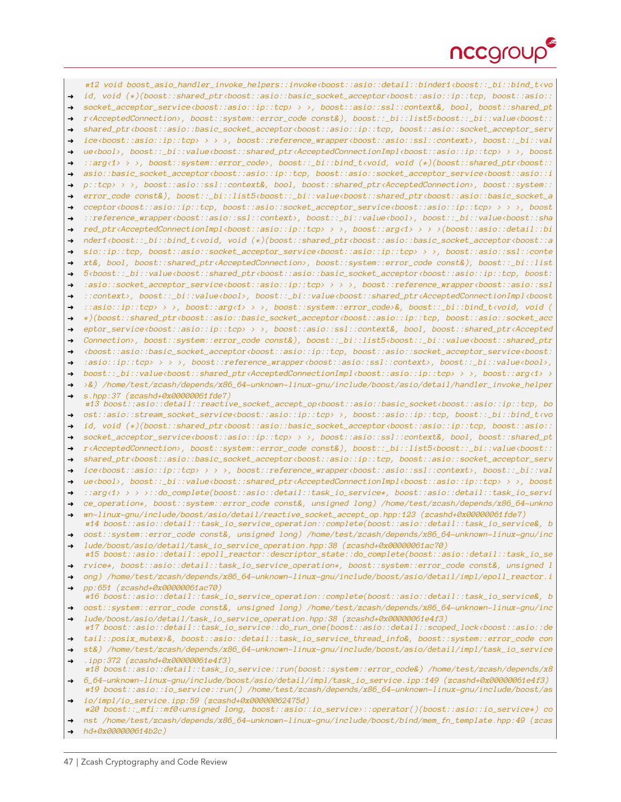

*#12 void boost\_asio\_handler\_invoke\_helpers::invoke<boost::asio::detail::binder1<boost::\_bi::bind\_t<vo*  $\rightarrow$ *id, void (\*)(boost::shared\_ptr<boost::asio::basic\_socket\_acceptor<boost::asio::ip::tcp, boost::asio:: socket\_acceptor\_service<boost::asio::ip::tcp> > >, boost::asio::ssl::context&, bool, boost::shared\_pt*  $\rightarrow$ *r<AcceptedConnection>, boost::system::error\_code const&), boost::\_bi::list5<boost::\_bi::value<boost:: shared\_ptr<boost::asio::basic\_socket\_acceptor<boost::asio::ip::tcp, boost::asio::socket\_acceptor\_serv*  $\rightarrow$ *ice<boost::asio::ip::tcp> > > >, boost::reference\_wrapper<boost::asio::ssl::context>, boost::\_bi::val ue<bool>, boost::\_bi::value<boost::shared\_ptr<AcceptedConnectionImpl<boost::asio::ip::tcp> > >, boost ::arg<1> > >, boost::system::error\_code>, boost::\_bi::bind\_t<void, void (\*)(boost::shared\_ptr<boost:: asio::basic\_socket\_acceptor<boost::asio::ip::tcp, boost::asio::socket\_acceptor\_service<boost::asio::i p::tcp> > >, boost::asio::ssl::context&, bool, boost::shared\_ptr<AcceptedConnection>, boost::system:: error\_code const&), boost::\_bi::list5<boost::\_bi::value<boost::shared\_ptr<boost::asio::basic\_socket\_a cceptor<boost::asio::ip::tcp, boost::asio::socket\_acceptor\_service<boost::asio::ip::tcp> > > >, boost ::reference\_wrapper<boost::asio::ssl::context>, boost::\_bi::value<bool>, boost::\_bi::value<boost::sha red\_ptr<AcceptedConnectionImpl<boost::asio::ip::tcp> > >, boost::arg<1> > > >(boost::asio::detail::bi nder1<boost::\_bi::bind\_t<void, void (\*)(boost::shared\_ptr<boost::asio::basic\_socket\_acceptor<boost::a*  $\rightarrow$ *sio::ip::tcp, boost::asio::socket\_acceptor\_service<boost::asio::ip::tcp> > >, boost::asio::ssl::conte xt&, bool, boost::shared\_ptr<AcceptedConnection>, boost::system::error\_code const&), boost::\_bi::list*  $\rightarrow$  $\rightarrow$ *5<boost::\_bi::value<boost::shared\_ptr<boost::asio::basic\_socket\_acceptor<boost::asio::ip::tcp, boost:*  $\rightarrow$ *:asio::socket\_acceptor\_service<boost::asio::ip::tcp> > > >, boost::reference\_wrapper<boost::asio::ssl ::context>, boost::\_bi::value<bool>, boost::\_bi::value<boost::shared\_ptr<AcceptedConnectionImpl<boost*  $\rightarrow$ *::asio::ip::tcp> > >, boost::arg<1> > >, boost::system::error\_code>&, boost::\_bi::bind\_t<void, void ( \*)(boost::shared\_ptr<boost::asio::basic\_socket\_acceptor<boost::asio::ip::tcp, boost::asio::socket\_acc eptor\_service<boost::asio::ip::tcp> > >, boost::asio::ssl::context&, bool, boost::shared\_ptr<Accepted Connection>, boost::system::error\_code const&), boost::\_bi::list5<boost::\_bi::value<boost::shared\_ptr <boost::asio::basic\_socket\_acceptor<boost::asio::ip::tcp, boost::asio::socket\_acceptor\_service<boost: :asio::ip::tcp> > > >, boost::reference\_wrapper<boost::asio::ssl::context>, boost::\_bi::value<bool>, boost::\_bi::value<boost::shared\_ptr<AcceptedConnectionImpl<boost::asio::ip::tcp> > >, boost::arg<1> > >&) /home/test/zcash/depends/x86\_64-unknown-linux-gnu/include/boost/asio/detail/handler\_invoke\_helper s.hpp:37 (zcashd+0x00000061fde7)*  $\rightarrow$ *#13 boost::asio::detail::reactive\_socket\_accept\_op<boost::asio::basic\_socket<boost::asio::ip::tcp, bo*  $\rightarrow$ *ost::asio::stream\_socket\_service<boost::asio::ip::tcp> >, boost::asio::ip::tcp, boost::\_bi::bind\_t<vo id, void (\*)(boost::shared\_ptr<boost::asio::basic\_socket\_acceptor<boost::asio::ip::tcp, boost::asio:: socket\_acceptor\_service<boost::asio::ip::tcp> > >, boost::asio::ssl::context&, bool, boost::shared\_pt r<AcceptedConnection>, boost::system::error\_code const&), boost::\_bi::list5<boost::\_bi::value<boost:: shared\_ptr<boost::asio::basic\_socket\_acceptor<boost::asio::ip::tcp, boost::asio::socket\_acceptor\_serv ice<boost::asio::ip::tcp> > > >, boost::reference\_wrapper<boost::asio::ssl::context>, boost::\_bi::val ue<bool>, boost::\_bi::value<boost::shared\_ptr<AcceptedConnectionImpl<boost::asio::ip::tcp> > >, boost ::arg<1> > > >::do\_complete(boost::asio::detail::task\_io\_service\*, boost::asio::detail::task\_io\_servi ce\_operation\*, boost::system::error\_code const&, unsigned long) /home/test/zcash/depends/x86\_64-unkno wn-linux-gnu/include/boost/asio/detail/reactive\_socket\_accept\_op.hpp:123 (zcashd+0x00000061fde7)*  $\rightarrow$ *#14 boost::asio::detail::task\_io\_service\_operation::complete(boost::asio::detail::task\_io\_service&, b oost::system::error\_code const&, unsigned long) /home/test/zcash/depends/x86\_64-unknown-linux-gnu/inc lude/boost/asio/detail/task\_io\_service\_operation.hpp:38 (zcashd+0x00000061ac70) #15 boost::asio::detail::epoll\_reactor::descriptor\_state::do\_complete(boost::asio::detail::task\_io\_se rvice\*, boost::asio::detail::task\_io\_service\_operation\*, boost::system::error\_code const&, unsigned l ong) /home/test/zcash/depends/x86\_64-unknown-linux-gnu/include/boost/asio/detail/impl/epoll\_reactor.i pp:651 (zcashd+0x00000061ac70) #16 boost::asio::detail::task\_io\_service\_operation::complete(boost::asio::detail::task\_io\_service&, b oost::system::error\_code const&, unsigned long) /home/test/zcash/depends/x86\_64-unknown-linux-gnu/inc lude/boost/asio/detail/task\_io\_service\_operation.hpp:38 (zcashd+0x00000061e4f3) #17 boost::asio::detail::task\_io\_service::do\_run\_one(boost::asio::detail::scoped\_lock<boost::asio::de tail::posix\_mutex>&, boost::asio::detail::task\_io\_service\_thread\_info&, boost::system::error\_code con st&) /home/test/zcash/depends/x86\_64-unknown-linux-gnu/include/boost/asio/detail/impl/task\_io\_service .ipp:372 (zcashd+0x00000061e4f3) #18 boost::asio::detail::task\_io\_service::run(boost::system::error\_code&) /home/test/zcash/depends/x8 6\_64-unknown-linux-gnu/include/boost/asio/detail/impl/task\_io\_service.ipp:149 (zcashd+0x00000061e4f3) #19 boost::asio::io\_service::run() /home/test/zcash/depends/x86\_64-unknown-linux-gnu/include/boost/as io/impl/io\_service.ipp:59 (zcashd+0x00000062475d) #20 boost::\_mfi::mf0<unsigned long, boost::asio::io\_service>::operator()(boost::asio::io\_service\*) co nst /home/test/zcash/depends/x86\_64-unknown-linux-gnu/include/boost/bind/mem\_fn\_template.hpp:49 (zcas*

*hd+0x000000614b2c)*  $\rightarrow$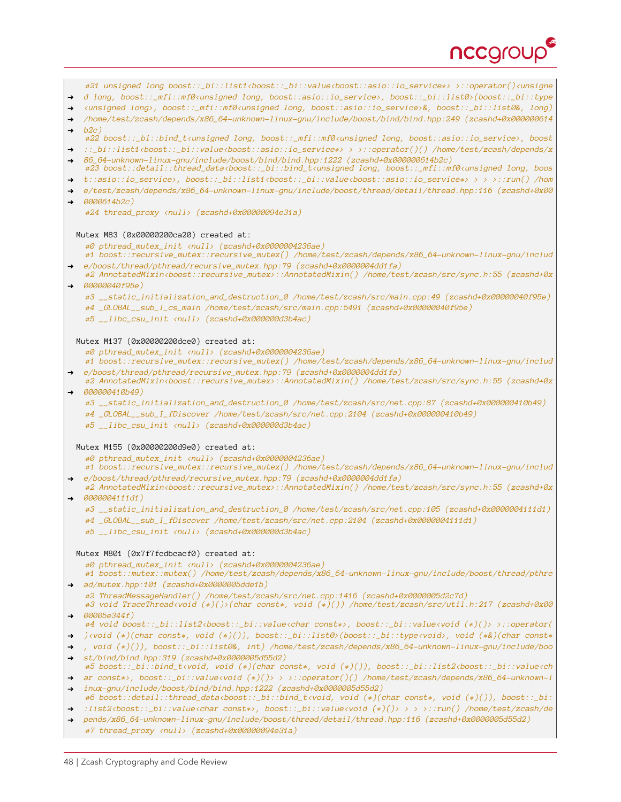nccgroup

*#21 unsigned long boost::\_bi::list1<boost::\_bi::value<boost::asio::io\_service\*> >::operator()<unsigne*

- *d long, boost::\_mfi::mf0<unsigned long, boost::asio::io\_service>, boost::\_bi::list0>(boost::\_bi::type*
- *<unsigned long>, boost::\_mfi::mf0<unsigned long, boost::asio::io\_service>&, boost::\_bi::list0&, long)*  $\rightarrow$
- */home/test/zcash/depends/x86\_64-unknown-linux-gnu/include/boost/bind/bind.hpp:249 (zcashd+0x000000614*
- *b2c)*  $\rightarrow$ *#22 boost::\_bi::bind\_t<unsigned long, boost::\_mfi::mf0<unsigned long, boost::asio::io\_service>, boost*
- *::\_bi::list1<boost::\_bi::value<boost::asio::io\_service\*> > >::operator()() /home/test/zcash/depends/x*
- *86\_64-unknown-linux-gnu/include/boost/bind/bind.hpp:1222 (zcashd+0x000000614b2c) #23 boost::detail::thread\_data<boost::\_bi::bind\_t<unsigned long, boost::\_mfi::mf0<unsigned long, boos*
- *t::asio::io\_service>, boost::\_bi::list1<boost::\_bi::value<boost::asio::io\_service\*> > > >::run() /hom*
- *e/test/zcash/depends/x86\_64-unknown-linux-gnu/include/boost/thread/detail/thread.hpp:116 (zcashd+0x00*
- *0000614b2c) #24 thread\_proxy <null> (zcashd+0x00000094e31a)*

#### Mutex M83 (0x00000200ca20) created at:

*#0 pthread\_mutex\_init <null> (zcashd+0x0000004236ae)*

- *#1 boost::recursive\_mutex::recursive\_mutex() /home/test/zcash/depends/x86\_64-unknown-linux-gnu/includ e/boost/thread/pthread/recursive\_mutex.hpp:79 (zcashd+0x0000004dd1fa)*
- *#2 AnnotatedMixin<boost::recursive\_mutex>::AnnotatedMixin() /home/test/zcash/src/sync.h:55 (zcashd+0x*
- *00000040f95e)*
	- *#3 \_\_static\_initialization\_and\_destruction\_0 /home/test/zcash/src/main.cpp:49 (zcashd+0x00000040f95e)*
	- *#4 \_GLOBAL\_\_sub\_I\_cs\_main /home/test/zcash/src/main.cpp:5491 (zcashd+0x00000040f95e)*
	- *#5 \_\_libc\_csu\_init <null> (zcashd+0x000000d3b4ac)*

#### Mutex M137 (0x00000200dce0) created at:

- *#0 pthread\_mutex\_init <null> (zcashd+0x0000004236ae)*
- *#1 boost::recursive\_mutex::recursive\_mutex() /home/test/zcash/depends/x86\_64-unknown-linux-gnu/includ e/boost/thread/pthread/recursive\_mutex.hpp:79 (zcashd+0x0000004dd1fa)*
- *#2 AnnotatedMixin<boost::recursive\_mutex>::AnnotatedMixin() /home/test/zcash/src/sync.h:55 (zcashd+0x 000000410b49)*
	- *#3 \_\_static\_initialization\_and\_destruction\_0 /home/test/zcash/src/net.cpp:87 (zcashd+0x000000410b49)*
	- *#4 \_GLOBAL\_\_sub\_I\_fDiscover /home/test/zcash/src/net.cpp:2104 (zcashd+0x000000410b49)*
	- *#5 \_\_libc\_csu\_init <null> (zcashd+0x000000d3b4ac)*

#### Mutex M155 (0x00000200d9e0) created at:

- *#0 pthread\_mutex\_init <null> (zcashd+0x0000004236ae)*
- *#1 boost::recursive\_mutex::recursive\_mutex() /home/test/zcash/depends/x86\_64-unknown-linux-gnu/includ e/boost/thread/pthread/recursive\_mutex.hpp:79 (zcashd+0x0000004dd1fa)*
- *#2 AnnotatedMixin<boost::recursive\_mutex>::AnnotatedMixin() /home/test/zcash/src/sync.h:55 (zcashd+0x 0000004111d1)*
	- *#3 \_\_static\_initialization\_and\_destruction\_0 /home/test/zcash/src/net.cpp:105 (zcashd+0x0000004111d1)*
	- *#4 \_GLOBAL\_\_sub\_I\_fDiscover /home/test/zcash/src/net.cpp:2104 (zcashd+0x0000004111d1)*
	- *#5 \_\_libc\_csu\_init <null> (zcashd+0x000000d3b4ac)*

#### Mutex M801 (0x7f7fcdbcacf0) created at:

- *#0 pthread\_mutex\_init <null> (zcashd+0x0000004236ae)*
- *#1 boost::mutex::mutex() /home/test/zcash/depends/x86\_64-unknown-linux-gnu/include/boost/thread/pthre ad/mutex.hpp:101 (zcashd+0x0000005dde1b)*
- *#2 ThreadMessageHandler() /home/test/zcash/src/net.cpp:1416 (zcashd+0x0000005d2c7d)*
- *#3 void TraceThread<void (\*)()>(char const\*, void (\*)()) /home/test/zcash/src/util.h:217 (zcashd+0x00 00005e344f)*
- *#4 void boost::\_bi::list2<boost::\_bi::value<char const\*>, boost::\_bi::value<void (\*)()> >::operator(*
- *)<void (\*)(char const\*, void (\*)()), boost::\_bi::list0>(boost::\_bi::type<void>, void (\*&)(char const\**
- *, void (\*)()), boost::\_bi::list0&, int) /home/test/zcash/depends/x86\_64-unknown-linux-gnu/include/boo st/bind/bind.hpp:319 (zcashd+0x0000005d55d2)*
- *#5 boost::\_bi::bind\_t<void, void (\*)(char const\*, void (\*)()), boost::\_bi::list2<boost::\_bi::value<ch*
- *ar const\*>, boost::\_bi::value<void (\*)()> > >::operator()() /home/test/zcash/depends/x86\_64-unknown-l inux-gnu/include/boost/bind/bind.hpp:1222 (zcashd+0x0000005d55d2)*
- *#6 boost::detail::thread\_data<boost::\_bi::bind\_t<void, void (\*)(char const\*, void (\*)()), boost::\_bi:*
- *:list2<boost::\_bi::value<char const\*>, boost::\_bi::value<void (\*)()> > > >::run() /home/test/zcash/de pends/x86\_64-unknown-linux-gnu/include/boost/thread/detail/thread.hpp:116 (zcashd+0x0000005d55d2)*

*#7 thread\_proxy <null> (zcashd+0x00000094e31a)*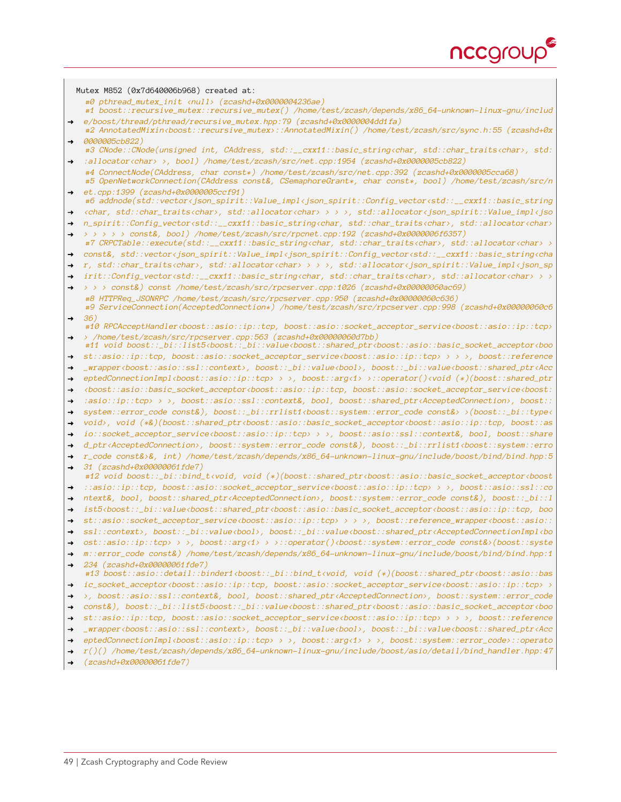

|                    | Mutex M852 (0x7d640006b968) created at:                                                                                                                                                                                                                                                                                                                                                             |
|--------------------|-----------------------------------------------------------------------------------------------------------------------------------------------------------------------------------------------------------------------------------------------------------------------------------------------------------------------------------------------------------------------------------------------------|
|                    | #0 pthread_mutex_init <null> (zcashd+0x0000004236ae)</null>                                                                                                                                                                                                                                                                                                                                         |
|                    | #1 boost::recursive_mutex::recursive_mutex() /home/test/zcash/depends/x86_64-unknown-linux-gnu/includ                                                                                                                                                                                                                                                                                               |
| $\rightarrow$      | e/boost/thread/pthread/recursive_mutex.hpp:79 (zcashd+0x0000004dd1fa)<br>#2 AnnotatedMixin <boost::recursive_mutex>::AnnotatedMixin() /home/test/zcash/src/sync.h:55 (zcashd+0x</boost::recursive_mutex>                                                                                                                                                                                            |
| $\rightarrow$      | 0000005cb822)<br>#3 CNode::CNode(unsigned int, CAddress, std::__cxx11::basic_string <char, std::char_traits<char="">, std:</char,>                                                                                                                                                                                                                                                                  |
| $\rightarrow$      | :allocator <char> &gt;, bool) /home/test/zcash/src/net.cpp:1954 (zcashd+0x0000005cb822)</char>                                                                                                                                                                                                                                                                                                      |
|                    | #4 ConnectNode(CAddress, char const*) /home/test/zcash/src/net.cpp:392 (zcashd+0x0000005cca68)<br>#5 OpenNetworkConnection(CAddress const&, CSemaphoreGrant*, char const*, bool) /home/test/zcash/src/n                                                                                                                                                                                             |
| →                  | $et$ .cpp:1399 $(zcschd + 0x0000005ccf91)$<br>#6 addnode(std::vector <json_spirit::value_impl<json_spirit::config_vector<std::__cxx11::basic_string< th=""></json_spirit::value_impl<json_spirit::config_vector<std::__cxx11::basic_string<>                                                                                                                                                        |
| →                  | <char, std::char_traits<char="">, std::allocator<char> &gt; &gt; &gt; &gt;, std::allocator<json_spirit::value_impl<jso< th=""></json_spirit::value_impl<jso<></char></char,>                                                                                                                                                                                                                        |
| →                  | n_spirit::Config_vector <std::__cxx11::basic_string<char, std::char_traits<char="">, std::allocator<char></char></std::__cxx11::basic_string<char,>                                                                                                                                                                                                                                                 |
| →                  | > > > > > const&, bool) /home/test/zcash/src/rpcnet.cpp:192 (zcashd+0x0000006f6357)<br>#7 CRPCTable::execute(std::__cxx11::basic_string <char, std::char_traits<char="">, std::allocator<char> &gt;</char></char,>                                                                                                                                                                                  |
| →                  | const&, std::vector <json_spirit::value_impl<json_spirit::config_vector<std::__cxx11::basic_string<cha< th=""></json_spirit::value_impl<json_spirit::config_vector<std::__cxx11::basic_string<cha<>                                                                                                                                                                                                 |
| →                  | $r$ , std::char_traits <char>, std::allocator<char> &gt; &gt; &gt; &gt;, std::allocator<json_spirit::value_impl<json_sp< th=""></json_spirit::value_impl<json_sp<></char></char>                                                                                                                                                                                                                    |
| $\rightarrow$      | irit::Config_vector <std::__cxx11::basic_string<char, std::char_traits<char="">, std::allocator<char>&gt;&gt;&gt;&gt;</char></std::__cxx11::basic_string<char,>                                                                                                                                                                                                                                     |
| →                  | > > > const&) const /home/test/zcash/src/rpcserver.cpp:1026 (zcashd+0x00000060ac69)                                                                                                                                                                                                                                                                                                                 |
|                    | #8 HTTPReq_JSONRPC /home/test/zcash/src/rpcserver.cpp:950 (zcashd+0x00000060c636)<br>#9 ServiceConnection(AcceptedConnection*) /home/test/zcash/src/rpcserver.cpp:998 (zcashd+0x00000060c6                                                                                                                                                                                                          |
| →                  | 36)                                                                                                                                                                                                                                                                                                                                                                                                 |
| $\rightarrow$      | #10 RPCAcceptHandler <boost::asio::ip::tcp, boost::asio::socket_acceptor_service<boost::asio::ip::tcp=""><br/>&gt; /home/test/zcash/src/rpcserver.cpp:563 (zcashd+0x000000060d7bb)<br/>#11 void boost::_bi::list5<boost::_bi::value<boost::shared_ptr<boost::asio::basic_socket_acceptor<br></boost::_bi::value<boost::shared_ptr<boost::asio::basic_socket_acceptor<br>koo</boost::asio::ip::tcp,> |
| →                  | $st.: \text{asio.:} \text{ip.:} \text{tcp}, \text{ boost.:} \text{asio.:} \text{socket\_acceptor\_service} \text{choose:} : \text{asio.:} \text{ip.:} \text{tcp} \rightarrow \rightarrow \rightarrow, \text{ boost.:} \text{reference}$                                                                                                                                                             |
| →                  | $\_wrapper \textit{choose}: \textit{assign}::\textit{context}\textit{)}\textit{boost}: \textit{\_bi}: \textit{value} \textit{bool}\textit{)}\textit{},\textit{ boost}: \textit{\_bi}: \textit{value} \textit{boost}: \textit{;} \textit{shared\_ptr} \textit{Acc}$                                                                                                                                  |
| →                  | $eptedConnectionImpl \times boost::asio::ip::tcp \rightarrow \rightarrow, boost::arg \xleftarrow{\land} \rightarrow::operator(\xleftarrow{\land} \xleftarrow{\forall}) (boost::shared_ptr$                                                                                                                                                                                                          |
| →                  | <boost::asio::basic_socket_acceptor<boost::asio::ip::tcp, boost::asio::socket_acceptor_service<boost:<="" th=""></boost::asio::basic_socket_acceptor<boost::asio::ip::tcp,>                                                                                                                                                                                                                         |
| →                  | :asio::ip::tcp> > >, boost::asio::ssl::context&, bool, boost::shared_ptr <acceptedconnection>, boost::</acceptedconnection>                                                                                                                                                                                                                                                                         |
| →                  | system::error_code const&), boost::_bi::rrlist1 <boost::system::error_code const&=""> &gt;(boost::_bi::type&lt;</boost::system::error_code>                                                                                                                                                                                                                                                         |
| →                  | void>, void (*&)(boost::shared_ptr <boost::asio::basic_socket_acceptor<boost::asio::ip::tcp, boost::as<="" th=""></boost::asio::basic_socket_acceptor<boost::asio::ip::tcp,>                                                                                                                                                                                                                        |
| →                  | io::socket_acceptor_service <boost::asio::ip::tcp> &gt; &gt;, boost::asio::ssl::context&amp;, bool, boost::share</boost::asio::ip::tcp>                                                                                                                                                                                                                                                             |
| →                  | d_ptr <acceptedconnection>, boost::system::error_code const&amp;), boost::_bi::rrlist1<boost::system::erro< th=""></boost::system::erro<></acceptedconnection>                                                                                                                                                                                                                                      |
| →                  | r_code const&>&, int) /home/test/zcash/depends/x86_64-unknown-linux-gnu/include/boost/bind/bind.hpp:5                                                                                                                                                                                                                                                                                               |
| →                  | 31 (zcashd+0x00000061fde7)<br>#12 void boost::_bi::bind_t <void, (*)(boost::shared_ptr<boost::asio::basic_socket_acceptor<br="" void=""></void,> kboost                                                                                                                                                                                                                                             |
| →                  | ::asio::ip::tcp, boost::asio::socket_acceptor_service <boost::asio::ip::tcp> &gt; &gt;, boost::asio::ssl::co</boost::asio::ip::tcp>                                                                                                                                                                                                                                                                 |
| →                  | ntext&, bool, boost::shared_ptr <acceptedconnection>, boost::system::error_code const&amp;), boost::_bi::l</acceptedconnection>                                                                                                                                                                                                                                                                     |
| →                  | ist5 <boost::_bi::value<boost::shared_ptr<boost::asio::basic_socket_acceptor<br></boost::_bi::value<boost::shared_ptr<boost::asio::basic_socket_acceptor<br> kboost::asio::ip::tcp, boo                                                                                                                                                                                                             |
| →                  | st::asio::socket_acceptor_service <boost::asio::ip::tcp> &gt; &gt; &gt;, boost::reference_wrapper<boost::asio::< th=""></boost::asio::<></boost::asio::ip::tcp>                                                                                                                                                                                                                                     |
| $\rightarrow$      | ssl::context>, boost::_bi::value <bool>, boost::_bi::value<boost::shared_ptr<acceptedconnectionimpl<br></boost::shared_ptr<acceptedconnectionimpl<br><br/>&amp;co</bool>                                                                                                                                                                                                                            |
| →                  | ost::asio::ip::tcp> > >, boost::arg<1> > >::operator() <boost::system::error_code const&="">(boost::syste<br/>m::error_code const&amp;) /home/test/zcash/depends/x86_64-unknown-linux-gnu/include/boost/bind/bind.hpp:1</boost::system::error_code>                                                                                                                                                 |
| $\rightarrow$<br>→ | 234 (zcashd+0x00000061fde7)<br>#13 boost::asio::detail::binder1 <boost::_bi::bind_t<void, (*)(boost::shared_ptr<br="" void=""></boost::_bi::bind_t<void,> kboost::asio::bas                                                                                                                                                                                                                         |
| →                  | ic_socket_acceptor <boost::asio::ip::tcp, boost::asio::socket_acceptor_service<boost::asio::ip::tcp=""> &gt;</boost::asio::ip::tcp,>                                                                                                                                                                                                                                                                |
| →                  | >, boost::asio::ssl::context&, bool, boost::shared_ptr <acceptedconnection>, boost::system::error_code</acceptedconnection>                                                                                                                                                                                                                                                                         |
| →                  | const&), boost::_bi::list5 <boost::_bi::value<boost::shared_ptr<boost::asio::basic_socket_acceptor<br></boost::_bi::value<boost::shared_ptr<boost::asio::basic_socket_acceptor<br> kboo                                                                                                                                                                                                             |
| →                  | $st.: \text{asio.:} \text{ip.:} \text{tcp}, \text{ boost.:} \text{asio.:} \text{socket\_acceptor\_service} \text{choose:} : \text{asio.:} \text{ip.:} \text{tcp} \rightarrow \rightarrow \rightarrow, \text{ boost.:} \text{reference}$                                                                                                                                                             |
| $\rightarrow$      | $\_wrapper \textit{cboost}: : \textit{asio}: \textit{ss1}: \textit{context}\textit{,} \textit{boost}: \textit{\_bi}: \textit{value}\textit{cbool}\textit{,} \textit{boost}: \textit{\_bi}: \textit{value}\textit{cboot}: \textit{\_ishared\_ptr}\textit{Acc}$                                                                                                                                       |
| →                  | $eptedConnectionImpl choose:asio:is:to > > , boost:arg> > > , boost:system:errorcode:open$                                                                                                                                                                                                                                                                                                          |
| →                  | r()() /home/test/zcash/depends/x86_64-unknown-linux-gnu/include/boost/asio/detail/bind_handler.hpp:47                                                                                                                                                                                                                                                                                               |
| →                  | $(zcashd + 0x00000061 fde7)$                                                                                                                                                                                                                                                                                                                                                                        |
|                    |                                                                                                                                                                                                                                                                                                                                                                                                     |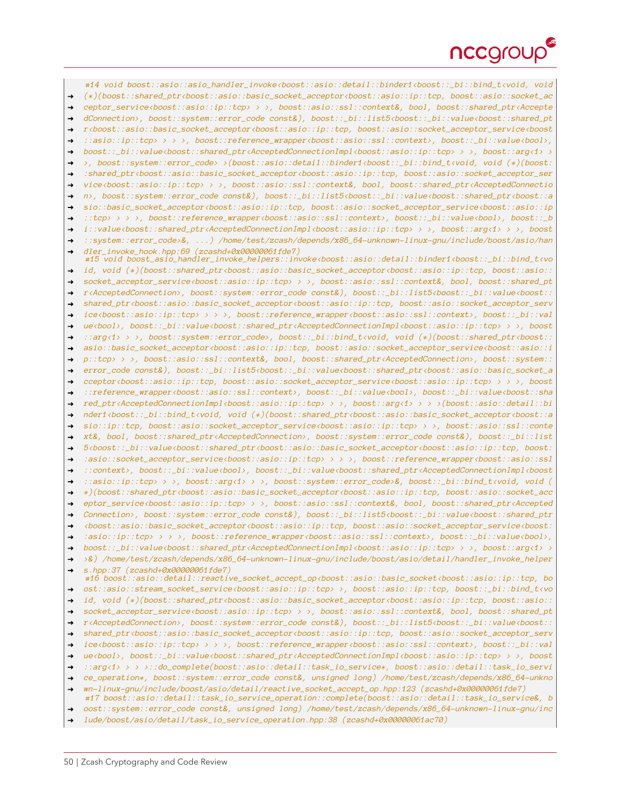

*#14 void boost::asio::asio\_handler\_invoke<boost::asio::detail::binder1<boost::\_bi::bind\_t<void, void (\*)(boost::shared\_ptr<boost::asio::basic\_socket\_acceptor<boost::asio::ip::tcp, boost::asio::socket\_ac ceptor\_service<boost::asio::ip::tcp> > >, boost::asio::ssl::context&, bool, boost::shared\_ptr<Accepte dConnection>, boost::system::error\_code const&), boost::\_bi::list5<boost::\_bi::value<boost::shared\_pt r<boost::asio::basic\_socket\_acceptor<boost::asio::ip::tcp, boost::asio::socket\_acceptor\_service<boost*  $\rightarrow$ *::asio::ip::tcp> > > >, boost::reference\_wrapper<boost::asio::ssl::context>, boost::\_bi::value<bool>, boost::\_bi::value<boost::shared\_ptr<AcceptedConnectionImpl<boost::asio::ip::tcp> > >, boost::arg<1> > >, boost::system::error\_code> >(boost::asio::detail::binder1<boost::\_bi::bind\_t<void, void (\*)(boost: :shared\_ptr<boost::asio::basic\_socket\_acceptor<boost::asio::ip::tcp, boost::asio::socket\_acceptor\_ser vice<boost::asio::ip::tcp> > >, boost::asio::ssl::context&, bool, boost::shared\_ptr<AcceptedConnectio n>, boost::system::error\_code const&), boost::\_bi::list5<boost::\_bi::value<boost::shared\_ptr<boost::a sio::basic\_socket\_acceptor<boost::asio::ip::tcp, boost::asio::socket\_acceptor\_service<boost::asio::ip ::tcp> > > >, boost::reference\_wrapper<boost::asio::ssl::context>, boost::\_bi::value<bool>, boost::\_b i::value<boost::shared\_ptr<AcceptedConnectionImpl<boost::asio::ip::tcp> > >, boost::arg<1> > >, boost ::system::error\_code>&, ...) /home/test/zcash/depends/x86\_64-unknown-linux-gnu/include/boost/asio/han dler\_invoke\_hook.hpp:69 (zcashd+0x00000061fde7) #15 void boost\_asio\_handler\_invoke\_helpers::invoke<boost::asio::detail::binder1<boost::\_bi::bind\_t<vo id, void (\*)(boost::shared\_ptr<boost::asio::basic\_socket\_acceptor<boost::asio::ip::tcp, boost::asio:: socket\_acceptor\_service<boost::asio::ip::tcp> > >, boost::asio::ssl::context&, bool, boost::shared\_pt r<AcceptedConnection>, boost::system::error\_code const&), boost::\_bi::list5<boost::\_bi::value<boost::*  $\rightarrow$ *shared\_ptr<boost::asio::basic\_socket\_acceptor<boost::asio::ip::tcp, boost::asio::socket\_acceptor\_serv ice<boost::asio::ip::tcp> > > >, boost::reference\_wrapper<boost::asio::ssl::context>, boost::\_bi::val ue<bool>, boost::\_bi::value<boost::shared\_ptr<AcceptedConnectionImpl<boost::asio::ip::tcp> > >, boost*  $\rightarrow$ *::arg<1> > >, boost::system::error\_code>, boost::\_bi::bind\_t<void, void (\*)(boost::shared\_ptr<boost::*  $\rightarrow$ *asio::basic\_socket\_acceptor<boost::asio::ip::tcp, boost::asio::socket\_acceptor\_service<boost::asio::i*  $\rightarrow$ *p::tcp> > >, boost::asio::ssl::context&, bool, boost::shared\_ptr<AcceptedConnection>, boost::system::*  $\rightarrow$ *error\_code const&), boost::\_bi::list5<boost::\_bi::value<boost::shared\_ptr<boost::asio::basic\_socket\_a*  $\rightarrow$ *cceptor<boost::asio::ip::tcp, boost::asio::socket\_acceptor\_service<boost::asio::ip::tcp> > > >, boost*  $\rightarrow$ *::reference\_wrapper<boost::asio::ssl::context>, boost::\_bi::value<bool>, boost::\_bi::value<boost::sha red\_ptr<AcceptedConnectionImpl<boost::asio::ip::tcp> > >, boost::arg<1> > > >(boost::asio::detail::bi nder1<boost::\_bi::bind\_t<void, void (\*)(boost::shared\_ptr<boost::asio::basic\_socket\_acceptor<boost::a*  $\rightarrow$ *sio::ip::tcp, boost::asio::socket\_acceptor\_service<boost::asio::ip::tcp> > >, boost::asio::ssl::conte xt&, bool, boost::shared\_ptr<AcceptedConnection>, boost::system::error\_code const&), boost::\_bi::list 5<boost::\_bi::value<boost::shared\_ptr<boost::asio::basic\_socket\_acceptor<boost::asio::ip::tcp, boost: :asio::socket\_acceptor\_service<boost::asio::ip::tcp> > > >, boost::reference\_wrapper<boost::asio::ssl ::context>, boost::\_bi::value<bool>, boost::\_bi::value<boost::shared\_ptr<AcceptedConnectionImpl<boost*  $\rightarrow$ *::asio::ip::tcp> > >, boost::arg<1> > >, boost::system::error\_code>&, boost::\_bi::bind\_t<void, void (*  $\rightarrow$ *\*)(boost::shared\_ptr<boost::asio::basic\_socket\_acceptor<boost::asio::ip::tcp, boost::asio::socket\_acc*  $\rightarrow$ *eptor\_service<boost::asio::ip::tcp> > >, boost::asio::ssl::context&, bool, boost::shared\_ptr<Accepted*  $\rightarrow$ *Connection>, boost::system::error\_code const&), boost::\_bi::list5<boost::\_bi::value<boost::shared\_ptr <boost::asio::basic\_socket\_acceptor<boost::asio::ip::tcp, boost::asio::socket\_acceptor\_service<boost:*  $\rightarrow$ *:asio::ip::tcp> > > >, boost::reference\_wrapper<boost::asio::ssl::context>, boost::\_bi::value<bool>, boost::\_bi::value<boost::shared\_ptr<AcceptedConnectionImpl<boost::asio::ip::tcp> > >, boost::arg<1> > >&) /home/test/zcash/depends/x86\_64-unknown-linux-gnu/include/boost/asio/detail/handler\_invoke\_helper s.hpp:37 (zcashd+0x00000061fde7) #16 boost::asio::detail::reactive\_socket\_accept\_op<boost::asio::basic\_socket<boost::asio::ip::tcp, bo ost::asio::stream\_socket\_service<boost::asio::ip::tcp> >, boost::asio::ip::tcp, boost::\_bi::bind\_t<vo id, void (\*)(boost::shared\_ptr<boost::asio::basic\_socket\_acceptor<boost::asio::ip::tcp, boost::asio:: socket\_acceptor\_service<boost::asio::ip::tcp> > >, boost::asio::ssl::context&, bool, boost::shared\_pt*  $\rightarrow$ *r<AcceptedConnection>, boost::system::error\_code const&), boost::\_bi::list5<boost::\_bi::value<boost:: shared\_ptr<boost::asio::basic\_socket\_acceptor<boost::asio::ip::tcp, boost::asio::socket\_acceptor\_serv ice<boost::asio::ip::tcp> > > >, boost::reference\_wrapper<boost::asio::ssl::context>, boost::\_bi::val ue<bool>, boost::\_bi::value<boost::shared\_ptr<AcceptedConnectionImpl<boost::asio::ip::tcp> > >, boost ::arg<1> > > >::do\_complete(boost::asio::detail::task\_io\_service\*, boost::asio::detail::task\_io\_servi ce\_operation\*, boost::system::error\_code const&, unsigned long) /home/test/zcash/depends/x86\_64-unkno wn-linux-gnu/include/boost/asio/detail/reactive\_socket\_accept\_op.hpp:123 (zcashd+0x00000061fde7) #17 boost::asio::detail::task\_io\_service\_operation::complete(boost::asio::detail::task\_io\_service&, b oost::system::error\_code const&, unsigned long) /home/test/zcash/depends/x86\_64-unknown-linux-gnu/inc*

*lude/boost/asio/detail/task\_io\_service\_operation.hpp:38 (zcashd+0x00000061ac70)*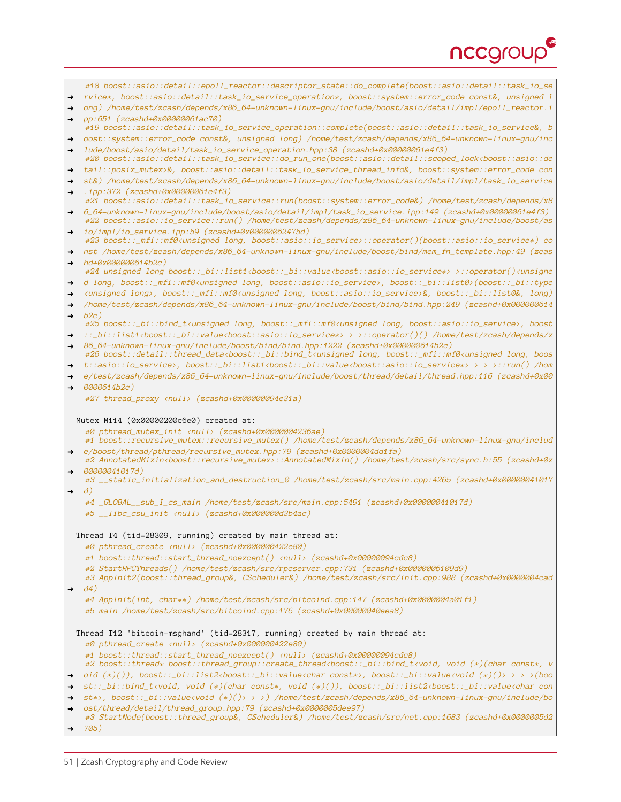

| →                  |                                                                                                                                                                                                                                                                                                                               |
|--------------------|-------------------------------------------------------------------------------------------------------------------------------------------------------------------------------------------------------------------------------------------------------------------------------------------------------------------------------|
|                    | #18 boost::asio::detail::epoll_reactor::descriptor_state::do_complete(boost::asio::detail::task_io_se<br>rvice*, boost::asio::detail::task_io_service_operation*, boost::system::error_code const&, unsigned l<br>ong) /home/test/zcash/depends/x86_64-unknown-linux-gnu/include/boost/asio/detail/impl/epoll_reactor.i       |
| $\rightarrow$<br>→ | pp:651 (zcashd+0x00000061ac70)<br>#19 boost::asio::detail::task_io_service_operation::complete(boost::asio::detail::task_io_service&, b                                                                                                                                                                                       |
| →<br>$\rightarrow$ | oost::system::error_code const&, unsigned long) /home/test/zcash/depends/x86_64-unknown-linux-gnu/inc<br>lude/boost/asio/detail/task_io_service_operation.hpp:38 (zcashd+0x00000061e4f3)<br>#20 boost::asio::detail::task_io_service::do_run_one(boost::asio::detail::scoped_lock <boost::asio::de< th=""></boost::asio::de<> |
| →                  | tail::posix_mutex>&, boost::asio::detail::task_io_service_thread_info&, boost::system::error_code con                                                                                                                                                                                                                         |
| $\rightarrow$      | st&) /home/test/zcash/depends/x86_64-unknown-linux-gnu/include/boost/asio/detail/impl/task_io_service                                                                                                                                                                                                                         |
| $\rightarrow$      | $inp:372 (zcshd+0x00000061e4f3)$                                                                                                                                                                                                                                                                                              |
| $\rightarrow$      | #21 boost::asio::detail::task_io_service::run(boost::system::error_code&) /home/test/zcash/depends/x8<br>6_64-unknown-linux-gnu/include/boost/asio/detail/impl/task_io_service.ipp:149 (zcashd+0x00000061e4f3)<br>#22 boost::asio::io_service::run() /home/test/zcash/depends/x86_64-unknown-linux-gnu/include/boost/as       |
| $\rightarrow$      | io/impl/io_service.ipp:59 (zcashd+0x00000062475d)<br>#23 boost::_mfi::mf0 <unsigned boost::asio::io_service="" long,="">::operator()(boost::asio::io_service*) co</unsigned>                                                                                                                                                  |
| →                  | nst /home/test/zcash/depends/x86_64-unknown-linux-gnu/include/boost/bind/mem_fn_template.hpp:49 (zcas                                                                                                                                                                                                                         |
| $\rightarrow$      | hd+0x000000614b2c)                                                                                                                                                                                                                                                                                                            |
|                    | #24 unsigned long boost::_bi::list1 <boost::_bi::value<boost::asio::io_service*> &gt;::operator()<unsigne< th=""></unsigne<></boost::_bi::value<boost::asio::io_service*>                                                                                                                                                     |
| →                  | d long, boost::_mfi::mf0 <unsigned boost::asio::io_service="" long,="">, boost::_bi::list0&gt;(boost::_bi::type<br/><unsigned long="">, boost::_mfi::mf0<unsigned boost::asio::io_service="" long,="">&amp;, boost::_bi::list0&amp;, long)</unsigned></unsigned></unsigned>                                                   |
| →<br>$\rightarrow$ | /home/test/zcash/depends/x86_64-unknown-linux-gnu/include/boost/bind/bind.hpp:249 (zcashd+0x000000614                                                                                                                                                                                                                         |
| $\rightarrow$      | $b2c$ )                                                                                                                                                                                                                                                                                                                       |
|                    | #25 boost::_bi::bind_t <unsigned boost::_mfi::mf0<unsigned="" boost::asio::io_service="" long,="">, boost</unsigned>                                                                                                                                                                                                          |
| →<br>$\rightarrow$ | ::_bi::list1<br>kboost::_bi::value <boost::asio::io_service*> &gt; &gt;::operator()() /home/test/zcash/depends/x<br/>86_64-unknown-linux-gnu/include/boost/bind/bind.hpp:1222 (zcashd+0x000000614b2c)</boost::asio::io_service*>                                                                                              |
|                    | #26 boost::detail::thread_data <boost::_bi::bind_t<unsigned boos<="" boost::_mfi::mf0<unsigned="" long,="" th=""></boost::_bi::bind_t<unsigned>                                                                                                                                                                               |
| →                  | t::asio::io_service>, boost::_bi::list1<br>boost::_bi::value<br>cboost::asio::io_service*>>>>:run() /hom                                                                                                                                                                                                                      |
| $\rightarrow$      | e/test/zcash/depends/x86_64-unknown-linux-gnu/include/boost/thread/detail/thread.hpp:116 (zcashd+0x00                                                                                                                                                                                                                         |
| $\rightarrow$      | 0000614b2c)<br>#27 thread_proxy <null> (zcashd+0x00000094e31a)</null>                                                                                                                                                                                                                                                         |
|                    |                                                                                                                                                                                                                                                                                                                               |
|                    | Mutex M114 (0x00000200c6e0) created at:                                                                                                                                                                                                                                                                                       |
|                    | #0 pthread_mutex_init <null> (zcashd+0x0000004236ae)<br/>#1 boost::recursive_mutex::recursive_mutex() /home/test/zcash/depends/x86_64-unknown-linux-gnu/includ</null>                                                                                                                                                         |
| →                  | e/boost/thread/pthread/recursive_mutex.hpp:79 (zcashd+0x0000004dd1fa)                                                                                                                                                                                                                                                         |
|                    | #2 AnnotatedMixin <boost::recursive_mutex>::AnnotatedMixin() /home/test/zcash/src/sync.h:55 (zcashd+0x</boost::recursive_mutex>                                                                                                                                                                                               |
| $\rightarrow$      | 00000041017d)                                                                                                                                                                                                                                                                                                                 |
| $\rightarrow$      | #3 __static_initialization_and_destruction_0 /home/test/zcash/src/main.cpp:4265 (zcashd+0x00000041017<br>d)                                                                                                                                                                                                                   |
|                    | #4_GLOBAL__sub_I_cs_main /home/test/zcash/src/main.cpp:5491 (zcashd+0x00000041017d)                                                                                                                                                                                                                                           |
|                    | #5 __libc_csu_init <null> (zcashd+0x000000d3b4ac)</null>                                                                                                                                                                                                                                                                      |
|                    |                                                                                                                                                                                                                                                                                                                               |
|                    | Thread T4 (tid=28309, running) created by main thread at:                                                                                                                                                                                                                                                                     |
|                    | #0 pthread create <null> (zcashd+0x000000422e80)</null>                                                                                                                                                                                                                                                                       |
|                    | #1 boost::thread::start_thread_noexcept() <null> (zcashd+0x00000094cdc8)<br/>#2 StartRPCThreads() /home/test/zcash/src/rpcserver.cpp:731 (zcashd+0x0000006109d9)</null>                                                                                                                                                       |
|                    | #3 AppInit2(boost::thread_group&, CScheduler&) /home/test/zcash/src/init.cpp:988 (zcashd+0x0000004cad                                                                                                                                                                                                                         |
| →                  | d4)                                                                                                                                                                                                                                                                                                                           |
|                    | #4 AppInit(int, char**) /home/test/zcash/src/bitcoind.cpp:147 (zcashd+0x0000004a01f1)                                                                                                                                                                                                                                         |
|                    | #5 main /home/test/zcash/src/bitcoind.cpp:176 (zcashd+0x00000040eea8)                                                                                                                                                                                                                                                         |
|                    | Thread T12 'bitcoin-msghand' (tid=28317, running) created by main thread at:                                                                                                                                                                                                                                                  |
|                    | #0 pthread create <null> (zcashd+0x000000422e80)</null>                                                                                                                                                                                                                                                                       |
|                    | #1 boost::thread::start_thread_noexcept() <null> (zcashd+0x00000094cdc8)</null>                                                                                                                                                                                                                                               |
|                    | #2 boost::thread* boost::thread_group::create_thread <boost::_bi::bind_t<void, (*)(char="" const*,="" th="" v<="" void=""></boost::_bi::bind_t<void,>                                                                                                                                                                         |
| →<br>→             | oid $(*)()$ , boost::_bi::list2<br>cboost::_bi::value <char const*="">, boost::_bi::value<void <math="">(*)()&gt; &gt; &gt; &gt; &gt; <math>(*)</math><br/><math>st::_bi::bind\_t:void</math>, void (*)(char const*, void (*)()), boost::_bi::list2<br/>kboost::_bi::value<char con<="" th=""></char></void></char>           |
| →                  | $sts$ , boost::_bi::value <void <math="">(*)()&gt; &gt; &gt;) /home/test/zcash/depends/x86_64-unknown-linux-gnu/include/bo</void>                                                                                                                                                                                             |
| →                  | ost/thread/detail/thread_group.hpp:79 (zcashd+0x0000005dee97)<br>#3 StartNode(boost::thread_group&, CScheduler&) /home/test/zcash/src/net.cpp:1683 (zcashd+0x0000005d2                                                                                                                                                        |
| →                  | 705)                                                                                                                                                                                                                                                                                                                          |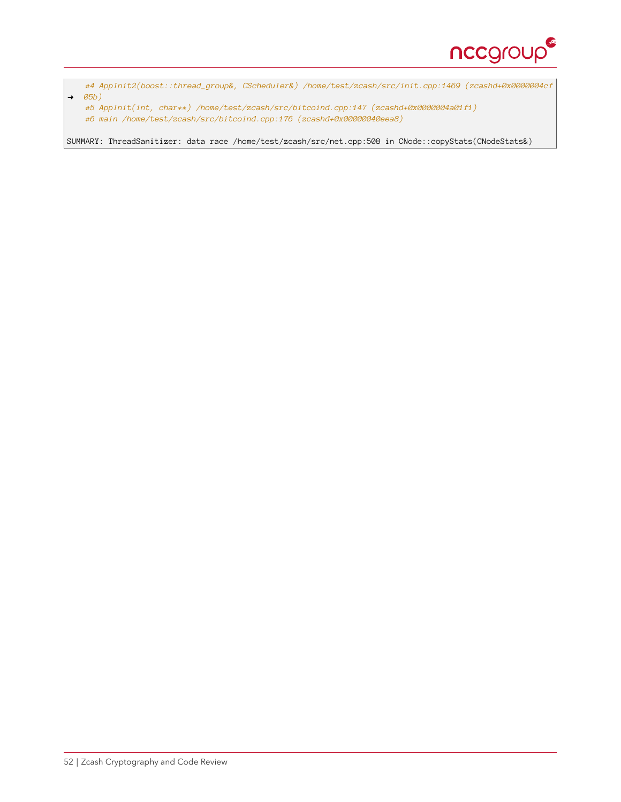

*#4 AppInit2(boost::thread\_group&, CScheduler&) /home/test/zcash/src/init.cpp:1469 (zcashd+0x0000004cf 05b)*

*#5 AppInit(int, char\*\*) /home/test/zcash/src/bitcoind.cpp:147 (zcashd+0x0000004a01f1) #6 main /home/test/zcash/src/bitcoind.cpp:176 (zcashd+0x00000040eea8)*

SUMMARY: ThreadSanitizer: data race /home/test/zcash/src/net.cpp:508 in CNode::copyStats(CNodeStats&)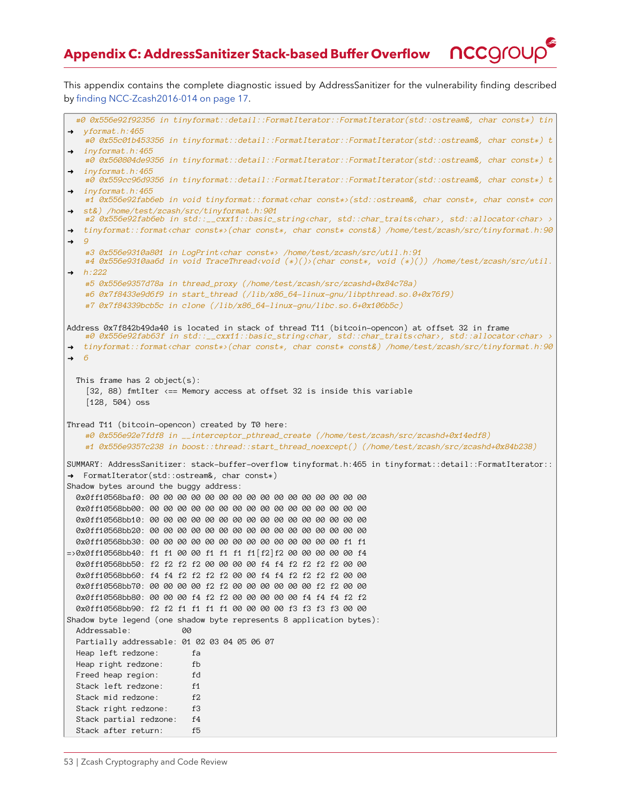**Appendix C: AddressSanitizer Stack-based Buffer Overflow**

<span id="page-52-0"></span>This appendix contains the complete diagnostic issued by AddressSanitizer for the vulnerability finding described by [finding NCC-Zcash2016-014 on page 17](#page-16-0).

nccgrou

```
#0 0x556e92f92356 in tinyformat::detail::FormatIterator::FormatIterator(std::ostream&, char const*) tin
yformat.h:465
   #0 0x55c01b453356 in tinyformat::detail::FormatIterator::FormatIterator(std::ostream&, char const*) t
inyformat.h:465
   #0 0x560804de9356 in tinyformat::detail::FormatIterator::FormatIterator(std::ostream&, char const*) t
inyformat.h:465
   #0 0x559cc96d9356 in tinyformat::detail::FormatIterator::FormatIterator(std::ostream&, char const*) t
inyformat.h:465
   #1 0x556e92fab6eb in void tinyformat::format<char const*>(std::ostream&, char const*, char const* con
  st&) /home/test/zcash/src/tinyformat.h:901
   #2 0x556e92fab6eb in std::__cxx11::basic_string<char, std::char_traits<char>, std::allocator<char> >
  tinyformat::format<char const*>(char const*, char const* const&) /home/test/zcash/src/tinyformat.h:90
9
   #3 0x556e9310a801 in LogPrint<char const*> /home/test/zcash/src/util.h:91
   #4 0x556e9310aa6d in void TraceThread<void (*)()>(char const*, void (*)()) /home/test/zcash/src/util.
  h:222
   #5 0x556e9357d78a in thread_proxy (/home/test/zcash/src/zcashd+0x84c78a)
   #6 0x7f8433e9d6f9 in start_thread (/lib/x86_64-linux-gnu/libpthread.so.0+0x76f9)
   #7 0x7f84339bcb5c in clone (/lib/x86_64-linux-gnu/libc.so.6+0x106b5c)
Address 0x7f842b49da40 is located in stack of thread T11 (bitcoin-opencon) at offset 32 in frame
   #0 0x556e92fab63f in std::__cxx11::basic_string<char, std::char_traits<char>, std::allocator<char> >
 tinyformat::format<char const*>(char const*, char const* const&) /home/test/zcash/src/tinyformat.h:90
→ 6
 This frame has 2 object(s):
   [32, 88) fmtIter <== Memory access at offset 32 is inside this variable
   [128, 504) oss
Thread T11 (bitcoin-opencon) created by T0 here:
   #0 0x556e92e7fdf8 in __interceptor_pthread_create (/home/test/zcash/src/zcashd+0x14edf8)
   #1 0x556e9357c238 in boost::thread::start_thread_noexcept() (/home/test/zcash/src/zcashd+0x84b238)
SUMMARY: AddressSanitizer: stack-buffer-overflow tinyformat.h:465 in tinyformat::detail::FormatIterator::
FormatIterator(std::ostream&, char const*)
Shadow bytes around the buggy address:
 0x0ff10568baf0: 00 00 00 00 00 00 00 00 00 00 00 00 00 00 00 00
 0x0ff10568bb00: 00 00 00 00 00 00 00 00 00 00 00 00 00 00 00 00
 0x0ff10568bb10: 00 00 00 00 00 00 00 00 00 00 00 00 00 00 00 00
 0x0ff10568bb20: 00 00 00 00 00 00 00 00 00 00 00 00 00 00 00 00
 0x0ff10568bb30: 00 00 00 00 00 00 00 00 00 00 00 00 00 00 f1 f1
=>0x0ff10568bb40: f1 f1 00 00 f1 f1 f1 f1[f2]f2 00 00 00 00 00 f4
 0x0ff10568bb50: f2 f2 f2 f2 00 00 00 00 f4 f4 f2 f2 f2 f2 00 00
 0x0ff10568bb60: f4 f4 f2 f2 f2 f2 00 00 f4 f4 f2 f2 f2 f2 00 00
 0x0ff10568bb70: 00 00 00 00 f2 f2 00 00 00 00 00 00 f2 f2 00 00
 0x0ff10568bb80: 00 00 00 f4 f2 f2 00 00 00 00 00 f4 f4 f4 f2 f2
 0x0ff10568bb90: f2 f2 f1 f1 f1 f1 00 00 00 00 f3 f3 f3 f3 00 00
Shadow byte legend (one shadow byte represents 8 application bytes):
 Addressable: 00
 Partially addressable: 01 02 03 04 05 06 07
 Heap left redzone: fa
 Heap right redzone: fb
 Freed heap region: fd
 Stack left redzone: f1
 Stack mid redzone: f2
 Stack right redzone: f3
 Stack partial redzone: f4
 Stack after return: f5
```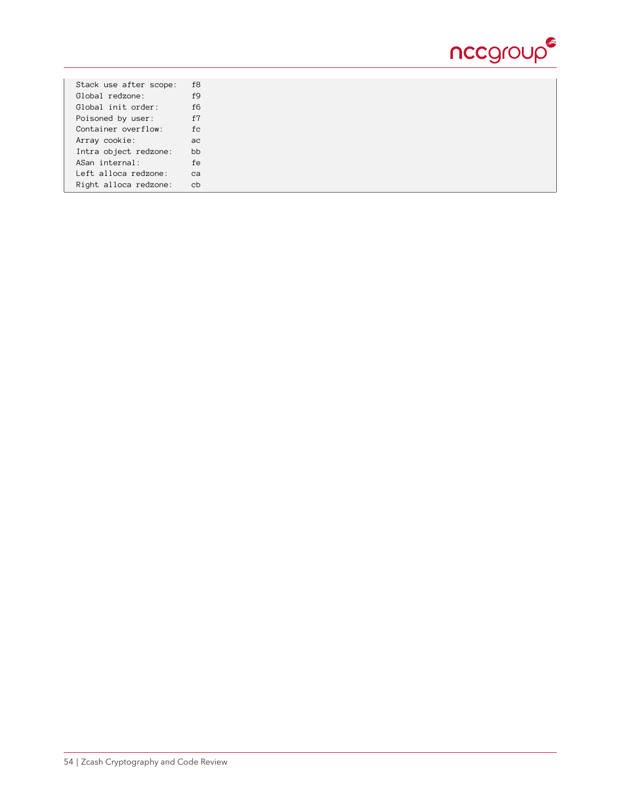

| Stack use after scope: | f8 |
|------------------------|----|
| Global redzone:        | fQ |
| Global init order:     | f6 |
| Poisoned by user:      | f7 |
| Container overflow:    | fc |
| Array cookie:          | ac |
| Intra object redzone:  | hh |
| ASan internal ·        | fe |
| Left alloca redzone:   | ca |
| Right alloca redzone:  | гh |
|                        |    |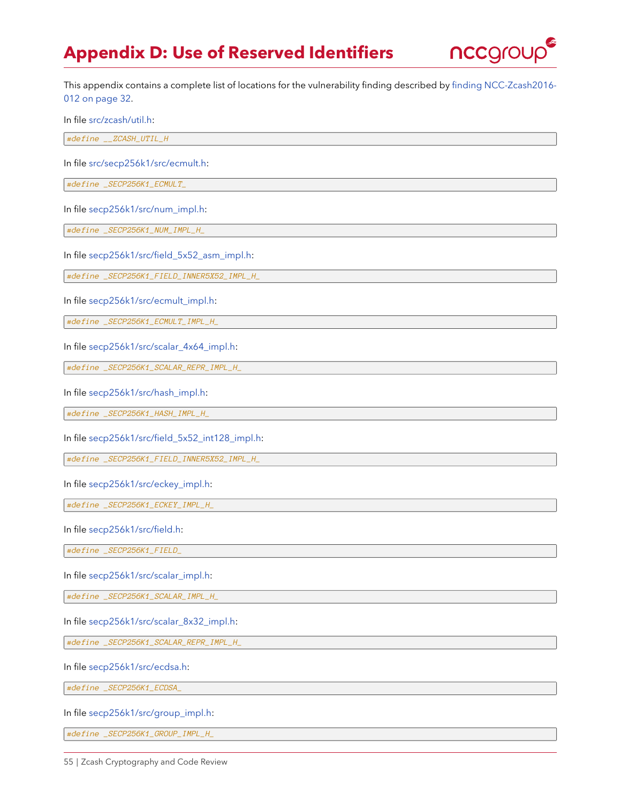# **Appendix D: Use of Reserved Identifiers**



<span id="page-54-0"></span>This appendix contains a complete list of locations for the vulnerability finding described by [finding NCC-Zcash2016-](#page-31-0) [012 on page 32](#page-31-0).

In file [src/zcash/util.h:](https://github.com/zcash/zcash/blob/ecef582339d960a3e882c505206197a920acfd9f/src/zcash/util.h)

*#define \_\_ZCASH\_UTIL\_H*

In file [src/secp256k1/src/ecmult.h](https://github.com/zcash/zcash/blob/94f0dcddb4d200d95bafa106047d9020cfc79fd7/src/secp256k1/src/ecmult.h):

*#define \_SECP256K1\_ECMULT\_*

In file [secp256k1/src/num\\_impl.h:](https://github.com/zcash/zcash/blob/94f0dcddb4d200d95bafa106047d9020cfc79fd7/src/secp256k1/src/num_impl.h)

*#define \_SECP256K1\_NUM\_IMPL\_H\_*

In file [secp256k1/src/field\\_5x52\\_asm\\_impl.h:](https://github.com/zcash/zcash/blob/94f0dcddb4d200d95bafa106047d9020cfc79fd7/src/secp256k1/src/field_5x52_asm_impl.h)

*#define \_SECP256K1\_FIELD\_INNER5X52\_IMPL\_H\_*

In file [secp256k1/src/ecmult\\_impl.h](https://github.com/zcash/zcash/blob/94f0dcddb4d200d95bafa106047d9020cfc79fd7/src/secp256k1/src/ecmult_impl.h):

*#define \_SECP256K1\_ECMULT\_IMPL\_H\_*

In file [secp256k1/src/scalar\\_4x64\\_impl.h:](https://github.com/zcash/zcash/blob/94f0dcddb4d200d95bafa106047d9020cfc79fd7/src/secp256k1/src/calar_4x64_impl.h)

*#define \_SECP256K1\_SCALAR\_REPR\_IMPL\_H\_*

In file [secp256k1/src/hash\\_impl.h:](https://github.com/zcash/zcash/blob/94f0dcddb4d200d95bafa106047d9020cfc79fd7/src/secp256k1/src/hash_impl.h)

*#define \_SECP256K1\_HASH\_IMPL\_H\_*

In file [secp256k1/src/field\\_5x52\\_int128\\_impl.h:](https://github.com/zcash/zcash/blob/94f0dcddb4d200d95bafa106047d9020cfc79fd7/src/secp256k1/src/field_5x52_int128_impl.h)

*#define \_SECP256K1\_FIELD\_INNER5X52\_IMPL\_H\_*

In file [secp256k1/src/eckey\\_impl.h:](https://github.com/zcash/zcash/blob/94f0dcddb4d200d95bafa106047d9020cfc79fd7/src/secp256k1/src/eckey_impl.h)

*#define \_SECP256K1\_ECKEY\_IMPL\_H\_*

In file [secp256k1/src/field.h](https://github.com/zcash/zcash/blob/94f0dcddb4d200d95bafa106047d9020cfc79fd7/src/secp256k1/src/field.h):

*#define \_SECP256K1\_FIELD\_*

In file [secp256k1/src/scalar\\_impl.h:](https://github.com/zcash/zcash/blob/94f0dcddb4d200d95bafa106047d9020cfc79fd7/src/secp256k1/src/scalar_impl.h)

*#define \_SECP256K1\_SCALAR\_IMPL\_H\_*

In file [secp256k1/src/scalar\\_8x32\\_impl.h:](https://github.com/zcash/zcash/blob/94f0dcddb4d200d95bafa106047d9020cfc79fd7/src/secp256k1/src/scalar_8x32_impl.h)

*#define \_SECP256K1\_SCALAR\_REPR\_IMPL\_H\_*

In file [secp256k1/src/ecdsa.h](https://github.com/zcash/zcash/blob/94f0dcddb4d200d95bafa106047d9020cfc79fd7/src/secp256k1/src/secp256k1/src/ecdsa.h):

*#define \_SECP256K1\_ECDSA\_*

In file [secp256k1/src/group\\_impl.h:](https://github.com/zcash/zcash/blob/94f0dcddb4d200d95bafa106047d9020cfc79fd7/src/secp256k1/src/group_impl.h)

*#define \_SECP256K1\_GROUP\_IMPL\_H\_*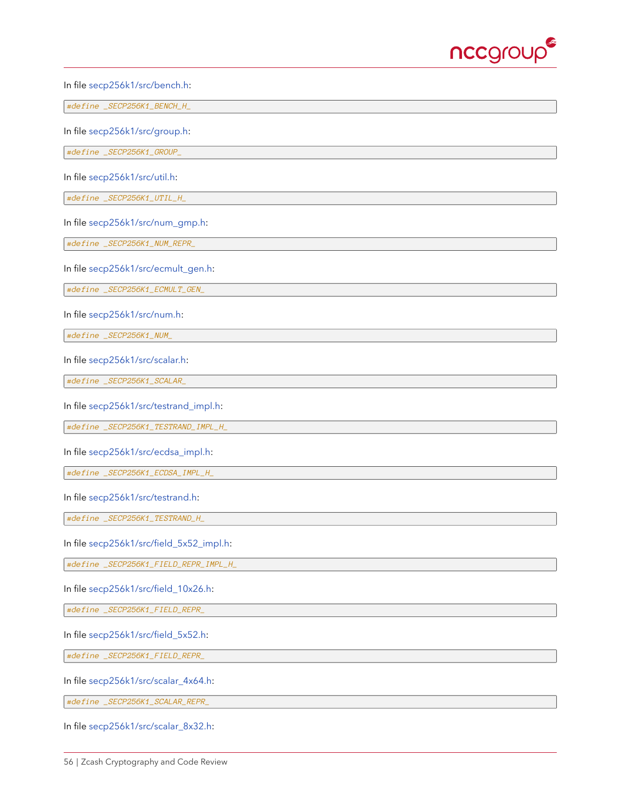

In file [secp256k1/src/bench.h](https://github.com/zcash/zcash/blob/94f0dcddb4d200d95bafa106047d9020cfc79fd7/src/secp256k1/src/bench.h):

*#define \_SECP256K1\_BENCH\_H\_*

In file [secp256k1/src/group.h](https://github.com/zcash/zcash/blob/94f0dcddb4d200d95bafa106047d9020cfc79fd7/src/secp256k1/src/group.h):

*#define \_SECP256K1\_GROUP\_*

In file [secp256k1/src/util.h:](https://github.com/zcash/zcash/blob/94f0dcddb4d200d95bafa106047d9020cfc79fd7/src/secp256k1/src/util.h)

*#define \_SECP256K1\_UTIL\_H\_*

In file [secp256k1/src/num\\_gmp.h:](https://github.com/zcash/zcash/blob/94f0dcddb4d200d95bafa106047d9020cfc79fd7/src/secp256k1/src/num_gmp.h)

*#define \_SECP256K1\_NUM\_REPR\_*

In file [secp256k1/src/ecmult\\_gen.h](https://github.com/zcash/zcash/blob/94f0dcddb4d200d95bafa106047d9020cfc79fd7/src/secp256k1/src/ecmult_gen.h):

*#define \_SECP256K1\_ECMULT\_GEN\_*

In file [secp256k1/src/num.h:](https://github.com/zcash/zcash/blob/94f0dcddb4d200d95bafa106047d9020cfc79fd7/src/secp256k1/src/num.h)

*#define \_SECP256K1\_NUM\_*

In file [secp256k1/src/scalar.h](https://github.com/zcash/zcash/blob/94f0dcddb4d200d95bafa106047d9020cfc79fd7/src/secp256k1/src/scalar.h):

*#define \_SECP256K1\_SCALAR\_*

In file [secp256k1/src/testrand\\_impl.h](https://github.com/zcash/zcash/blob/94f0dcddb4d200d95bafa106047d9020cfc79fd7/src/secp256k1/src/testrand_impl.h):

*#define \_SECP256K1\_TESTRAND\_IMPL\_H\_*

In file [secp256k1/src/ecdsa\\_impl.h:](https://github.com/zcash/zcash/blob/94f0dcddb4d200d95bafa106047d9020cfc79fd7/src/secp256k1/src/ecdsa_impl.h)

*#define \_SECP256K1\_ECDSA\_IMPL\_H\_*

In file [secp256k1/src/testrand.h](https://github.com/zcash/zcash/blob/94f0dcddb4d200d95bafa106047d9020cfc79fd7/src/secp256k1/src/testrand.h):

*#define \_SECP256K1\_TESTRAND\_H\_*

In file [secp256k1/src/field\\_5x52\\_impl.h](https://github.com/zcash/zcash/blob/94f0dcddb4d200d95bafa106047d9020cfc79fd7/src/secp256k1/src/field_5x52_impl.h):

*#define \_SECP256K1\_FIELD\_REPR\_IMPL\_H\_*

In file [secp256k1/src/field\\_10x26.h](https://github.com/zcash/zcash/blob/94f0dcddb4d200d95bafa106047d9020cfc79fd7/src/secp256k1/src/field_10x26.h):

*#define \_SECP256K1\_FIELD\_REPR\_*

In file [secp256k1/src/field\\_5x52.h](https://github.com/zcash/zcash/blob/94f0dcddb4d200d95bafa106047d9020cfc79fd7/src/secp256k1/src/field_5x52.h):

*#define \_SECP256K1\_FIELD\_REPR\_*

In file [secp256k1/src/scalar\\_4x64.h:](https://github.com/zcash/zcash/blob/94f0dcddb4d200d95bafa106047d9020cfc79fd7/src/secp256k1/src/scalar_4x64.h)

*#define \_SECP256K1\_SCALAR\_REPR\_*

In file [secp256k1/src/scalar\\_8x32.h:](https://github.com/zcash/zcash/blob/94f0dcddb4d200d95bafa106047d9020cfc79fd7/src/secp256k1/src/scalar_8x32.h)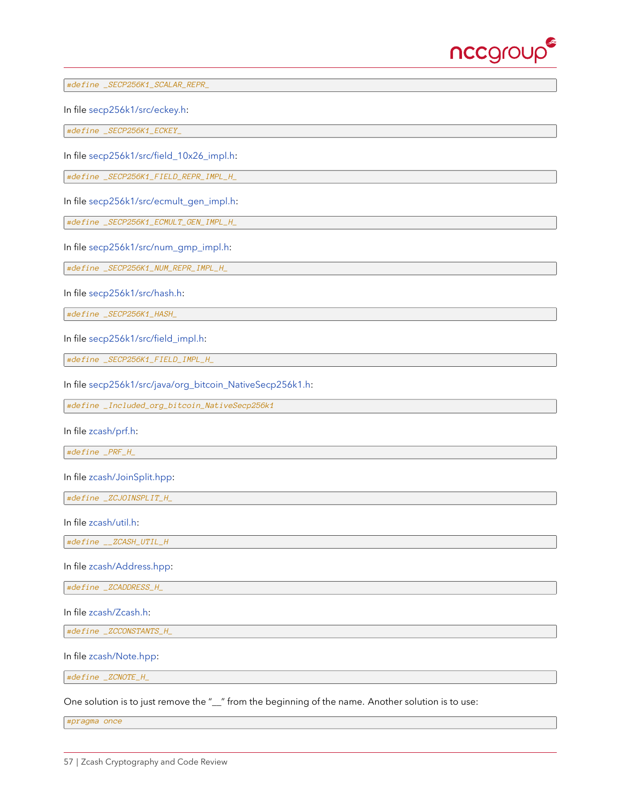

*#define \_SECP256K1\_SCALAR\_REPR\_*

In file [secp256k1/src/eckey.h](https://github.com/zcash/zcash/blob/94f0dcddb4d200d95bafa106047d9020cfc79fd7/src/secp256k1/src/eckey.h):

*#define \_SECP256K1\_ECKEY\_*

In file [secp256k1/src/field\\_10x26\\_impl.h:](https://github.com/zcash/zcash/blob/94f0dcddb4d200d95bafa106047d9020cfc79fd7/src/secp256k1/src/field_10x26_impl.h)

*#define \_SECP256K1\_FIELD\_REPR\_IMPL\_H\_*

In file [secp256k1/src/ecmult\\_gen\\_impl.h](https://github.com/zcash/zcash/blob/94f0dcddb4d200d95bafa106047d9020cfc79fd7/src/secp256k1/src/ecmult_gen_impl.h):

*#define \_SECP256K1\_ECMULT\_GEN\_IMPL\_H\_*

In file [secp256k1/src/num\\_gmp\\_impl.h:](https://github.com/zcash/zcash/blob/94f0dcddb4d200d95bafa106047d9020cfc79fd7/src/secp256k1/src/num_gmp_impl.h)

*#define \_SECP256K1\_NUM\_REPR\_IMPL\_H\_*

In file [secp256k1/src/hash.h](https://github.com/zcash/zcash/blob/94f0dcddb4d200d95bafa106047d9020cfc79fd7/src/secp256k1/src/hash.h):

*#define \_SECP256K1\_HASH\_*

In file [secp256k1/src/field\\_impl.h](https://github.com/zcash/zcash/blob/94f0dcddb4d200d95bafa106047d9020cfc79fd7/src/secp256k1/src/field_impl.h):

*#define \_SECP256K1\_FIELD\_IMPL\_H\_*

In file [secp256k1/src/java/org\\_bitcoin\\_NativeSecp256k1.h](https://github.com/zcash/zcash/blob/94f0dcddb4d200d95bafa106047d9020cfc79fd7/src/secp256k1/src/java/org_bitcoin_NativeSecp256k1.h):

*#define \_Included\_org\_bitcoin\_NativeSecp256k1*

In file [zcash/prf.h:](https://github.com/zcash/zcash/tree/zc.v0.11.2.latest/src/zcash/prf.h)

*#define \_PRF\_H\_*

In file [zcash/JoinSplit.hpp:](https://github.com/zcash/zcash/tree/zc.v0.11.2.latest/src/zcash/JoinSplit.hpp)

*#define \_ZCJOINSPLIT\_H\_*

In file [zcash/util.h:](https://github.com/zcash/zcash/tree/zc.v0.11.2.latest/src/zcash/util.h)

*#define \_\_ZCASH\_UTIL\_H*

In file [zcash/Address.hpp](https://github.com/zcash/zcash/tree/zc.v0.11.2.latest/src/zcash/Address.hpp):

*#define \_ZCADDRESS\_H\_*

In file [zcash/Zcash.h:](https://github.com/zcash/zcash/tree/zc.v0.11.2.latest/src/zcash/Zcash.h/)

*#define \_ZCCONSTANTS\_H\_*

In file [zcash/Note.hpp](https://github.com/zcash/zcash/tree/zc.v0.11.2.latest/src/zcash/Note.hpp):

*#define \_ZCNOTE\_H\_*

One solution is to just remove the "\_" from the beginning of the name. Another solution is to use:

*#pragma once*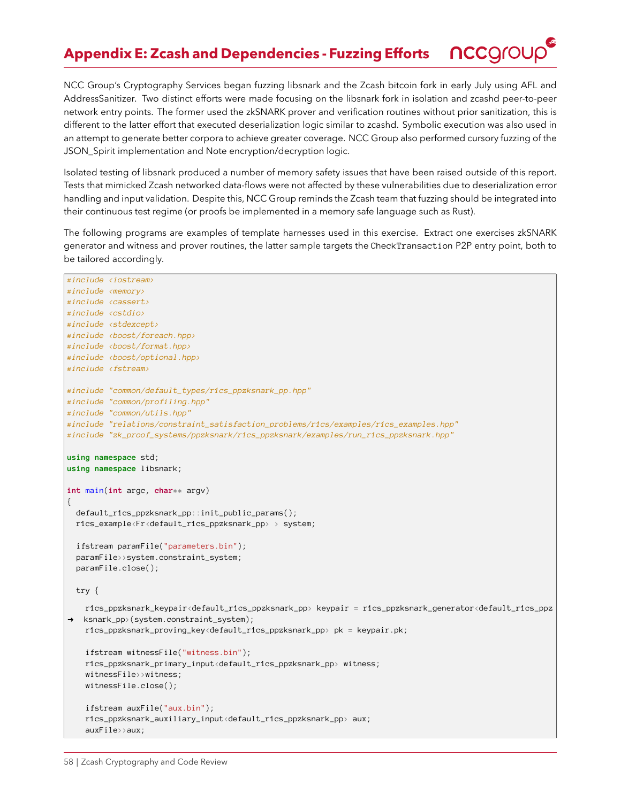nccgrou **Appendix E: Zcash and Dependencies - Fuzzing Efforts**

<span id="page-57-0"></span>NCC Group's Cryptography Services began fuzzing libsnark and the Zcash bitcoin fork in early July using AFL and AddressSanitizer. Two distinct efforts were made focusing on the libsnark fork in isolation and zcashd peer-to-peer network entry points. The former used the zkSNARK prover and verification routines without prior sanitization, this is different to the latter effort that executed deserialization logic similar to zcashd. Symbolic execution was also used in an attempt to generate better corpora to achieve greater coverage. NCC Group also performed cursory fuzzing of the JSON\_Spirit implementation and Note encryption/decryption logic.

Isolated testing of libsnark produced a number of memory safety issues that have been raised outside of this report. Tests that mimicked Zcash networked data-flows were not affected by these vulnerabilities due to deserialization error handling and input validation. Despite this, NCC Group reminds the Zcash team that fuzzing should be integrated into their continuous test regime (or proofs be implemented in a memory safe language such as Rust).

The following programs are examples of template harnesses used in this exercise. Extract one exercises zkSNARK generator and witness and prover routines, the latter sample targets the CheckTransaction P2P entry point, both to be tailored accordingly.

```
#include <iostream>
#include <memory>
#include <cassert>
#include <cstdio>
#include <stdexcept>
#include <boost/foreach.hpp>
#include <boost/format.hpp>
#include <boost/optional.hpp>
#include <fstream>
#include "common/default_types/r1cs_ppzksnark_pp.hpp"
#include "common/profiling.hpp"
#include "common/utils.hpp"
#include "relations/constraint_satisfaction_problems/r1cs/examples/r1cs_examples.hpp"
#include "zk_proof_systems/ppzksnark/r1cs_ppzksnark/examples/run_r1cs_ppzksnark.hpp"
using namespace std;
using namespace libsnark;
int main(int argc, char** argv)
{
  default_r1cs_ppzksnark_pp::init_public_params();
  r1cs_example<Fr<default_r1cs_ppzksnark_pp> > system;
 ifstream paramFile("parameters.bin");
  paramFile>>system.constraint_system;
  paramFile.close();
  try {
    r1cs_ppzksnark_keypair<default_r1cs_ppzksnark_pp> keypair = r1cs_ppzksnark_generator<default_r1cs_ppz
ksnark_pp>(system.constraint_system);
    r1cs_ppzksnark_proving_key<default_r1cs_ppzksnark_pp> pk = keypair.pk;
   ifstream witnessFile("witness.bin");
   r1cs_ppzksnark_primary_input<default_r1cs_ppzksnark_pp> witness;
    witnessFile>>witness;
    witnessFile.close();
    ifstream auxFile("aux.bin");
    r1cs_ppzksnark_auxiliary_input<default_r1cs_ppzksnark_pp> aux;
    auxFile>>aux;
```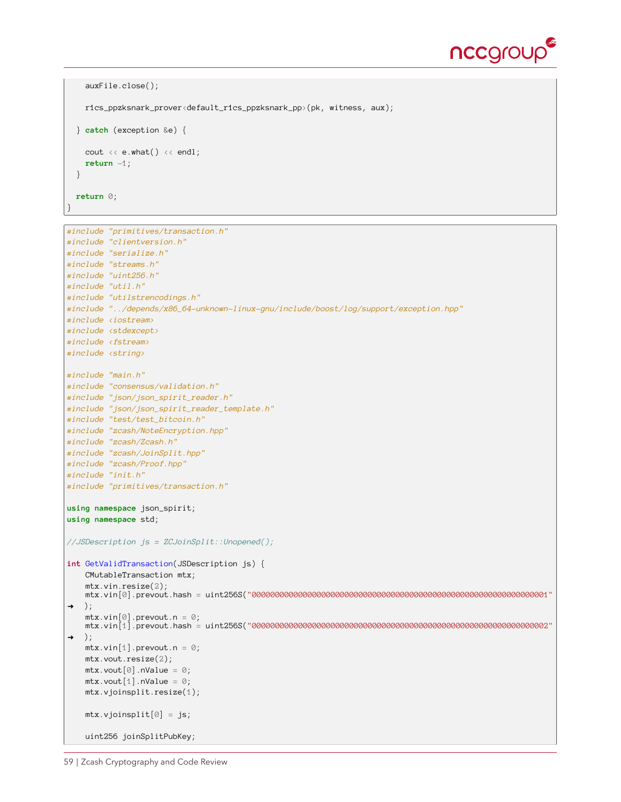

```
auxFile.close();
   r1cs_ppzksnark_prover<default_r1cs_ppzksnark_pp>(pk, witness, aux);
 } catch (exception &e) {
  cout << e.what() << endl;
  return -1;
 }
 return 0;
}
```

```
#include "primitives/transaction.h"
#include "clientversion.h"
#include "serialize.h"
#include "streams.h"
#include "uint256.h"
#include "util.h"
#include "utilstrencodings.h"
#include "../depends/x86_64-unknown-linux-gnu/include/boost/log/support/exception.hpp"
#include <iostream>
#include <stdexcept>
#include <fstream>
#include <string>
#include "main.h"
#include "consensus/validation.h"
#include "json/json_spirit_reader.h"
#include "json/json_spirit_reader_template.h"
#include "test/test_bitcoin.h"
#include "zcash/NoteEncryption.hpp"
#include "zcash/Zcash.h"
#include "zcash/JoinSplit.hpp"
#include "zcash/Proof.hpp"
#include "init.h"
#include "primitives/transaction.h"
using namespace json_spirit;
using namespace std;
//JSDescription js = ZCJoinSplit::Unopened();
int GetValidTransaction(JSDescription js) {
   CMutableTransaction mtx;
   mtx.vin.resize(2);
   mtx.vin[0].prevout.hash = uint256S("0000000000000000000000000000000000000000000000000000000000000001"
\rightarrow );
   mtx.vin[0].prevout.n = 0;
   mtx.vin[1].prevout.hash = uint256S("0000000000000000000000000000000000000000000000000000000000000002"
\rightarrow );
   mtx.vin[1].prevout.n = \emptyset;
   mtx.vout.resize(2);
   mtx.vout[0].nValue = 0;
   mtx.vout[1].nValue = 0;
   mtx.vjoinsplit.resize(1);
   mtx.vjoinsplit[0] = js;uint256 joinSplitPubKey;
```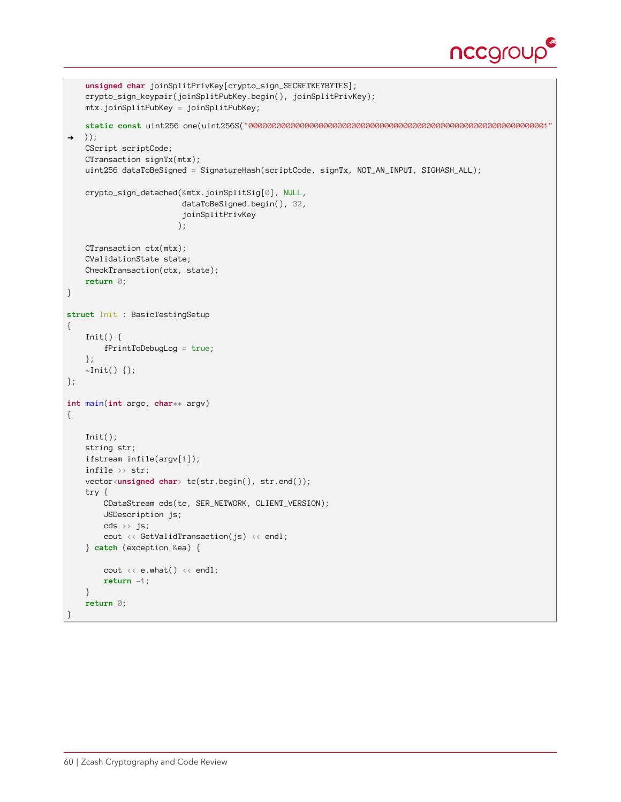

```
unsigned char joinSplitPrivKey[crypto_sign_SECRETKEYBYTES];
    crypto_sign_keypair(joinSplitPubKey.begin(), joinSplitPrivKey);
    mtx.joinSplitPubKey = joinSplitPubKey;
   static const uint256 one(uint256S("0000000000000000000000000000000000000000000000000000000000000001"
\rightarrow ));
   CScript scriptCode;
   CTransaction signTx(mtx);
   uint256 dataToBeSigned = SignatureHash(scriptCode, signTx, NOT_AN_INPUT, SIGHASH_ALL);
   crypto_sign_detached(&mtx.joinSplitSig[0], NULL,
                         dataToBeSigned.begin(), 32,
                         joinSplitPrivKey
                        );
   CTransaction ctx(mtx);
   CValidationState state;
   CheckTransaction(ctx, state);
   return 0;
}
struct Init : BasicTestingSetup
{
    Init() \{fPrintToDebugLog = true;
   };
   \simInit() {};
};
int main(int argc, char** argv)
{
   Init();
   string str;
   ifstream infile(argv[1]);
   infile \rightarrow str;
   vector<unsigned char> tc(str.begin(), str.end());
   try {
       CDataStream cds(tc, SER_NETWORK, CLIENT_VERSION);
       JSDescription js;
       cds >> js;
       cout << GetValidTransaction(js) << endl;
    } catch (exception &ea) {
       cout << e.what() << endl;
       return -1;
    }
    return 0;
}
```